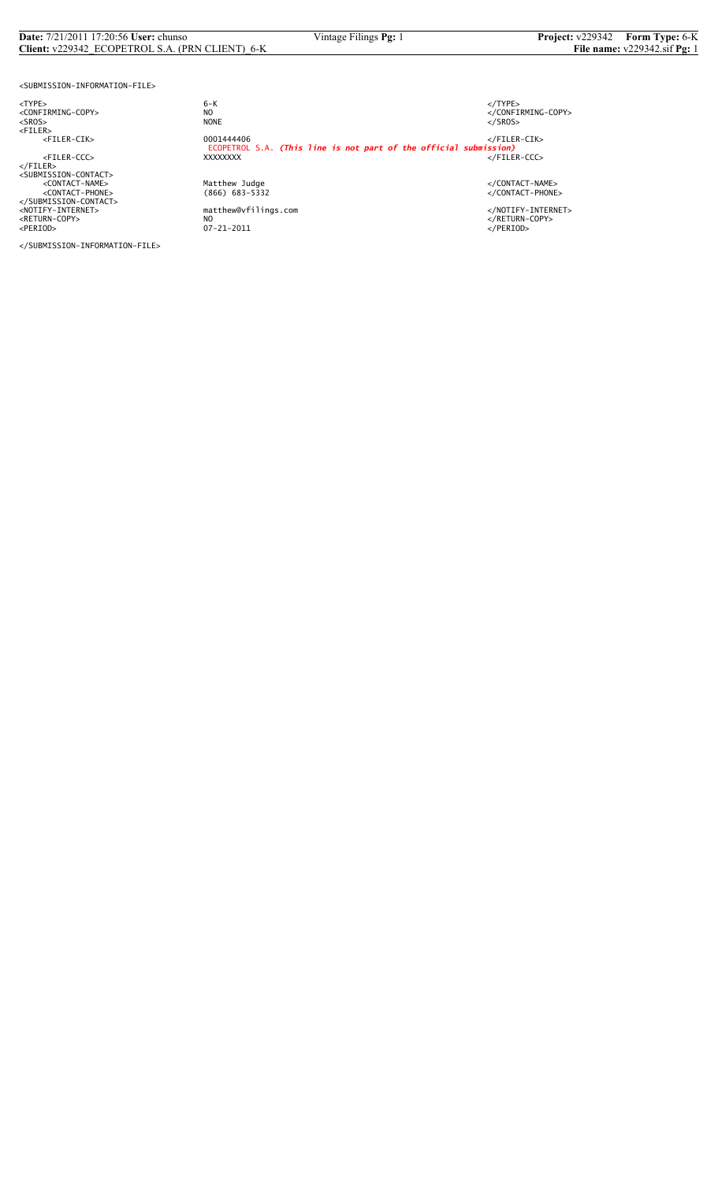#### **Date:** 7/21/2011 17:20:56 **User:** chunso Vintage Filings **Pg:** 1 **Project:** v229342 **Form Type:** 6-K **Client:** v229342\_ECOPETROL S.A. (PRN CLIENT)\_6-K **File name:** v229342.sif **Pg:** 1

<SUBMISSION-INFORMATION-FILE>

<NOTIFY-INTERNET> matthew@vfilings.com </NOTIFY-INTERNET> <RETURN-COPY> NO </RETURN-COPY> <PERIOD> 07-21-2011 </PERIOD>

</SUBMISSION-INFORMATION-FILE>

<TYPE> 6-K </TYPE> essence<br>
NO<br>
NO CONFIRMING-COPY><br>
NONE<br>
</SROS> <SROS> NONE </SROS> <FILER> <FILER-CIK> 0001444406 </FILER-CIK> ECOPETROL S.A. *(This line is not part of the official submission)* <FILER-CCC> XXXXXXXX </FILER-CCC> </FILER><br><SUBMISSION-CONTACT><br><CONTACT-NAME> </CONTACT-NAME></CONTACT-NAME><br><</CONTACT-PHONE></CONTACT-PHONE><//CONTACT-PHONE><br></SUBMISSION-CONTACT>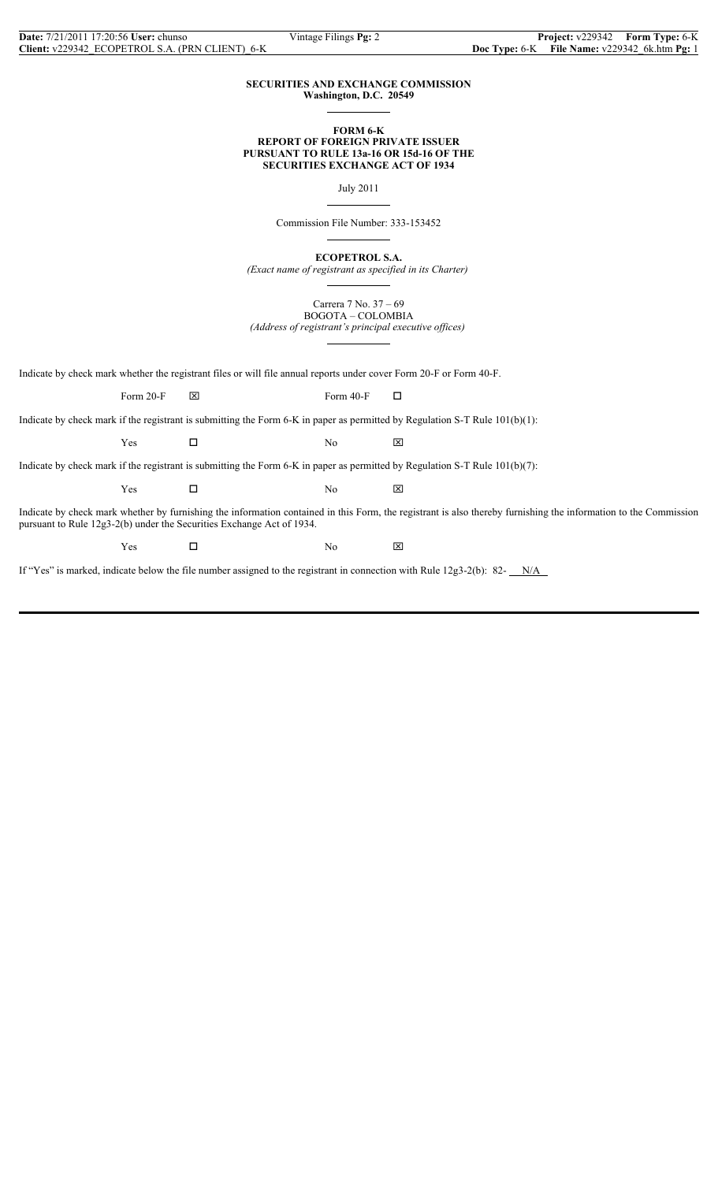$\overline{a}$ 

 $\overline{a}$ 

 $\overline{a}$ 

 $\overline{a}$ 

#### **SECURITIES AND EXCHANGE COMMISSION Washington, D.C. 20549**

#### **FORM 6-K REPORT OF FOREIGN PRIVATE ISSUER PURSUANT TO RULE 13a-16 OR 15d-16 OF THE SECURITIES EXCHANGE ACT OF 1934**

July 2011

Commission File Number: 333-153452

**ECOPETROL S.A.**

*(Exact name of registrant as specified in its Charter)*

Carrera 7 No. 37 – 69 BOGOTA – COLOMBIA *(Address of registrant's principal executive offices)*

 $\overline{a}$ 

Indicate by check mark whether the registrant files or will file annual reports under cover Form 20-F or Form 40-F.

Form 20-F  $\boxtimes$  Form 40-F  $\Box$ 

Indicate by check mark if the registrant is submitting the Form 6-K in paper as permitted by Regulation S-T Rule 101(b)(1):

 $Yes$   $\Box$  No  $\boxtimes$ 

Indicate by check mark if the registrant is submitting the Form 6-K in paper as permitted by Regulation S-T Rule 101(b)(7):

 $Yes$   $\Box$  No  $\boxtimes$ 

Indicate by check mark whether by furnishing the information contained in this Form, the registrant is also thereby furnishing the information to the Commission pursuant to Rule 12g3-2(b) under the Securities Exchange Act of 1934.

 $Yes$   $\square$  No  $\boxtimes$ 

If "Yes" is marked, indicate below the file number assigned to the registrant in connection with Rule  $12g3-2(b)$ : 82- $N/A$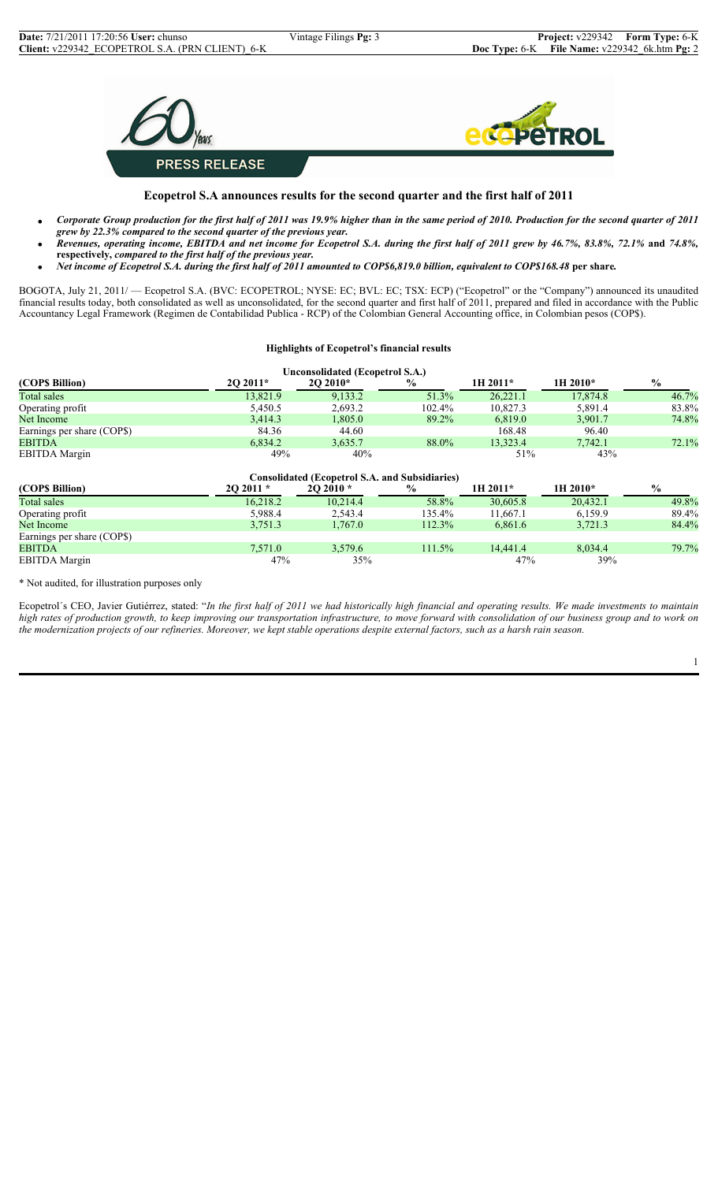

## **Ecopetrol S.A announces results for the second quarter and the first half of 2011**

- *Corporate Group production for the first half of 2011 was 19.9% higher than in the same period of 2010. Production for the second quarter of 2011 grew by 22.3% compared to the second quarter of the previous year.*
- *Revenues, operating income, EBITDA and net income for Ecopetrol S.A. during the first half of 2011 grew by 46.7%, 83.8%, 72.1%* **and** *74.8%,*  **respectively,** *compared to the first half of the previous year.*
- *Net income of Ecopetrol S.A. during the first half of 2011 amounted to COP\$6,819.0 billion, equivalent to COP\$168.48* **per share***.*

BOGOTA, July 21, 2011/ — Ecopetrol S.A. (BVC: ECOPETROL; NYSE: EC; BVL: EC; TSX: ECP) ("Ecopetrol" or the "Company") announced its unaudited financial results today, both consolidated as well as unconsolidated, for the second quarter and first half of 2011, prepared and filed in accordance with the Public Accountancy Legal Framework (Regimen de Contabilidad Publica - RCP) of the Colombian General Accounting office, in Colombian pesos (COP\$).

#### **Highlights of Ecopetrol's financial results**

| Unconsolidated (Ecopetrol S.A.) |          |             |               |            |          |               |  |
|---------------------------------|----------|-------------|---------------|------------|----------|---------------|--|
| (COP\$ Billion)                 | 20 2011* | $20\,2010*$ | $\frac{0}{0}$ | $1H 2011*$ | 1H 2010* | $\frac{6}{9}$ |  |
| Total sales                     | 13,821.9 | 9,133.2     | 51.3%         | 26,221.1   | 17,874.8 | 46.7%         |  |
| Operating profit                | 5,450.5  | 2,693.2     | $102.4\%$     | 10.827.3   | 5,891.4  | 83.8%         |  |
| Net Income                      | 3,414.3  | 1,805.0     | 89.2%         | 6,819.0    | 3,901.7  | 74.8%         |  |
| Earnings per share (COP\$)      | 84.36    | 44.60       |               | 168.48     | 96.40    |               |  |
| <b>EBITDA</b>                   | 6,834.2  | 3,635.7     | 88.0%         | 13.323.4   | 7.742.1  | 72.1%         |  |
| <b>EBITDA</b> Margin            | 49%      | 40%         |               | 51%        | 43%      |               |  |

| <b>Consolidated (Ecopetrol S.A. and Subsidiaries)</b> |           |           |        |            |          |               |  |
|-------------------------------------------------------|-----------|-----------|--------|------------|----------|---------------|--|
| (COP\$ Billion)                                       | $202011*$ | $202010*$ | $\%$   | $1H 2011*$ | 1H 2010* | $\frac{6}{9}$ |  |
| Total sales                                           | 16.218.2  | 10.214.4  | 58.8%  | 30.605.8   | 20.432.1 | 49.8%         |  |
| Operating profit                                      | 5,988.4   | 2.543.4   | 135.4% | 11.667.1   | 6.159.9  | 89.4%         |  |
| Net Income                                            | 3,751.3   | 1,767.0   | 112.3% | 6,861.6    | 3.721.3  | 84.4%         |  |
| Earnings per share (COPS)                             |           |           |        |            |          |               |  |
| <b>EBITDA</b>                                         | 7,571.0   | 3.579.6   | 111.5% | 14.441.4   | 8.034.4  | 79.7%         |  |
| <b>EBITDA</b> Margin                                  | 47%       | 35%       |        | 47%        | 39%      |               |  |

\* Not audited, for illustration purposes only

Ecopetrol´s CEO, Javier Gutiérrez, stated: "*In the first half of 2011 we had historically high financial and operating results. We made investments to maintain high rates of production growth, to keep improving our transportation infrastructure, to move forward with consolidation of our business group and to work on the modernization projects of our refineries. Moreover, we kept stable operations despite external factors, such as a harsh rain season.*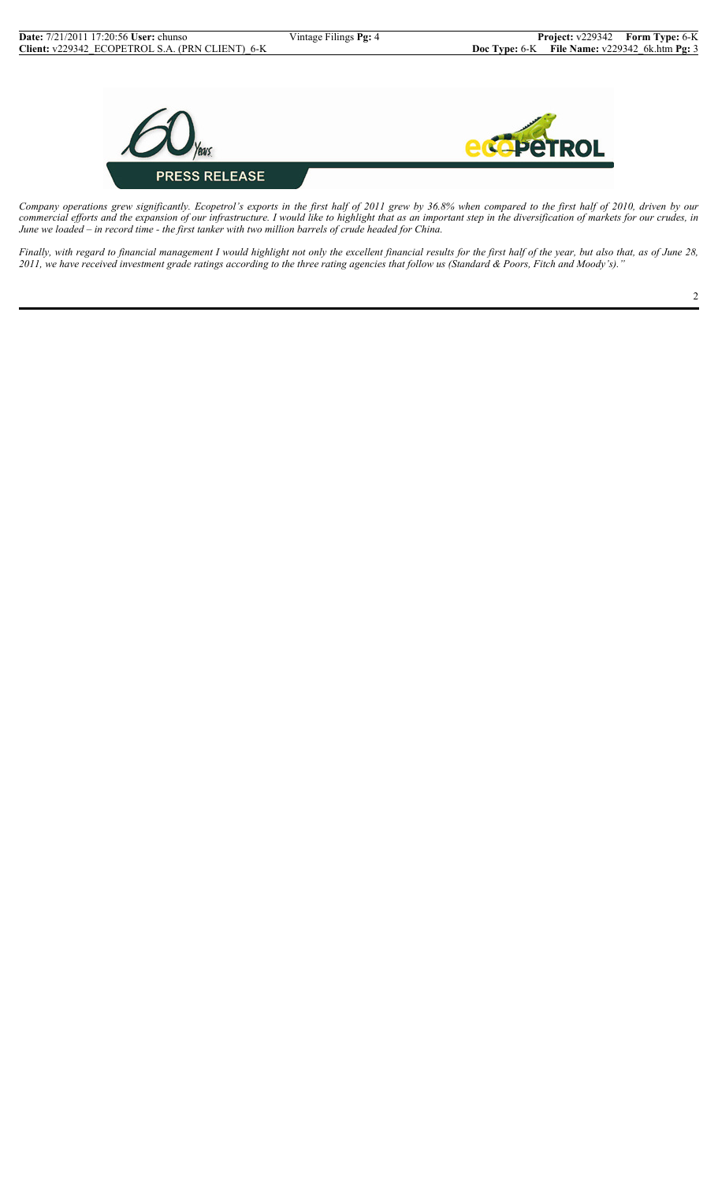

*Company operations grew significantly. Ecopetrol's exports in the first half of 2011 grew by 36.8% when compared to the first half of 2010, driven by our commercial efforts and the expansion of our infrastructure. I would like to highlight that as an important step in the diversification of markets for our crudes, in June we loaded – in record time - the first tanker with two million barrels of crude headed for China.*

*Finally, with regard to financial management I would highlight not only the excellent financial results for the first half of the year, but also that, as of June 28, 2011, we have received investment grade ratings according to the three rating agencies that follow us (Standard & Poors, Fitch and Moody's)."*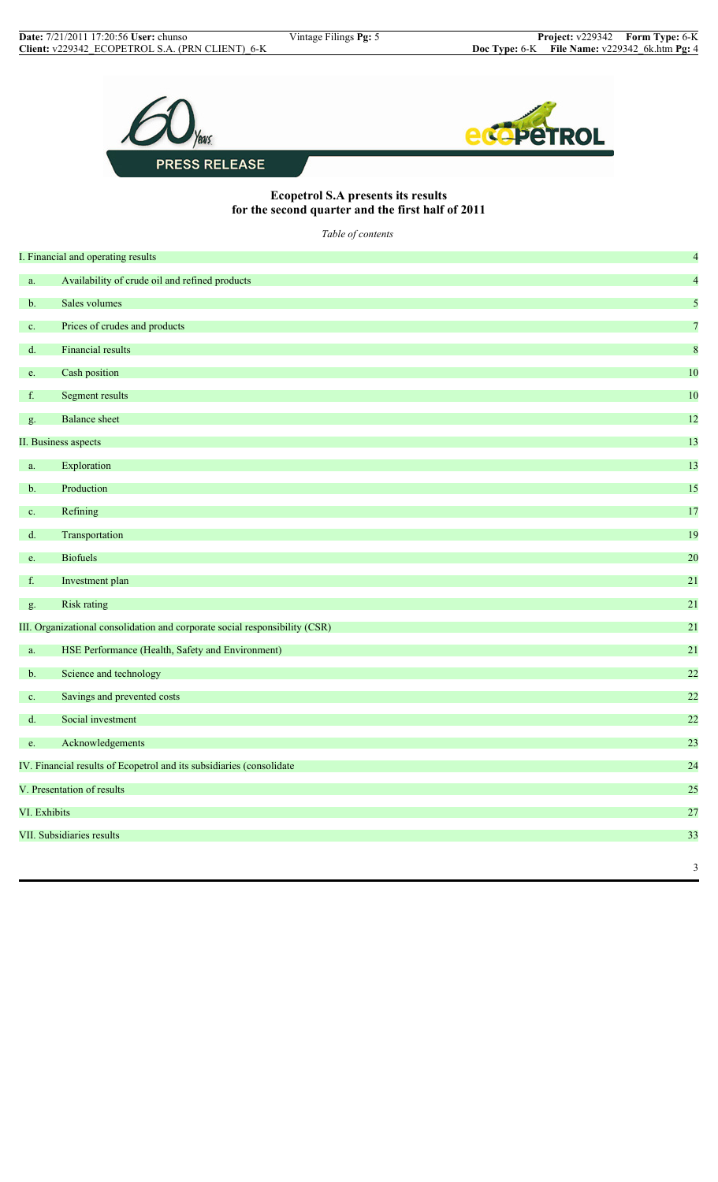

## **Ecopetrol S.A presents its results for the second quarter and the first half of 2011**

*Table of contents*

|               | I. Financial and operating results                                          | $\overline{a}$          |
|---------------|-----------------------------------------------------------------------------|-------------------------|
| a.            | Availability of crude oil and refined products                              | $\overline{\mathbf{4}}$ |
| b.            | Sales volumes                                                               | 5                       |
| c.            | Prices of crudes and products                                               | $\overline{7}$          |
| $d$ .         | <b>Financial results</b>                                                    | $\boldsymbol{8}$        |
| e.            | Cash position                                                               | 10                      |
| f.            | Segment results                                                             | 10                      |
| g.            | <b>Balance</b> sheet                                                        | 12                      |
|               | II. Business aspects                                                        | 13                      |
| a.            | Exploration                                                                 | 13                      |
| $b$ .         | Production                                                                  | 15                      |
| $\mathbf{c}.$ | Refining                                                                    | 17                      |
| $d$ .         | Transportation                                                              | 19                      |
| e.            | <b>Biofuels</b>                                                             | 20                      |
| f.            | Investment plan                                                             | 21                      |
| g.            | <b>Risk rating</b>                                                          | 21                      |
|               | III. Organizational consolidation and corporate social responsibility (CSR) | 21                      |
| a.            | HSE Performance (Health, Safety and Environment)                            | 21                      |
| $b$ .         | Science and technology                                                      | 22                      |
| c.            | Savings and prevented costs                                                 | 22                      |
| $d_{\cdot}$   | Social investment                                                           | 22                      |
| e.            | Acknowledgements                                                            | 23                      |
|               | IV. Financial results of Ecopetrol and its subsidiaries (consolidate        | 24                      |
|               | V. Presentation of results                                                  | 25                      |
| VI. Exhibits  |                                                                             | $27\,$                  |
|               | <b>VII.</b> Subsidiaries results                                            | 33                      |
|               |                                                                             | $\mathfrak{Z}$          |
|               |                                                                             |                         |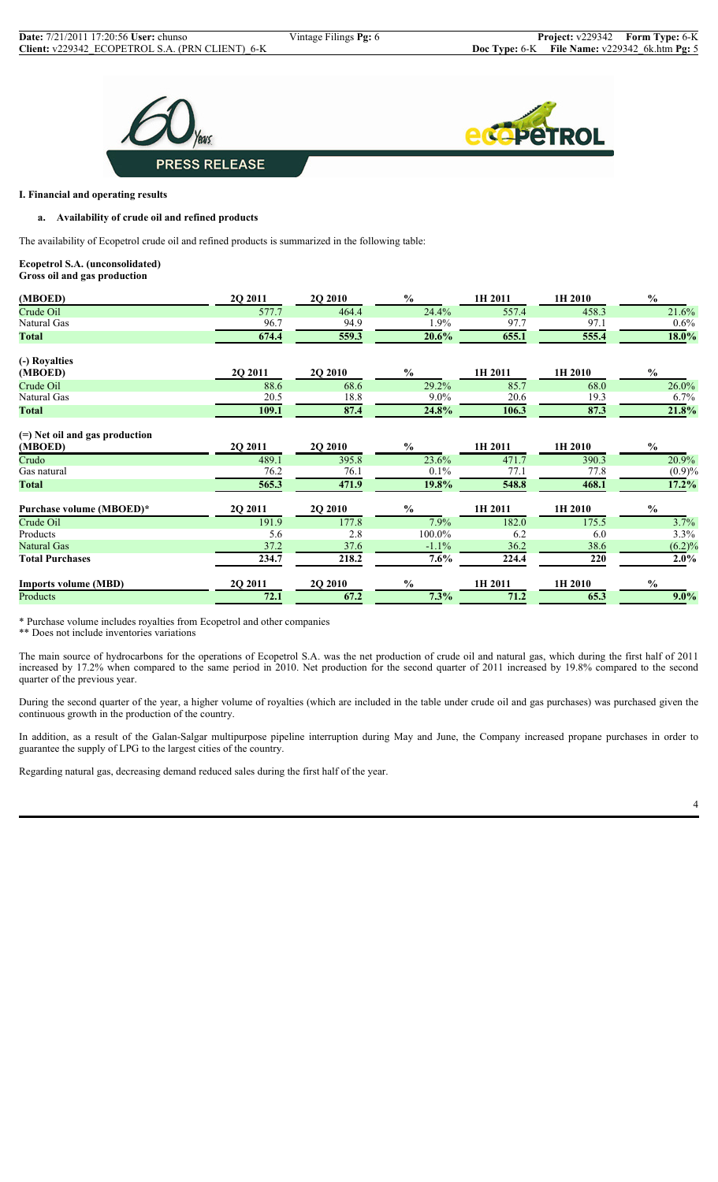



## **I. Financial and operating results**

## **a. Availability of crude oil and refined products**

The availability of Ecopetrol crude oil and refined products is summarized in the following table:

#### **Ecopetrol S.A. (unconsolidated) Gross oil and gas production**

| (MBOED)                                   | 2Q 2011 | <b>2Q 2010</b> | $\frac{6}{6}$ | 1H 2011 | 1H 2010 | $\frac{6}{9}$ |
|-------------------------------------------|---------|----------------|---------------|---------|---------|---------------|
| Crude Oil                                 | 577.7   | 464.4          | 24.4%         | 557.4   | 458.3   | 21.6%         |
| Natural Gas                               | 96.7    | 94.9           | $1.9\%$       | 97.7    | 97.1    | $0.6\%$       |
| <b>Total</b>                              | 674.4   | 559.3          | 20.6%         | 655.1   | 555.4   | 18.0%         |
| (-) Royalties                             |         |                |               |         |         |               |
| (MBOED)                                   | 2Q 2011 | 2Q 2010        | $\frac{6}{9}$ | 1H 2011 | 1H 2010 | $\frac{0}{0}$ |
| Crude Oil                                 | 88.6    | 68.6           | 29.2%         | 85.7    | 68.0    | 26.0%         |
| Natural Gas                               | 20.5    | 18.8           | $9.0\%$       | 20.6    | 19.3    | 6.7%          |
| <b>Total</b>                              | 109.1   | 87.4           | 24.8%         | 106.3   | 87.3    | 21.8%         |
| (=) Net oil and gas production<br>(MBOED) | 2Q 2011 | 2Q 2010        | $\frac{0}{0}$ | 1H 2011 | 1H 2010 | $\frac{0}{0}$ |
| Crudo                                     | 489.1   | 395.8          | 23.6%         | 471.7   | 390.3   | 20.9%         |
| Gas natural                               | 76.2    | 76.1           | $0.1\%$       | 77.1    | 77.8    | $(0.9)\%$     |
| <b>Total</b>                              | 565.3   | 471.9          | 19.8%         | 548.8   | 468.1   | 17.2%         |
| Purchase volume (MBOED)*                  | 2Q 2011 | 2Q 2010        | $\frac{0}{0}$ | 1H 2011 | 1H 2010 | $\frac{0}{0}$ |
| Crude Oil                                 | 191.9   | 177.8          | 7.9%          | 182.0   | 175.5   | 3.7%          |
| Products                                  | 5.6     | 2.8            | 100.0%        | 6.2     | 6.0     | 3.3%          |
| Natural Gas                               | 37.2    | 37.6           | $-1.1\%$      | 36.2    | 38.6    | $(6.2)\%$     |
| <b>Total Purchases</b>                    | 234.7   | 218.2          | $7.6\%$       | 224.4   | 220     | $2.0\%$       |
| <b>Imports volume (MBD)</b>               | 2Q 2011 | <b>2Q 2010</b> | $\frac{6}{6}$ | 1H 2011 | 1H 2010 | $\frac{0}{0}$ |
| Products                                  | 72.1    | 67.2           | 7.3%          | 71.2    | 65.3    | $9.0\%$       |

\* Purchase volume includes royalties from Ecopetrol and other companies

\*\* Does not include inventories variations

The main source of hydrocarbons for the operations of Ecopetrol S.A. was the net production of crude oil and natural gas, which during the first half of 2011 increased by 17.2% when compared to the same period in 2010. Net production for the second quarter of 2011 increased by 19.8% compared to the second quarter of the previous year.

During the second quarter of the year, a higher volume of royalties (which are included in the table under crude oil and gas purchases) was purchased given the continuous growth in the production of the country.

In addition, as a result of the Galan-Salgar multipurpose pipeline interruption during May and June, the Company increased propane purchases in order to guarantee the supply of LPG to the largest cities of the country.

Regarding natural gas, decreasing demand reduced sales during the first half of the year.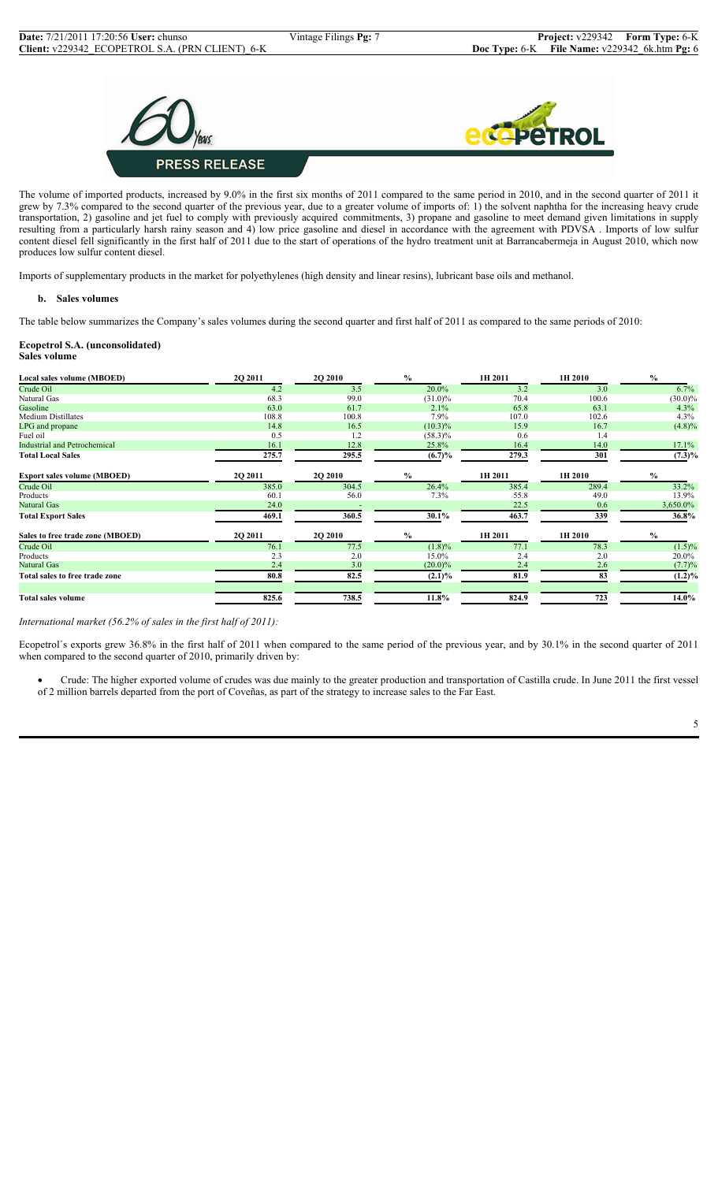



The volume of imported products, increased by 9.0% in the first six months of 2011 compared to the same period in 2010, and in the second quarter of 2011 it grew by 7.3% compared to the second quarter of the previous year, due to a greater volume of imports of: 1) the solvent naphtha for the increasing heavy crude transportation, 2) gasoline and jet fuel to comply with previously acquired commitments, 3) propane and gasoline to meet demand given limitations in supply resulting from a particularly harsh rainy season and 4) low price gasoline and diesel in accordance with the agreement with PDVSA . Imports of low sulfur content diesel fell significantly in the first half of 2011 due to the start of operations of the hydro treatment unit at Barrancabermeja in August 2010, which now produces low sulfur content diesel.

Imports of supplementary products in the market for polyethylenes (high density and linear resins), lubricant base oils and methanol.

#### **b. Sales volumes**

The table below summarizes the Company's sales volumes during the second quarter and first half of 2011 as compared to the same periods of 2010:

#### **Ecopetrol S.A. (unconsolidated) Sales volume**

| Local sales volume (MBOED)          | 2Q 2011       | 2Q 2010        | $\%$          | 1H 2011 | 1H 2010 | $\%$          |
|-------------------------------------|---------------|----------------|---------------|---------|---------|---------------|
| Crude Oil                           | 4.2           | 3.5            | 20.0%         | 3.2     | 3.0     | 6.7%          |
| Natural Gas                         | 68.3          | 99.0           | $(31.0)\%$    | 70.4    | 100.6   | $(30.0)\%$    |
| Gasoline                            | 63.0          | 61.7           | 2.1%          | 65.8    | 63.1    | 4.3%          |
| <b>Medium Distillates</b>           | 108.8         | 100.8          | 7.9%          | 107.0   | 102.6   | 4.3%          |
| LPG and propane                     | 14.8          | 16.5           | $(10.3)\%$    | 15.9    | 16.7    | $(4.8)\%$     |
| Fuel oil                            | 0.5           | 1.2            | $(58.3)\%$    | 0.6     | 1.4     |               |
| <b>Industrial and Petrochemical</b> | 16.1          | 12.8           | 25.8%         | 16.4    | 14.0    | 17.1%         |
| <b>Total Local Sales</b>            | 275.7         | 295.5          | $(6.7)\%$     | 279.3   | 301     | $(7.3)\%$     |
| <b>Export sales volume (MBOED)</b>  | <b>202011</b> | <b>2O 2010</b> | $\frac{0}{0}$ | 1H 2011 | 1H 2010 | $\frac{0}{0}$ |
| Crude Oil                           | 385.0         | 304.5          | 26.4%         | 385.4   | 289.4   | 33.2%         |
| Products                            | 60.1          | 56.0           | 7.3%          | 55.8    | 49.0    | 13.9%         |
| Natural Gas                         | 24.0          |                |               | 22.5    | 0.6     | 3,650.0%      |
| <b>Total Export Sales</b>           | 469.1         | 360.5          | 30.1%         | 463.7   | 339     | 36.8%         |
| Sales to free trade zone (MBOED)    | <b>202011</b> | <b>2O 2010</b> | $\%$          | 1H 2011 | 1H 2010 | $\%$          |
| Crude Oil                           | 76.1          | 77.5           | $(1.8)\%$     | 77.1    | 78.3    | $(1.5)\%$     |
| Products                            | 2.3           | 2.0            | 15.0%         | 2.4     | 2.0     | 20.0%         |
| Natural Gas                         | 2.4           | 3.0            | $(20.0)\%$    | 2.4     | 2.6     | (7.7)%        |
| Total sales to free trade zone      | 80.8          | 82.5           | $(2.1)\%$     | 81.9    | 83      | $(1.2)\%$     |
| <b>Total sales volume</b>           | 825.6         | 738.5          | 11.8%         | 824.9   | 723     | 14.0%         |

*International market (56.2% of sales in the first half of 2011):*

Ecopetrol´s exports grew 36.8% in the first half of 2011 when compared to the same period of the previous year, and by 30.1% in the second quarter of 2011 when compared to the second quarter of 2010, primarily driven by:

• Crude: The higher exported volume of crudes was due mainly to the greater production and transportation of Castilla crude. In June 2011 the first vessel of 2 million barrels departed from the port of Coveñas, as part of the strategy to increase sales to the Far East.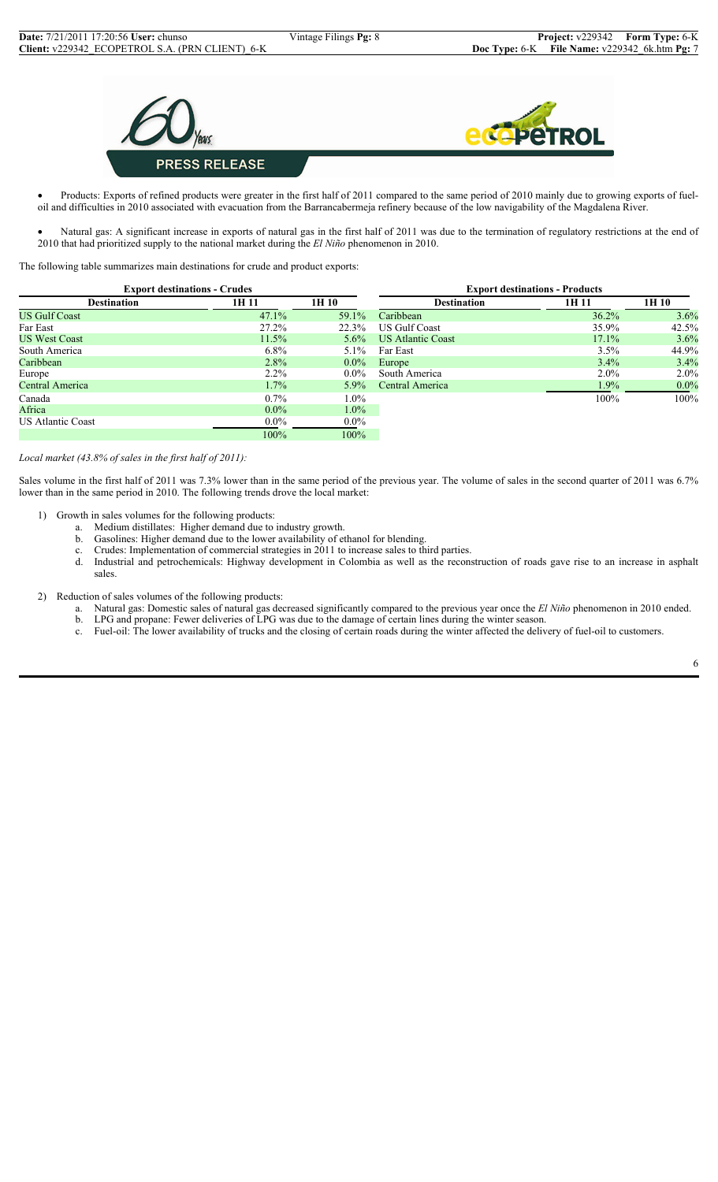

• Products: Exports of refined products were greater in the first half of 2011 compared to the same period of 2010 mainly due to growing exports of fueloil and difficulties in 2010 associated with evacuation from the Barrancabermeja refinery because of the low navigability of the Magdalena River.

Natural gas: A significant increase in exports of natural gas in the first half of 2011 was due to the termination of regulatory restrictions at the end of 2010 that had prioritized supply to the national market during the *El Niño* phenomenon in 2010.

The following table summarizes main destinations for crude and product exports:

. The contract of the contract of the contract of the contract of the contract of  $100\%$ 

| <b>Export destinations - Crudes</b> |          |         |                      | <b>Export destinations - Products</b> |         |
|-------------------------------------|----------|---------|----------------------|---------------------------------------|---------|
| <b>Destination</b>                  | 1H 11    | 1H 10   | <b>Destination</b>   | 1H 11                                 | 1H 10   |
| <b>US Gulf Coast</b>                | $47.1\%$ | 59.1%   | Caribbean            | 36.2%                                 | 3.6%    |
| Far East                            | $27.2\%$ | 22.3%   | <b>US Gulf Coast</b> | 35.9%                                 | 42.5%   |
| <b>US West Coast</b>                | 11.5%    | $5.6\%$ | US Atlantic Coast    | 17.1%                                 | 3.6%    |
| South America                       | $6.8\%$  | $5.1\%$ | Far East             | 3.5%                                  | 44.9%   |
| Caribbean                           | 2.8%     | $0.0\%$ | Europe               | $3.4\%$                               | 3.4%    |
| Europe                              | $2.2\%$  | $0.0\%$ | South America        | $2.0\%$                               | $2.0\%$ |
| Central America                     | $1.7\%$  | $5.9\%$ | Central America      | $1.9\%$                               | $0.0\%$ |
| Canada                              | $0.7\%$  | $1.0\%$ |                      | 100%                                  | 100%    |
| Africa                              | $0.0\%$  | $1.0\%$ |                      |                                       |         |
| <b>US Atlantic Coast</b>            | $0.0\%$  | $0.0\%$ |                      |                                       |         |

#### *Local market (43.8% of sales in the first half of 2011):*

Sales volume in the first half of 2011 was 7.3% lower than in the same period of the previous year. The volume of sales in the second quarter of 2011 was 6.7% lower than in the same period in 2010. The following trends drove the local market:

- 1) Growth in sales volumes for the following products:
	- a. Medium distillates: Higher demand due to industry growth.
	- b. Gasolines: Higher demand due to the lower availability of ethanol for blending.
	- c. Crudes: Implementation of commercial strategies in 2011 to increase sales to third parties.
	- d. Industrial and petrochemicals: Highway development in Colombia as well as the reconstruction of roads gave rise to an increase in asphalt sales.
- 2) Reduction of sales volumes of the following products:
	- a. Natural gas: Domestic sales of natural gas decreased significantly compared to the previous year once the *El Niño* phenomenon in 2010 ended.
	- b. LPG and propane: Fewer deliveries of LPG was due to the damage of certain lines during the winter season.
	- c. Fuel-oil: The lower availability of trucks and the closing of certain roads during the winter affected the delivery of fuel-oil to customers.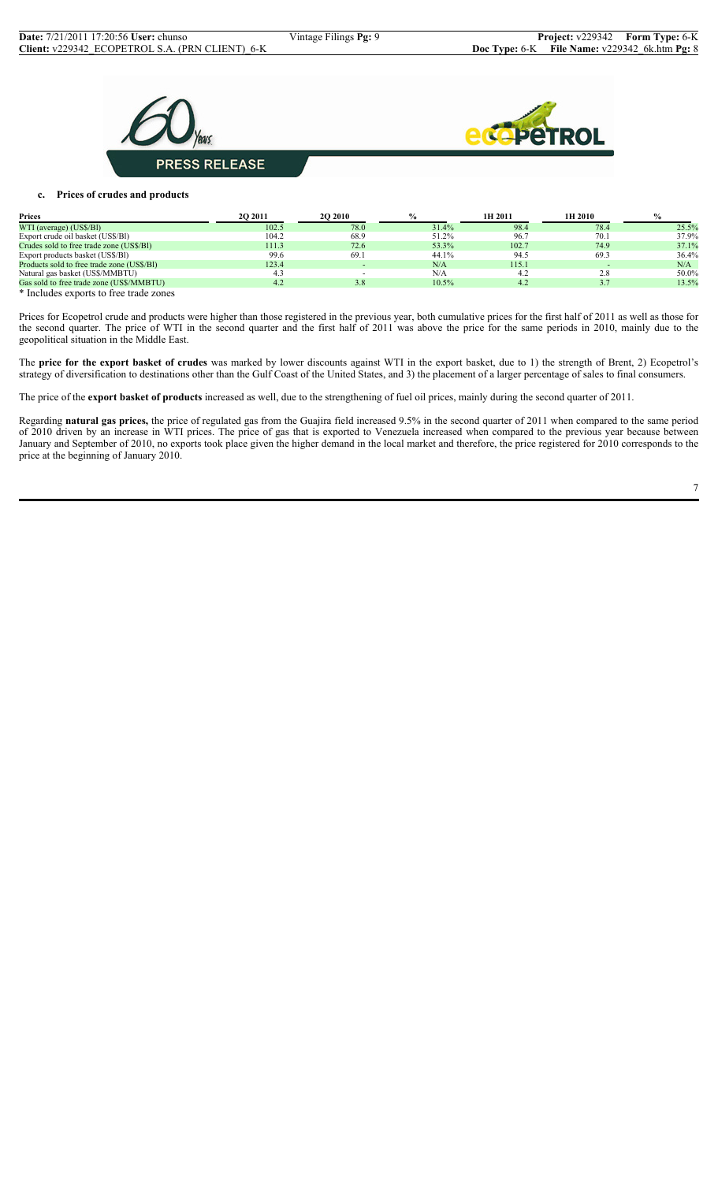**PRESS RELEASE** 



## **c. Prices of crudes and products**

| <b>Prices</b>                                                                                                                                                                                                                     | <b>202011</b> | <b>2O 2010</b> | $\%$  | 1H 2011 | 1H 2010 | $\%$  |
|-----------------------------------------------------------------------------------------------------------------------------------------------------------------------------------------------------------------------------------|---------------|----------------|-------|---------|---------|-------|
| WTI (average) (US\$/BI)                                                                                                                                                                                                           | 102.5         | 78.0           | 31.4% | 98.4    | 78.4    | 25.5% |
| Export crude oil basket (US\$/BI)                                                                                                                                                                                                 | 104.2         | 68.9           | 51.2% | 96.7    | 70.1    | 37.9% |
| Crudes sold to free trade zone (US\$/BI)                                                                                                                                                                                          | 111.3         | 72.6           | 53.3% | 102.7   | 74.9    | 37.1% |
| Export products basket (US\$/BI)                                                                                                                                                                                                  | 99.6          | 69.1           | 44.1% | 94.5    | 69.3    | 36.4% |
| Products sold to free trade zone (US\$/BI)                                                                                                                                                                                        | 123.4         |                | N/A   | 115.1   |         | N/A   |
| Natural gas basket (US\$/MMBTU)                                                                                                                                                                                                   |               |                | N/A   | 4.2     | 2.8     | 50.0% |
| Gas sold to free trade zone (US\$/MMBTU)                                                                                                                                                                                          | 4.2           | 3.8            | 10.5% | 4.2     |         | 13.5% |
| $\mathbf{a}$ , and the contract of the contract of the contract of the contract of the contract of the contract of the contract of the contract of the contract of the contract of the contract of the contract of the contract o |               |                |       |         |         |       |

\* Includes exports to free trade zones

Prices for Ecopetrol crude and products were higher than those registered in the previous year, both cumulative prices for the first half of 2011 as well as those for the second quarter. The price of WTI in the second quarter and the first half of 2011 was above the price for the same periods in 2010, mainly due to the geopolitical situation in the Middle East.

The **price for the export basket of crudes** was marked by lower discounts against WTI in the export basket, due to 1) the strength of Brent, 2) Ecopetrol's strategy of diversification to destinations other than the Gulf Coast of the United States, and 3) the placement of a larger percentage of sales to final consumers.

The price of the **export basket of products** increased as well, due to the strengthening of fuel oil prices, mainly during the second quarter of 2011.

Regarding **natural gas prices,** the price of regulated gas from the Guajira field increased 9.5% in the second quarter of 2011 when compared to the same period of 2010 driven by an increase in WTI prices. The price of gas that is exported to Venezuela increased when compared to the previous year because between January and September of 2010, no exports took place given the higher demand in the local market and therefore, the price registered for 2010 corresponds to the price at the beginning of January 2010.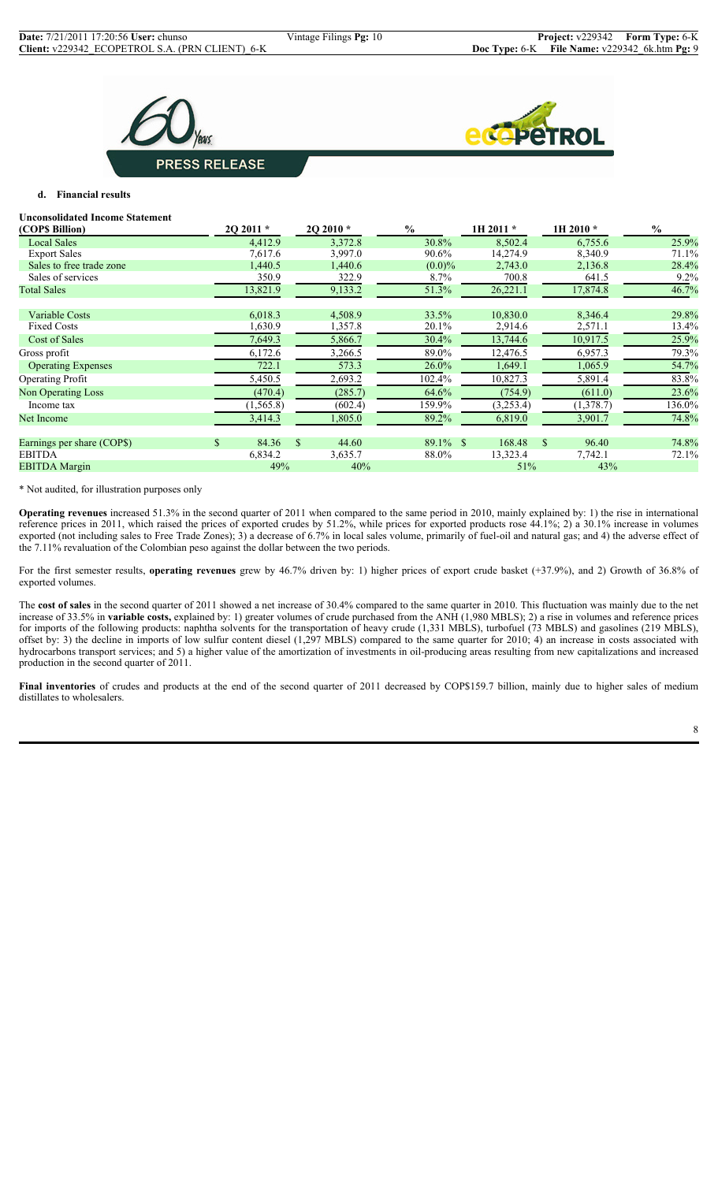



## **d. Financial results**

#### **Unconsolidated Income Statement**

| (COPS Billion)             |                | 20 20 11 * | $2Q 2010 *$            | $\%$        | 1H 2011 * | 1H 2010 *              | $\frac{0}{0}$ |
|----------------------------|----------------|------------|------------------------|-------------|-----------|------------------------|---------------|
| <b>Local Sales</b>         |                | 4,412.9    | 3,372.8                | 30.8%       | 8,502.4   | 6,755.6                | 25.9%         |
| <b>Export Sales</b>        |                | 7,617.6    | 3,997.0                | 90.6%       | 14,274.9  | 8,340.9                | 71.1%         |
| Sales to free trade zone   |                | 1,440.5    | 1,440.6                | $(0.0)\%$   | 2,743.0   | 2,136.8                | 28.4%         |
| Sales of services          |                | 350.9      | 322.9                  | $8.7\%$     | 700.8     | 641.5                  | 9.2%          |
| <b>Total Sales</b>         |                | 13,821.9   | 9,133.2                | 51.3%       | 26,221.1  | 17,874.8               | 46.7%         |
| Variable Costs             |                | 6,018.3    | 4,508.9                | 33.5%       | 10,830.0  | 8,346.4                | 29.8%         |
| <b>Fixed Costs</b>         |                | 1,630.9    | 1,357.8                | 20.1%       | 2,914.6   | 2,571.1                | 13.4%         |
| Cost of Sales              |                | 7,649.3    | 5,866.7                | 30.4%       | 13,744.6  | 10,917.5               | 25.9%         |
| Gross profit               |                | 6,172.6    | 3,266.5                | 89.0%       | 12,476.5  | 6,957.3                | 79.3%         |
| <b>Operating Expenses</b>  |                | 722.1      | 573.3                  | $26.0\%$    | 1,649.1   | 1,065.9                | 54.7%         |
| <b>Operating Profit</b>    |                | 5,450.5    | 2,693.2                | 102.4%      | 10,827.3  | 5,891.4                | 83.8%         |
| <b>Non Operating Loss</b>  |                | (470.4)    | (285.7)                | 64.6%       | (754.9)   | (611.0)                | 23.6%         |
| Income tax                 |                | (1, 565.8) | (602.4)                | 159.9%      | (3,253.4) | (1,378.7)              | 136.0%        |
| Net Income                 |                | 3,414.3    | 1,805.0                | 89.2%       | 6,819.0   | 3,901.7                | 74.8%         |
| Earnings per share (COP\$) | $\mathbb{S}^-$ | 84.36      | 44.60<br><sup>\$</sup> | $89.1\%$ \$ | 168.48    | 96.40<br><sup>\$</sup> | 74.8%         |
| <b>EBITDA</b>              |                | 6,834.2    | 3,635.7                | 88.0%       | 13,323.4  | 7,742.1                | 72.1%         |
| <b>EBITDA</b> Margin       |                | 49%        | 40%                    |             | 51%       | 43%                    |               |

\* Not audited, for illustration purposes only

**Operating revenues** increased 51.3% in the second quarter of 2011 when compared to the same period in 2010, mainly explained by: 1) the rise in international reference prices in 2011, which raised the prices of exported crudes by 51.2%, while prices for exported products rose 44.1%; 2) a 30.1% increase in volumes exported (not including sales to Free Trade Zones); 3) a decrease of 6.7% in local sales volume, primarily of fuel-oil and natural gas; and 4) the adverse effect of the 7.11% revaluation of the Colombian peso against the dollar between the two periods.

For the first semester results, **operating revenues** grew by 46.7% driven by: 1) higher prices of export crude basket (+37.9%), and 2) Growth of 36.8% of exported volumes.

The **cost of sales** in the second quarter of 2011 showed a net increase of 30.4% compared to the same quarter in 2010. This fluctuation was mainly due to the net increase of 33.5% in **variable costs,** explained by: 1) greater volumes of crude purchased from the ANH (1,980 MBLS); 2) a rise in volumes and reference prices for imports of the following products: naphtha solvents for the transportation of heavy crude (1,331 MBLS), turbofuel (73 MBLS) and gasolines (219 MBLS), offset by: 3) the decline in imports of low sulfur content diesel (1,297 MBLS) compared to the same quarter for 2010; 4) an increase in costs associated with hydrocarbons transport services; and 5) a higher value of the amortization of investments in oil-producing areas resulting from new capitalizations and increased production in the second quarter of 2011.

Final inventories of crudes and products at the end of the second quarter of 2011 decreased by COP\$159.7 billion, mainly due to higher sales of medium distillates to wholesalers.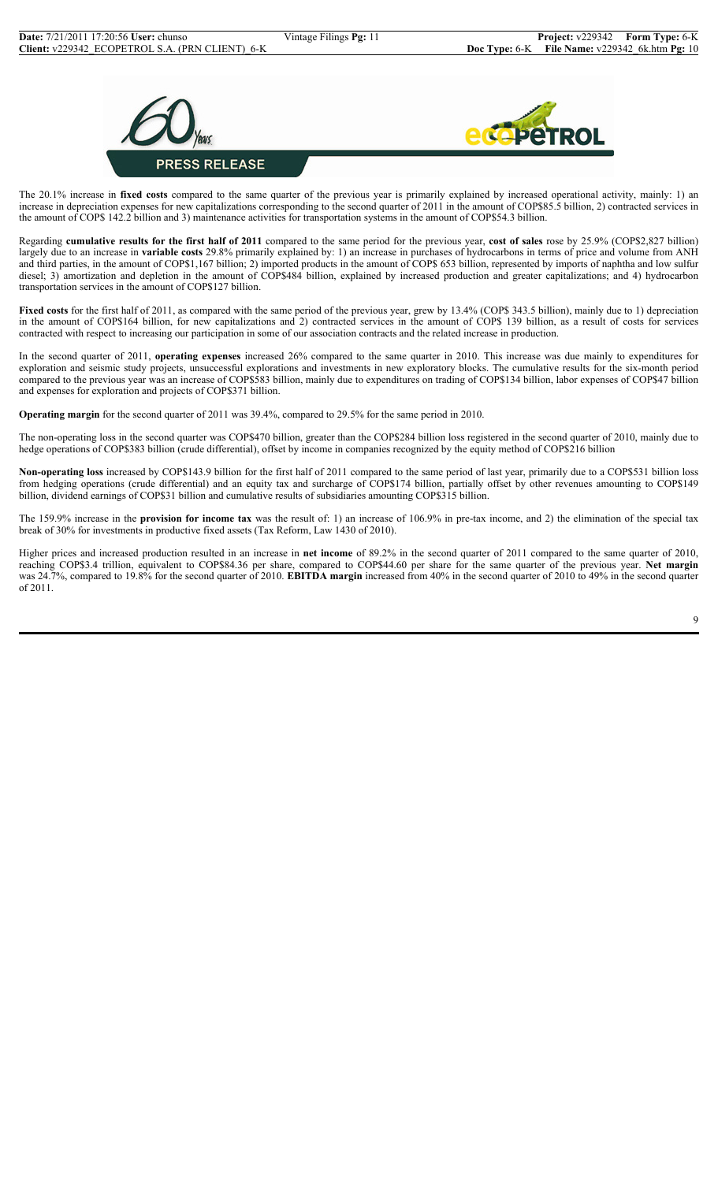



The 20.1% increase in **fixed costs** compared to the same quarter of the previous year is primarily explained by increased operational activity, mainly: 1) an increase in depreciation expenses for new capitalizations corresponding to the second quarter of 2011 in the amount of COP\$85.5 billion, 2) contracted services in the amount of COP\$ 142.2 billion and 3) maintenance activities for transportation systems in the amount of COP\$54.3 billion.

Regarding **cumulative results for the first half of 2011** compared to the same period for the previous year, **cost of sales** rose by 25.9% (COP\$2,827 billion) largely due to an increase in **variable costs** 29.8% primarily explained by: 1) an increase in purchases of hydrocarbons in terms of price and volume from ANH and third parties, in the amount of COP\$1,167 billion; 2) imported products in the amount of COP\$ 653 billion, represented by imports of naphtha and low sulfur diesel; 3) amortization and depletion in the amount of COP\$484 billion, explained by increased production and greater capitalizations; and 4) hydrocarbon transportation services in the amount of COP\$127 billion.

Fixed costs for the first half of 2011, as compared with the same period of the previous year, grew by 13.4% (COP\$ 343.5 billion), mainly due to 1) depreciation in the amount of COP\$164 billion, for new capitalizations and 2) contracted services in the amount of COP\$ 139 billion, as a result of costs for services contracted with respect to increasing our participation in some of our association contracts and the related increase in production.

In the second quarter of 2011, **operating expenses** increased 26% compared to the same quarter in 2010. This increase was due mainly to expenditures for exploration and seismic study projects, unsuccessful explorations and investments in new exploratory blocks. The cumulative results for the six-month period compared to the previous year was an increase of COP\$583 billion, mainly due to expenditures on trading of COP\$134 billion, labor expenses of COP\$47 billion and expenses for exploration and projects of COP\$371 billion.

**Operating margin** for the second quarter of 2011 was 39.4%, compared to 29.5% for the same period in 2010.

The non-operating loss in the second quarter was COP\$470 billion, greater than the COP\$284 billion loss registered in the second quarter of 2010, mainly due to hedge operations of COP\$383 billion (crude differential), offset by income in companies recognized by the equity method of COP\$216 billion

**Non-operating loss** increased by COP\$143.9 billion for the first half of 2011 compared to the same period of last year, primarily due to a COP\$531 billion loss from hedging operations (crude differential) and an equity tax and surcharge of COP\$174 billion, partially offset by other revenues amounting to COP\$149 billion, dividend earnings of COP\$31 billion and cumulative results of subsidiaries amounting COP\$315 billion.

The 159.9% increase in the **provision for income tax** was the result of: 1) an increase of 106.9% in pre-tax income, and 2) the elimination of the special tax break of 30% for investments in productive fixed assets (Tax Reform, Law 1430 of 2010).

Higher prices and increased production resulted in an increase in **net income** of 89.2% in the second quarter of 2011 compared to the same quarter of 2010, reaching COP\$3.4 trillion, equivalent to COP\$84.36 per share, compared to COP\$44.60 per share for the same quarter of the previous year. **Net margin**  was 24.7%, compared to 19.8% for the second quarter of 2010. **EBITDA margin** increased from 40% in the second quarter of 2010 to 49% in the second quarter of 2011.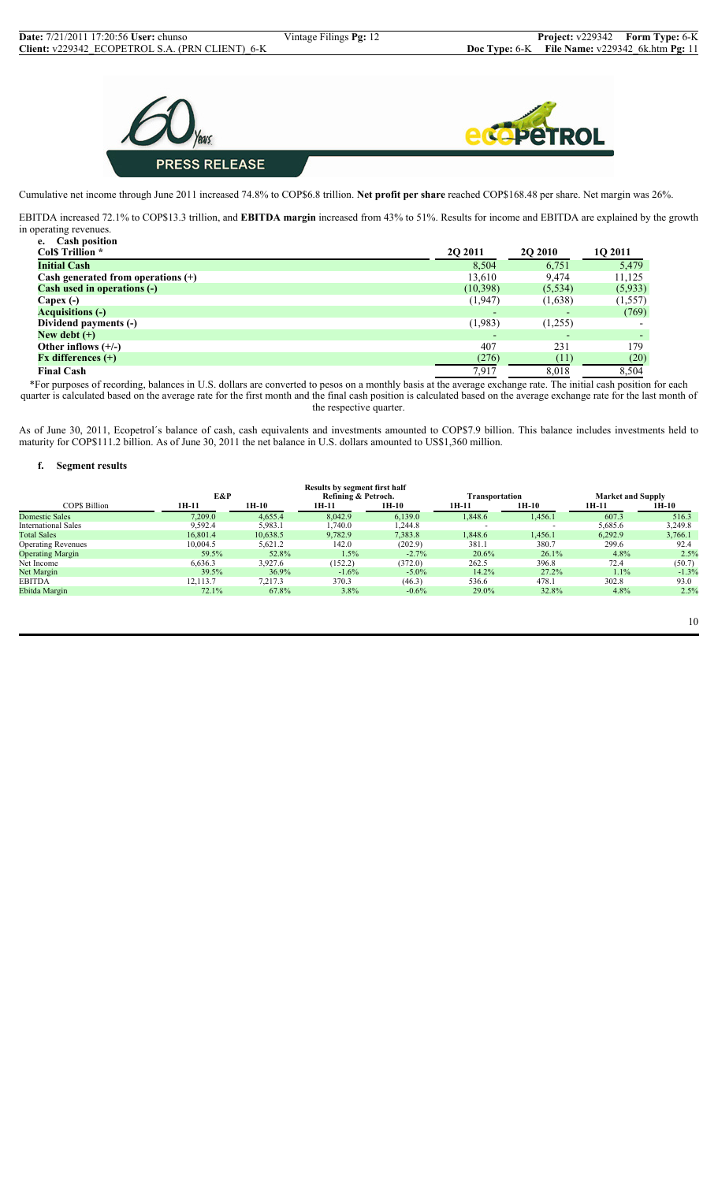



Cumulative net income through June 2011 increased 74.8% to COP\$6.8 trillion. **Net profit per share** reached COP\$168.48 per share. Net margin was 26%.

EBITDA increased 72.1% to COP\$13.3 trillion, and **EBITDA margin** increased from 43% to 51%. Results for income and EBITDA are explained by the growth in operating revenues.

| <b>Cash position</b><br>e.           |                          |                |          |
|--------------------------------------|--------------------------|----------------|----------|
| <b>Cols Trillion</b> *               | <b>20 2011</b>           | <b>2Q 2010</b> | 1Q 2011  |
| <b>Initial Cash</b>                  | 8,504                    | 6,751          | 5,479    |
| Cash generated from operations $(+)$ | 13,610                   | 9.474          | 11,125   |
| Cash used in operations (-)          | (10, 398)                | (5,534)        | (5,933)  |
| Capex $(-)$                          | (1,947)                  | (1,638)        | (1, 557) |
| <b>Acquisitions (-)</b>              | $\overline{\phantom{0}}$ |                | (769)    |
| Dividend payments (-)                | (1,983)                  | (1,255)        |          |
| New debt $(+)$                       | $\overline{\phantom{0}}$ |                |          |
| Other inflows $(+/-)$                | 407                      | 231            | 179      |
| $Fx$ differences $(+)$               | (276)                    | (11)           | (20)     |
| <b>Final Cash</b>                    | 7,917                    | 8.018          | 8.504    |

\*For purposes of recording, balances in U.S. dollars are converted to pesos on a monthly basis at the average exchange rate. The initial cash position for each quarter is calculated based on the average rate for the first month and the final cash position is calculated based on the average exchange rate for the last month of the respective quarter.

As of June 30, 2011, Ecopetrol´s balance of cash, cash equivalents and investments amounted to COP\$7.9 billion. This balance includes investments held to maturity for COP\$111.2 billion. As of June 30, 2011 the net balance in U.S. dollars amounted to US\$1,360 million.

## **f. Segment results**

|                            |          |          | Results by segment first half |          |                |                          |                          |         |
|----------------------------|----------|----------|-------------------------------|----------|----------------|--------------------------|--------------------------|---------|
|                            | E&P      |          | Refining & Petroch.           |          | Transportation |                          | <b>Market and Supply</b> |         |
| COPS Billion               | 1H-11    | $1H-10$  | 1H-11                         | $1H-10$  | 1H-11          | $1H-10$                  | 1H-11                    | 1H-10   |
| Domestic Sales             | 7,209.0  | 4,655.4  | 8,042.9                       | 6,139.0  | 1,848.6        | 1,456.1                  | 607.3                    | 516.3   |
| <b>International Sales</b> | 9,592.4  | 5,983.1  | 1,740.0                       | .244.8   |                | $\overline{\phantom{a}}$ | 5,685.6                  | 3,249.8 |
| <b>Total Sales</b>         | 16.801.4 | 10,638.5 | 9,782.9                       | 7,383.8  | 1.848.6        | 1,456.1                  | 6,292.9                  | 3,766.1 |
| <b>Operating Revenues</b>  | 10,004.5 | 5,621.2  | 142.0                         | (202.9)  | 381.1          | 380.7                    | 299.6                    | 92.4    |
| <b>Operating Margin</b>    | 59.5%    | 52.8%    | 1.5%                          | $-2.7%$  | 20.6%          | 26.1%                    | 4.8%                     | 2.5%    |
| Net Income                 | 6,636.3  | 3.927.6  | (152.2)                       | (372.0)  | 262.5          | 396.8                    | 72.4                     | (50.7)  |
| Net Margin                 | 39.5%    | 36.9%    | $-1.6\%$                      | $-5.0\%$ | 14.2%          | 27.2%                    | 1.1%                     | $-1.3%$ |
| <b>EBITDA</b>              | 12.113.7 | 7,217.3  | 370.3                         | (46.3)   | 536.6          | 478.1                    | 302.8                    | 93.0    |
| Ebitda Margin              | 72.1%    | 67.8%    | 3.8%                          | $-0.6%$  | 29.0%          | 32.8%                    | 4.8%                     | 2.5%    |
|                            |          |          |                               |          |                |                          |                          |         |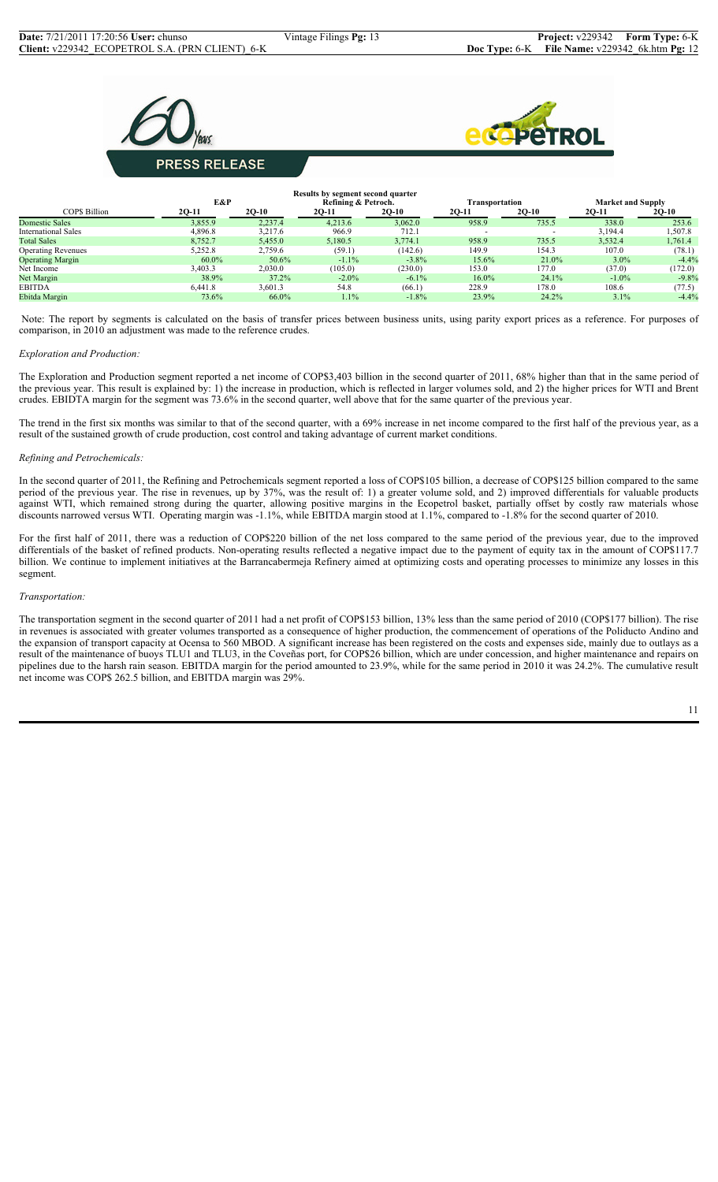



# **PRESS RELEASE**

|                            |                                                                          |         | Results by segment second quarter |          |          |         |          |         |
|----------------------------|--------------------------------------------------------------------------|---------|-----------------------------------|----------|----------|---------|----------|---------|
|                            | E&P<br>Refining & Petroch.<br><b>Market and Supply</b><br>Fransportation |         |                                   |          |          |         |          |         |
| <b>COPS Billion</b>        | $2Q-11$                                                                  | $2Q-10$ | 2Q-11                             | $2Q-10$  | 2Q-11    | $2Q-10$ | 2Q-11    | $2Q-10$ |
| Domestic Sales             | 3,855.9                                                                  | 2,237.4 | 4,213.6                           | 3,062.0  | 958.9    | 735.5   | 338.0    | 253.6   |
| <b>International Sales</b> | 4,896.8                                                                  | 3,217.6 | 966.9                             | 712.1    |          |         | 3,194.4  | 1,507.8 |
| <b>Total Sales</b>         | 8.752.7                                                                  | 5,455.0 | 5,180.5                           | 3,774.1  | 958.9    | 735.5   | 3,532.4  | 1,761.4 |
| <b>Operating Revenues</b>  | 5,252.8                                                                  | 2,759.6 | (59.1)                            | (142.6)  | 149.9    | 154.3   | 107.0    | (78.1)  |
| <b>Operating Margin</b>    | $60.0\%$                                                                 | 50.6%   | $-1.1\%$                          | $-3.8\%$ | 15.6%    | 21.0%   | $3.0\%$  | $-4.4%$ |
| Net Income                 | 3,403.3                                                                  | 2,030.0 | (105.0)                           | (230.0)  | 153.0    | 177.0   | (37.0)   | (172.0) |
| Net Margin                 | 38.9%                                                                    | 37.2%   | $-2.0\%$                          | $-6.1\%$ | $16.0\%$ | 24.1%   | $-1.0\%$ | $-9.8%$ |
| <b>EBITDA</b>              | 6.441.8                                                                  | 3.601.3 | 54.8                              | (66.1)   | 228.9    | 178.0   | 108.6    | (77.5)  |
| Ebitda Margin              | 73.6%                                                                    | 66.0%   | 1.1%                              | $-1.8%$  | 23.9%    | 24.2%   | 3.1%     | $-4.4%$ |

 Note: The report by segments is calculated on the basis of transfer prices between business units, using parity export prices as a reference. For purposes of comparison, in 2010 an adjustment was made to the reference crudes.

## *Exploration and Production:*

The Exploration and Production segment reported a net income of COP\$3,403 billion in the second quarter of 2011, 68% higher than that in the same period of the previous year. This result is explained by: 1) the increase in production, which is reflected in larger volumes sold, and 2) the higher prices for WTI and Brent crudes. EBIDTA margin for the segment was 73.6% in the second quarter, well above that for the same quarter of the previous year.

The trend in the first six months was similar to that of the second quarter, with a 69% increase in net income compared to the first half of the previous year, as a result of the sustained growth of crude production, cost control and taking advantage of current market conditions.

#### *Refining and Petrochemicals:*

In the second quarter of 2011, the Refining and Petrochemicals segment reported a loss of COP\$105 billion, a decrease of COP\$125 billion compared to the same period of the previous year. The rise in revenues, up by 37%, was the result of: 1) a greater volume sold, and 2) improved differentials for valuable products against WTI, which remained strong during the quarter, allowing positive margins in the Ecopetrol basket, partially offset by costly raw materials whose discounts narrowed versus WTI. Operating margin was -1.1%, while EBITDA margin stood at 1.1%, compared to -1.8% for the second quarter of 2010.

For the first half of 2011, there was a reduction of COP\$220 billion of the net loss compared to the same period of the previous year, due to the improved differentials of the basket of refined products. Non-operating results reflected a negative impact due to the payment of equity tax in the amount of COP\$117.7 billion. We continue to implement initiatives at the Barrancabermeja Refinery aimed at optimizing costs and operating processes to minimize any losses in this segment.

#### *Transportation:*

The transportation segment in the second quarter of 2011 had a net profit of COP\$153 billion, 13% less than the same period of 2010 (COP\$177 billion). The rise in revenues is associated with greater volumes transported as a consequence of higher production, the commencement of operations of the Poliducto Andino and the expansion of transport capacity at Ocensa to 560 MBOD. A significant increase has been registered on the costs and expenses side, mainly due to outlays as a result of the maintenance of buoys TLU1 and TLU3, in the Coveñas port, for COP\$26 billion, which are under concession, and higher maintenance and repairs on pipelines due to the harsh rain season. EBITDA margin for the period amounted to 23.9%, while for the same period in 2010 it was 24.2%. The cumulative result net income was COP\$ 262.5 billion, and EBITDA margin was 29%.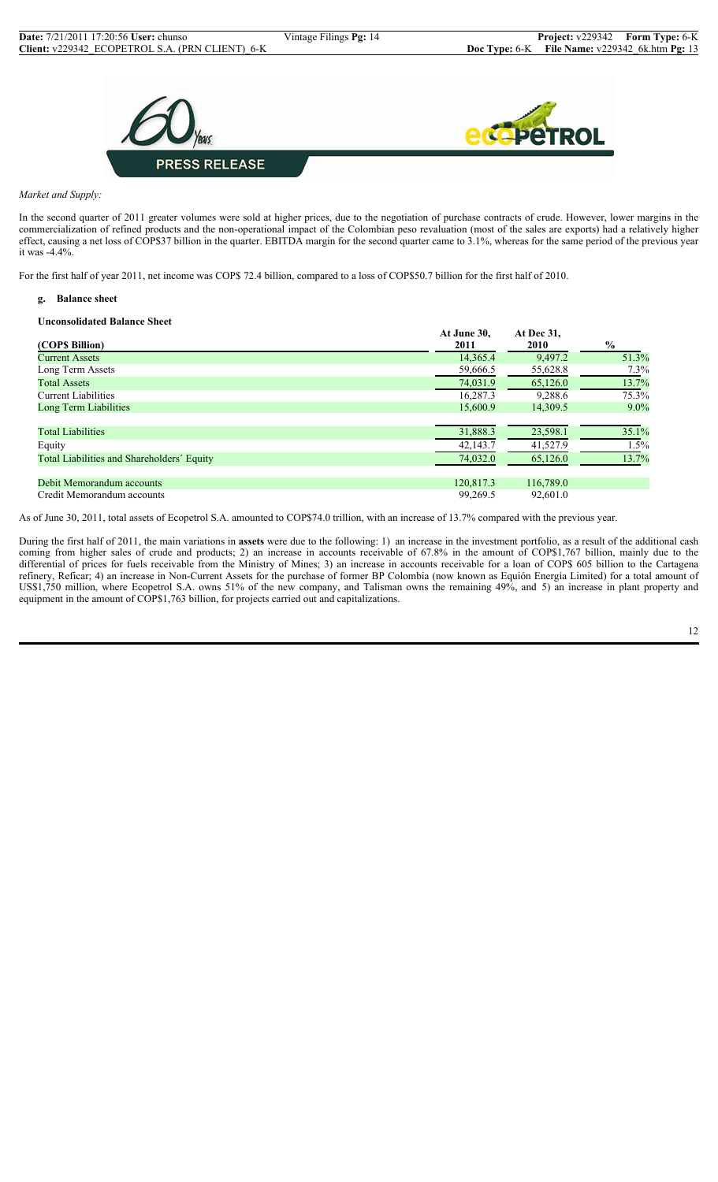

*Market and Supply:*

In the second quarter of 2011 greater volumes were sold at higher prices, due to the negotiation of purchase contracts of crude. However, lower margins in the commercialization of refined products and the non-operational impact of the Colombian peso revaluation (most of the sales are exports) had a relatively higher effect, causing a net loss of COP\$37 billion in the quarter. EBITDA margin for the second quarter came to 3.1%, whereas for the same period of the previous year it was -4.4%.

For the first half of year 2011, net income was COP\$ 72.4 billion, compared to a loss of COP\$50.7 billion for the first half of 2010.

#### **g. Balance sheet**

#### **Unconsolidated Balance Sheet**

| (COP\$ Billion)                            | At June 30,<br>2011 | At Dec 31,<br><b>2010</b> | $\frac{6}{10}$ |
|--------------------------------------------|---------------------|---------------------------|----------------|
| <b>Current Assets</b>                      | 14,365.4            | 9,497.2                   | 51.3%          |
| Long Term Assets                           | 59,666.5            | 55,628.8                  | 7.3%           |
| <b>Total Assets</b>                        | 74,031.9            | 65,126.0                  | 13.7%          |
| <b>Current Liabilities</b>                 | 16,287.3            | 9,288.6                   | 75.3%          |
| Long Term Liabilities                      | 15,600.9            | 14.309.5                  | $9.0\%$        |
|                                            |                     |                           |                |
| <b>Total Liabilities</b>                   | 31,888.3            | 23,598.1                  | 35.1%          |
| Equity                                     | 42,143.7            | 41,527.9                  | 1.5%           |
| Total Liabilities and Shareholders' Equity | 74,032.0            | 65,126.0                  | 13.7%          |
|                                            |                     |                           |                |
| Debit Memorandum accounts                  | 120,817.3           | 116,789.0                 |                |
| Credit Memorandum accounts                 | 99.269.5            | 92,601.0                  |                |

As of June 30, 2011, total assets of Ecopetrol S.A. amounted to COP\$74.0 trillion, with an increase of 13.7% compared with the previous year.

During the first half of 2011, the main variations in **assets** were due to the following: 1) an increase in the investment portfolio, as a result of the additional cash coming from higher sales of crude and products; 2) an increase in accounts receivable of 67.8% in the amount of COP\$1,767 billion, mainly due to the differential of prices for fuels receivable from the Ministry of Mines; 3) an increase in accounts receivable for a loan of COP\$ 605 billion to the Cartagena refinery, Reficar; 4) an increase in Non-Current Assets for the purchase of former BP Colombia (now known as Equión Energía Limited) for a total amount of US\$1,750 million, where Ecopetrol S.A. owns 51% of the new company, and Talisman owns the remaining 49%, and 5) an increase in plant property and equipment in the amount of COP\$1,763 billion, for projects carried out and capitalizations.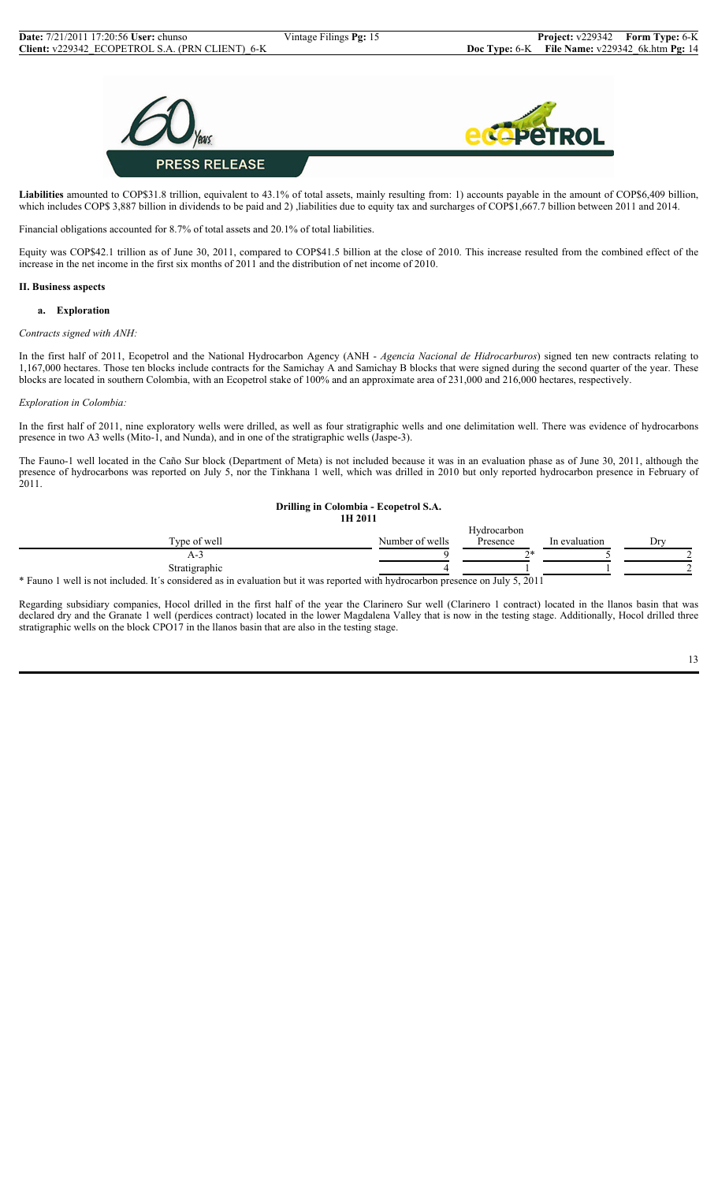

**Liabilities** amounted to COP\$31.8 trillion, equivalent to 43.1% of total assets, mainly resulting from: 1) accounts payable in the amount of COP\$6,409 billion, which includes COP\$ 3,887 billion in dividends to be paid and 2) ,liabilities due to equity tax and surcharges of COP\$1,667.7 billion between 2011 and 2014.

Financial obligations accounted for 8.7% of total assets and 20.1% of total liabilities.

Equity was COP\$42.1 trillion as of June 30, 2011, compared to COP\$41.5 billion at the close of 2010. This increase resulted from the combined effect of the increase in the net income in the first six months of 2011 and the distribution of net income of 2010.

## **II. Business aspects**

#### **a. Exploration**

#### *Contracts signed with ANH:*

In the first half of 2011, Ecopetrol and the National Hydrocarbon Agency (ANH - *Agencia Nacional de Hidrocarburos*) signed ten new contracts relating to 1,167,000 hectares. Those ten blocks include contracts for the Samichay A and Samichay B blocks that were signed during the second quarter of the year. These blocks are located in southern Colombia, with an Ecopetrol stake of 100% and an approximate area of 231,000 and 216,000 hectares, respectively.

#### *Exploration in Colombia:*

In the first half of 2011, nine exploratory wells were drilled, as well as four stratigraphic wells and one delimitation well. There was evidence of hydrocarbons presence in two A3 wells (Mito-1, and Nunda), and in one of the stratigraphic wells (Jaspe-3).

The Fauno-1 well located in the Caño Sur block (Department of Meta) is not included because it was in an evaluation phase as of June 30, 2011, although the presence of hydrocarbons was reported on July 5, nor the Tinkhana 1 well, which was drilled in 2010 but only reported hydrocarbon presence in February of  $2011.$ 

#### **Drilling in Colombia - Ecopetrol S.A. 1H 2011**

| --------                                                                                                                       |                 |           |               |     |
|--------------------------------------------------------------------------------------------------------------------------------|-----------------|-----------|---------------|-----|
|                                                                                                                                |                 |           |               |     |
| Type of well                                                                                                                   | Number of wells | Presence  | In evaluation | Dry |
| A-1                                                                                                                            |                 | $\gamma*$ |               |     |
| Stratigraphic                                                                                                                  |                 |           |               |     |
| * Fauno 1 well is not included. It's considered as in evaluation but it was reported with hydrocarbon presence on July 5, 2011 |                 |           |               |     |

Regarding subsidiary companies, Hocol drilled in the first half of the year the Clarinero Sur well (Clarinero 1 contract) located in the llanos basin that was declared dry and the Granate 1 well (perdices contract) located in the lower Magdalena Valley that is now in the testing stage. Additionally, Hocol drilled three stratigraphic wells on the block CPO17 in the llanos basin that are also in the testing stage.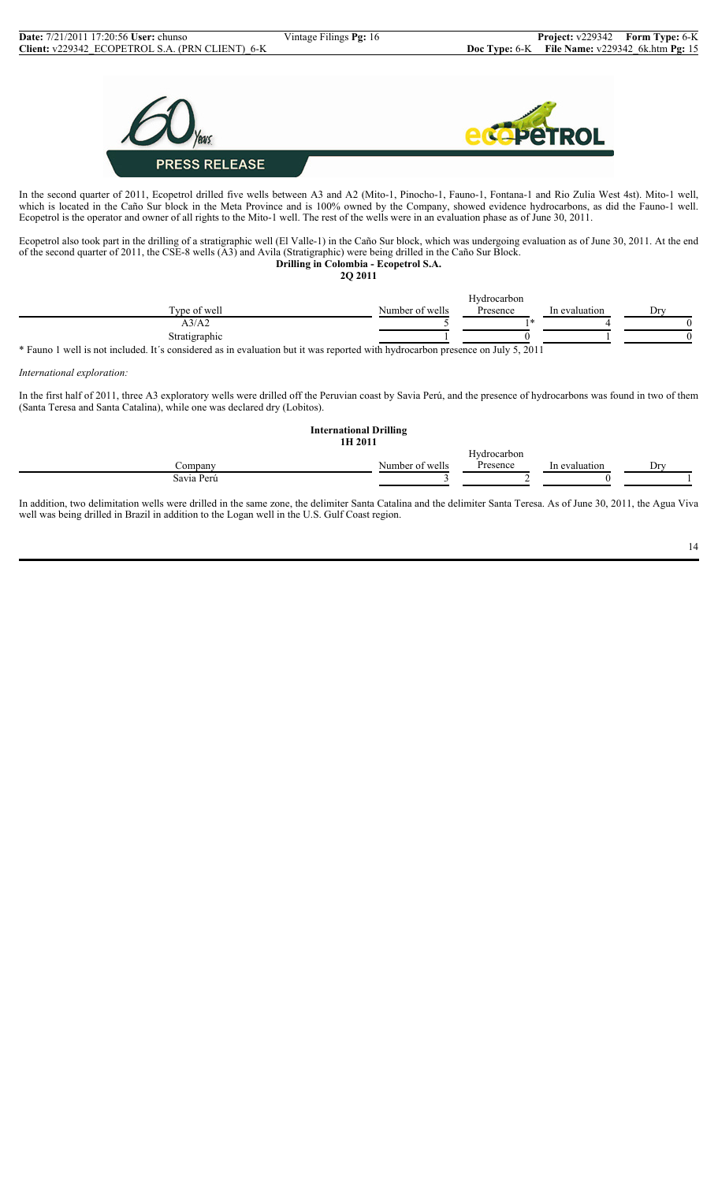

In the second quarter of 2011, Ecopetrol drilled five wells between A3 and A2 (Mito-1, Pinocho-1, Fauno-1, Fontana-1 and Rio Zulia West 4st). Mito-1 well, which is located in the Caño Sur block in the Meta Province and is 100% owned by the Company, showed evidence hydrocarbons, as did the Fauno-1 well. Ecopetrol is the operator and owner of all rights to the Mito-1 well. The rest of the wells were in an evaluation phase as of June 30, 2011.

Ecopetrol also took part in the drilling of a stratigraphic well (El Valle-1) in the Caño Sur block, which was undergoing evaluation as of June 30, 2011. At the end of the second quarter of 2011, the CSE-8 wells (A3) and Avila (Stratigraphic) were being drilled in the Caño Sur Block. **Drilling in Colombia - Ecopetrol S.A.**

**2Q 2011**

|                            |                 | <b>TT</b><br>Hydrocarbon |               |    |
|----------------------------|-----------------|--------------------------|---------------|----|
| company of<br>Type of well | Number of wells | Presence                 | In evaluation | Dr |
| A3/A2                      |                 |                          |               |    |
| Stratigraphic              |                 |                          |               |    |

\* Fauno 1 well is not included. It´s considered as in evaluation but it was reported with hydrocarbon presence on July 5, 2011

*International exploration:*

In the first half of 2011, three A3 exploratory wells were drilled off the Peruvian coast by Savia Perú, and the presence of hydrocarbons was found in two of them (Santa Teresa and Santa Catalina), while one was declared dry (Lobitos).

| <b>International Drilling</b><br>1H 2011 |                 |                         |               |     |
|------------------------------------------|-----------------|-------------------------|---------------|-----|
| Company                                  | Number of wells | Hydrocarbon<br>Presence | In evaluation | Dry |
|                                          |                 |                         |               |     |
| Savia Perú                               |                 |                         |               |     |
|                                          |                 |                         |               |     |

In addition, two delimitation wells were drilled in the same zone, the delimiter Santa Catalina and the delimiter Santa Teresa. As of June 30, 2011, the Agua Viva well was being drilled in Brazil in addition to the Logan well in the U.S. Gulf Coast region.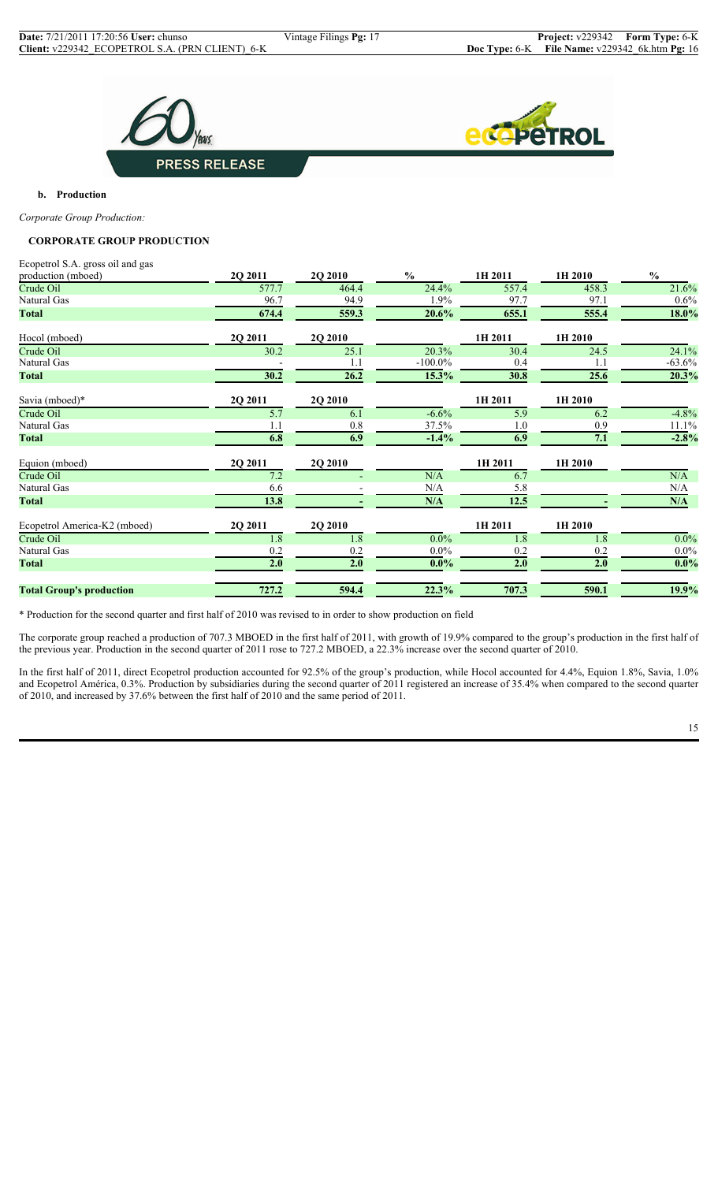



**b. Production**

*Corporate Group Production:*

## **CORPORATE GROUP PRODUCTION**

Ecopetrol S.A. gross oil and gas

| production (mboed)              | 2Q 2011 | 2Q 2010 | $\frac{0}{0}$ | 1H 2011 | 1H 2010 | $\frac{0}{0}$ |
|---------------------------------|---------|---------|---------------|---------|---------|---------------|
| Crude Oil                       | 577.7   | 464.4   | 24.4%         | 557.4   | 458.3   | 21.6%         |
| Natural Gas                     | 96.7    | 94.9    | 1.9%          | 97.7    | 97.1    | 0.6%          |
| Total                           | 674.4   | 559.3   | 20.6%         | 655.1   | 555.4   | 18.0%         |
| Hocol (mboed)                   | 2Q 2011 | 2Q 2010 |               | 1H 2011 | 1H 2010 |               |
| Crude Oil                       | 30.2    | 25.1    | 20.3%         | 30.4    | 24.5    | 24.1%         |
| Natural Gas                     |         | 1.1     | $-100.0\%$    | 0.4     | 1.1     | $-63.6%$      |
| Total                           | 30.2    | 26.2    | $15.3\%$      | 30.8    | 25.6    | 20.3%         |
| Savia (mboed)*                  | 2Q 2011 | 2Q 2010 |               | 1H 2011 | 1H 2010 |               |
| Crude Oil                       | 5.7     | 6.1     | $-6.6%$       | 5.9     | 6.2     | $-4.8%$       |
| Natural Gas                     | 1.1     | 0.8     | 37.5%         | 1.0     | 0.9     | 11.1%         |
| Total                           | 6.8     | 6.9     | $-1.4%$       | 6.9     | 7.1     | $-2.8%$       |
| Equion (mboed)                  | 2Q 2011 | 2Q 2010 |               | 1H 2011 | 1H 2010 |               |
| Crude Oil                       | 7.2     |         | N/A           | 6.7     |         | N/A           |
| Natural Gas                     | 6.6     |         | N/A           | 5.8     |         | N/A           |
| Total                           | 13.8    |         | N/A           | 12.5    |         | N/A           |
| Ecopetrol America-K2 (mboed)    | 2Q 2011 | 2Q 2010 |               | 1H 2011 | 1H 2010 |               |
| Crude Oil                       | 1.8     | 1.8     | $0.0\%$       | 1.8     | 1.8     | $0.0\%$       |
| Natural Gas                     | 0.2     | 0.2     | $0.0\%$       | 0.2     | 0.2     | $0.0\%$       |
| <b>Total</b>                    | 2.0     | 2.0     | $0.0\%$       | 2.0     | 2.0     | $0.0\%$       |
| <b>Total Group's production</b> | 727.2   | 594.4   | 22.3%         | 707.3   | 590.1   | 19.9%         |

\* Production for the second quarter and first half of 2010 was revised to in order to show production on field

The corporate group reached a production of 707.3 MBOED in the first half of 2011, with growth of 19.9% compared to the group's production in the first half of the previous year. Production in the second quarter of 2011 rose to 727.2 MBOED, a 22.3% increase over the second quarter of 2010.

In the first half of 2011, direct Ecopetrol production accounted for 92.5% of the group's production, while Hocol accounted for 4.4%, Equion 1.8%, Savia, 1.0% and Ecopetrol América, 0.3%. Production by subsidiaries during the second quarter of 2011 registered an increase of 35.4% when compared to the second quarter of 2010, and increased by 37.6% between the first half of 2010 and the same period of 2011.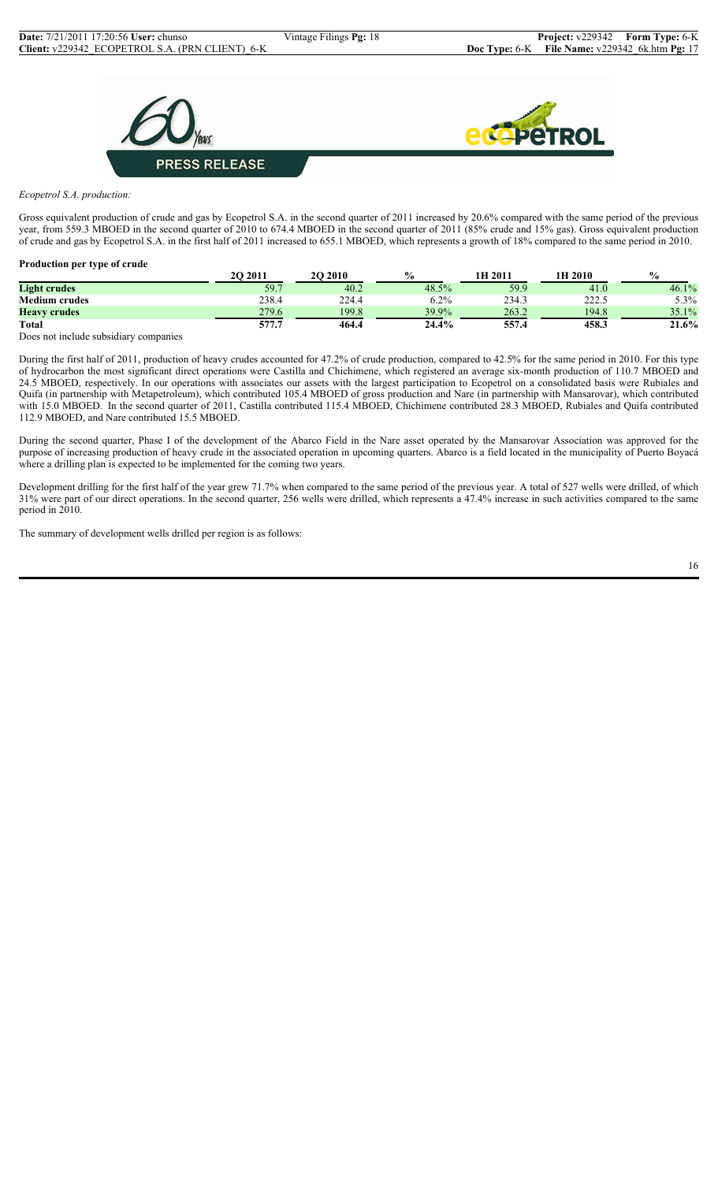



*Ecopetrol S.A. production:*

Gross equivalent production of crude and gas by Ecopetrol S.A. in the second quarter of 2011 increased by 20.6% compared with the same period of the previous year, from 559.3 MBOED in the second quarter of 2010 to 674.4 MBOED in the second quarter of 2011 (85% crude and 15% gas). Gross equivalent production of crude and gas by Ecopetrol S.A. in the first half of 2011 increased to 655.1 MBOED, which represents a growth of 18% compared to the same period in 2010.

| Production per type of crude          |          |                |               |         |         |               |
|---------------------------------------|----------|----------------|---------------|---------|---------|---------------|
|                                       | 20 20 11 | <b>2O 2010</b> | $\frac{0}{0}$ | 1H 2011 | 1H 2010 | $\frac{0}{0}$ |
| <b>Light crudes</b>                   | 59.7     | 40.2           | 48.5%         | 59.9    | 41.0    | $46.1\%$      |
| <b>Medium crudes</b>                  | 238.4    | 224.4          | 6.2%          | 234.3   | 222.5   | $5.3\%$       |
| <b>Heavy crudes</b>                   | 279.6    | 199.8          | 39.9%         | 263.2   | 194.8   | 35.1%         |
| <b>Total</b>                          | 577.7    | 464.4          | 24.4%         | 557.4   | 458.3   | 21.6%         |
| Dogs not include subsidiary companies |          |                |               |         |         |               |

es not include subsidiary companies

During the first half of 2011, production of heavy crudes accounted for 47.2% of crude production, compared to 42.5% for the same period in 2010. For this type of hydrocarbon the most significant direct operations were Castilla and Chichimene, which registered an average six-month production of 110.7 MBOED and 24.5 MBOED, respectively. In our operations with associates our assets with the largest participation to Ecopetrol on a consolidated basis were Rubiales and Quifa (in partnership with Metapetroleum), which contributed 105.4 MBOED of gross production and Nare (in partnership with Mansarovar), which contributed with 15.0 MBOED. In the second quarter of 2011, Castilla contributed 115.4 MBOED, Chichimene contributed 28.3 MBOED, Rubiales and Quifa contributed 112.9 MBOED, and Nare contributed 15.5 MBOED.

During the second quarter, Phase I of the development of the Abarco Field in the Nare asset operated by the Mansarovar Association was approved for the purpose of increasing production of heavy crude in the associated operation in upcoming quarters. Abarco is a field located in the municipality of Puerto Boyacá where a drilling plan is expected to be implemented for the coming two years.

Development drilling for the first half of the year grew 71.7% when compared to the same period of the previous year. A total of 527 wells were drilled, of which 31% were part of our direct operations. In the second quarter, 256 wells were drilled, which represents a 47.4% increase in such activities compared to the same period in 2010.

The summary of development wells drilled per region is as follows: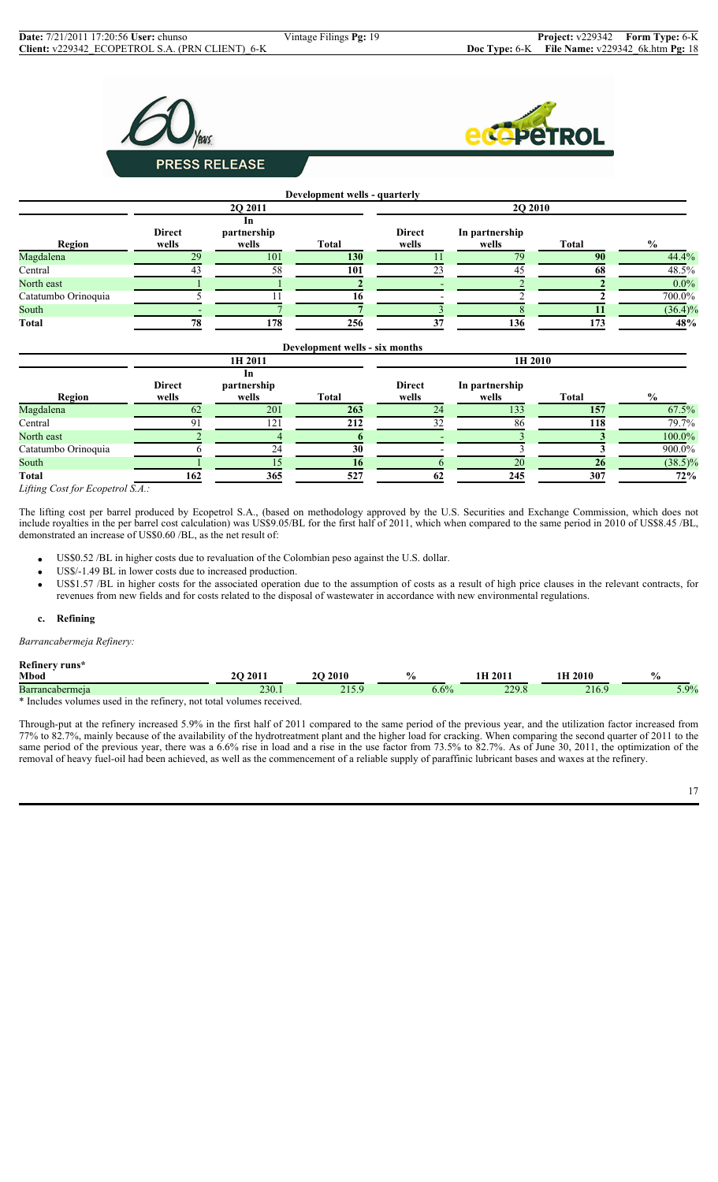



#### **Development wells - quarterly 2Q 2011 2Q 2010 Region Direct wells In partnership**  $Total$ **Direct wells In partnership wells Total %** Magdalena 29 101 **130** 11 79 **90** 44.4% Central 43 58 **101** 23 45 **68** 48.5% North east **1 1 2 2 2 2 2 2 2** Catatumbo Orinoquia  $\overline{5}$  11  $\overline{16}$   $\overline{16}$   $\overline{2}$   $\overline{2}$   $\overline{2}$   $\overline{700.0\%}$ South - 7 **7** 3 8 **11** (36.4)% **Total 78 178 256 37 136 173 48%**

|                                                                             |                        |                            | Development wells - six months |                        |                         |              |                |  |  |
|-----------------------------------------------------------------------------|------------------------|----------------------------|--------------------------------|------------------------|-------------------------|--------------|----------------|--|--|
|                                                                             |                        | 1H 2011                    |                                | 1H 2010                |                         |              |                |  |  |
| Region                                                                      | <b>Direct</b><br>wells | In<br>partnership<br>wells | <b>Total</b>                   | <b>Direct</b><br>wells | In partnership<br>wells | <b>Total</b> | $\frac{6}{10}$ |  |  |
| Magdalena                                                                   | 62                     | 201                        | 263                            | 24                     | 133                     | 157          | 67.5%          |  |  |
| Central                                                                     |                        | 121                        | 212                            | 32                     | 86                      | 118          | 79.7%          |  |  |
| North east                                                                  |                        |                            |                                |                        |                         |              | 100.0%         |  |  |
| Catatumbo Orinoquia                                                         |                        | 24                         | 30                             |                        |                         |              | 900.0%         |  |  |
| South                                                                       |                        |                            | 16                             |                        | 20                      | 26           | $(38.5)\%$     |  |  |
| <b>Total</b>                                                                | 162                    | 365                        | 527                            | 62                     | 245                     | 307          | 72%            |  |  |
| $\mathbf{r} \cdot \mathbf{r}$ . $\mathbf{r} \cdot \mathbf{r}$<br>$\sqrt{1}$ |                        |                            |                                |                        |                         |              |                |  |  |

*Lifting Cost for Ecopetrol S.A.:*

The lifting cost per barrel produced by Ecopetrol S.A., (based on methodology approved by the U.S. Securities and Exchange Commission, which does not include royalties in the per barrel cost calculation) was US\$9.05/BL for the first half of 2011, which when compared to the same period in 2010 of US\$8.45 /BL, demonstrated an increase of US\$0.60 /BL, as the net result of:

- US\$0.52 /BL in higher costs due to revaluation of the Colombian peso against the U.S. dollar.
- US\$/-1.49 BL in lower costs due to increased production.
- US\$1.57 /BL in higher costs for the associated operation due to the assumption of costs as a result of high price clauses in the relevant contracts, for revenues from new fields and for costs related to the disposal of wastewater in accordance with new environmental regulations.

#### **c. Refining**

*Barrancabermeja Refinery:*

**Refinery runs\***

| Mbod                                               | 201                  | 20<br>,,,, | 76            | 2011            | $\mathbf{u}$<br>70   |
|----------------------------------------------------|----------------------|------------|---------------|-----------------|----------------------|
| Barrancabermeia                                    | 220<br>230. I        | - - - -    | (0)<br>J.U 70 | 2200<br>$- - -$ | $\sqrt{90/2}$<br>- - |
| $*$ Include.<br>ctiner<br>not total<br>usec<br>the | received.<br>volumes |            |               |                 |                      |

Through-put at the refinery increased 5.9% in the first half of 2011 compared to the same period of the previous year, and the utilization factor increased from 77% to 82.7%, mainly because of the availability of the hydrotreatment plant and the higher load for cracking. When comparing the second quarter of 2011 to the same period of the previous year, there was a 6.6% rise in load and a rise in the use factor from 73.5% to 82.7%. As of June 30, 2011, the optimization of the removal of heavy fuel-oil had been achieved, as well as the commencement of a reliable supply of paraffinic lubricant bases and waxes at the refinery.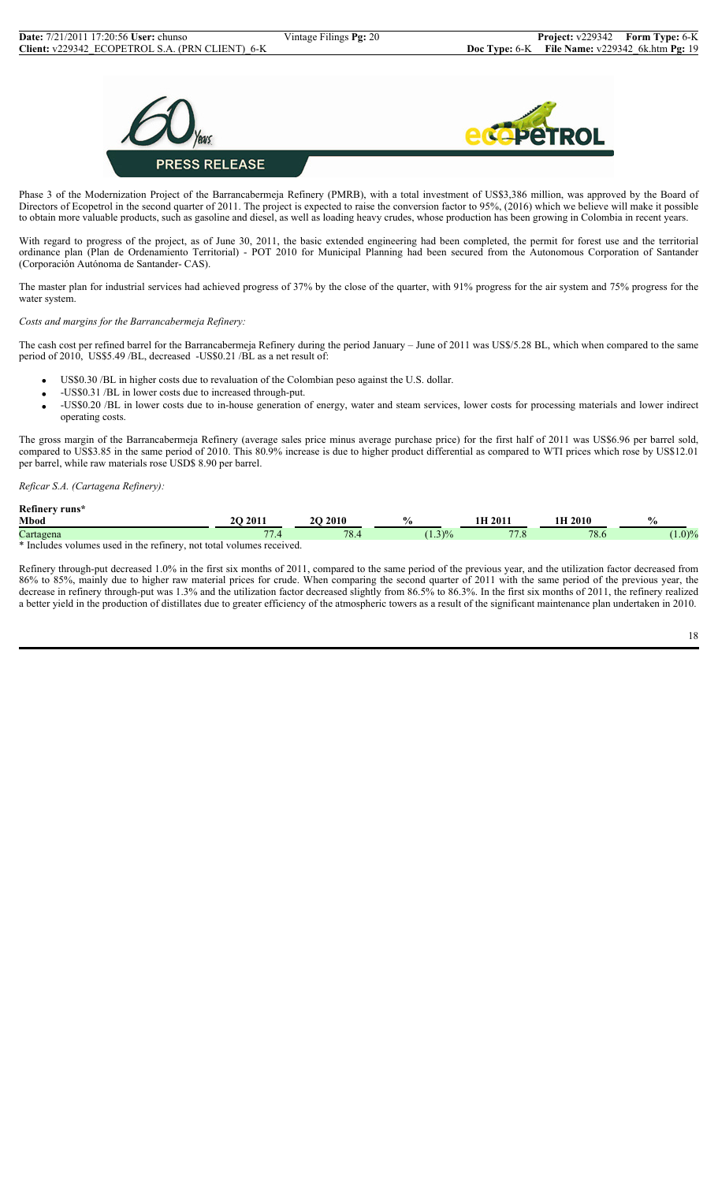

Phase 3 of the Modernization Project of the Barrancabermeja Refinery (PMRB), with a total investment of US\$3,386 million, was approved by the Board of Directors of Ecopetrol in the second quarter of 2011. The project is expected to raise the conversion factor to 95%, (2016) which we believe will make it possible to obtain more valuable products, such as gasoline and diesel, as well as loading heavy crudes, whose production has been growing in Colombia in recent years.

With regard to progress of the project, as of June 30, 2011, the basic extended engineering had been completed, the permit for forest use and the territorial ordinance plan (Plan de Ordenamiento Territorial) - POT 2010 for Municipal Planning had been secured from the Autonomous Corporation of Santander (Corporación Autónoma de Santander- CAS).

The master plan for industrial services had achieved progress of 37% by the close of the quarter, with 91% progress for the air system and 75% progress for the water system.

#### *Costs and margins for the Barrancabermeja Refinery:*

The cash cost per refined barrel for the Barrancabermeja Refinery during the period January – June of 2011 was US\$/5.28 BL, which when compared to the same period of 2010, US\$5.49 /BL, decreased -US\$0.21 /BL as a net result of:

- US\$0.30 /BL in higher costs due to revaluation of the Colombian peso against the U.S. dollar.
- -US\$0.31 /BL in lower costs due to increased through-put.
- -US\$0.20 /BL in lower costs due to in-house generation of energy, water and steam services, lower costs for processing materials and lower indirect operating costs.

The gross margin of the Barrancabermeja Refinery (average sales price minus average purchase price) for the first half of 2011 was US\$6.96 per barrel sold, compared to US\$3.85 in the same period of 2010. This 80.9% increase is due to higher product differential as compared to WTI prices which rose by US\$12.01 per barrel, while raw materials rose USD\$ 8.90 per barrel.

## *Reficar S.A. (Cartagena Refinery):*

| Refinery runs*<br>Mbod |  |     | 2011                             | 2010 | $\frac{0}{0}$ | <b>H</b> 2011    | $2010$ | $\frac{0}{0}$ |
|------------------------|--|-----|----------------------------------|------|---------------|------------------|--------|---------------|
| Cartagena              |  |     | $\overline{\phantom{a}}$<br>-. ۱ | 78.4 | $(1.3)\%$     | 77<br><i>. .</i> | 78.6   | $(1.0)\%$     |
| $\mathbf{a}$           |  | . 1 |                                  |      |               |                  |        |               |

\* Includes volumes used in the refinery, not total volumes received.

Refinery through-put decreased 1.0% in the first six months of 2011, compared to the same period of the previous year, and the utilization factor decreased from 86% to 85%, mainly due to higher raw material prices for crude. When comparing the second quarter of 2011 with the same period of the previous year, the decrease in refinery through-put was 1.3% and the utilization factor decreased slightly from 86.5% to 86.3%. In the first six months of 2011, the refinery realized a better yield in the production of distillates due to greater efficiency of the atmospheric towers as a result of the significant maintenance plan undertaken in 2010.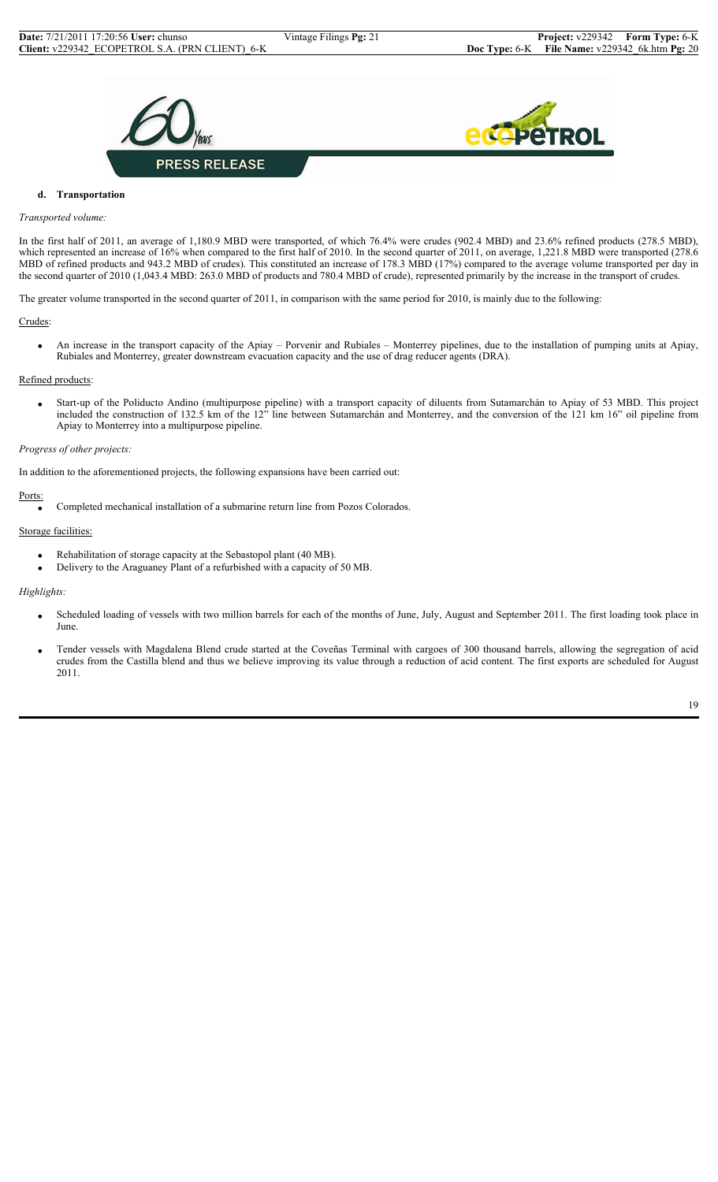



## **d. Transportation**

#### *Transported volume:*

In the first half of 2011, an average of 1,180.9 MBD were transported, of which 76.4% were crudes (902.4 MBD) and 23.6% refined products (278.5 MBD), which represented an increase of 16% when compared to the first half of 2010. In the second quarter of 2011, on average, 1,221.8 MBD were transported (278.6) MBD of refined products and 943.2 MBD of crudes). This constituted an increase of 178.3 MBD (17%) compared to the average volume transported per day in the second quarter of 2010 (1,043.4 MBD: 263.0 MBD of products and 780.4 MBD of crude), represented primarily by the increase in the transport of crudes.

The greater volume transported in the second quarter of 2011, in comparison with the same period for 2010, is mainly due to the following:

#### Crudes:

 • An increase in the transport capacity of the Apiay – Porvenir and Rubiales – Monterrey pipelines, due to the installation of pumping units at Apiay, Rubiales and Monterrey, greater downstream evacuation capacity and the use of drag reducer agents (DRA).

#### Refined products:

• Start-up of the Poliducto Andino (multipurpose pipeline) with a transport capacity of diluents from Sutamarchán to Apiay of 53 MBD. This project included the construction of 132.5 km of the 12" line between Sutamarchán and Monterrey, and the conversion of the 121 km 16" oil pipeline from Apiay to Monterrey into a multipurpose pipeline.

#### *Progress of other projects:*

In addition to the aforementioned projects, the following expansions have been carried out:

## Ports:

• Completed mechanical installation of a submarine return line from Pozos Colorados.

#### Storage facilities:

- Rehabilitation of storage capacity at the Sebastopol plant (40 MB).
- Delivery to the Araguaney Plant of a refurbished with a capacity of 50 MB.

## *Highlights:*

- Scheduled loading of vessels with two million barrels for each of the months of June, July, August and September 2011. The first loading took place in June.
- Tender vessels with Magdalena Blend crude started at the Coveñas Terminal with cargoes of 300 thousand barrels, allowing the segregation of acid crudes from the Castilla blend and thus we believe improving its value through a reduction of acid content. The first exports are scheduled for August 2011.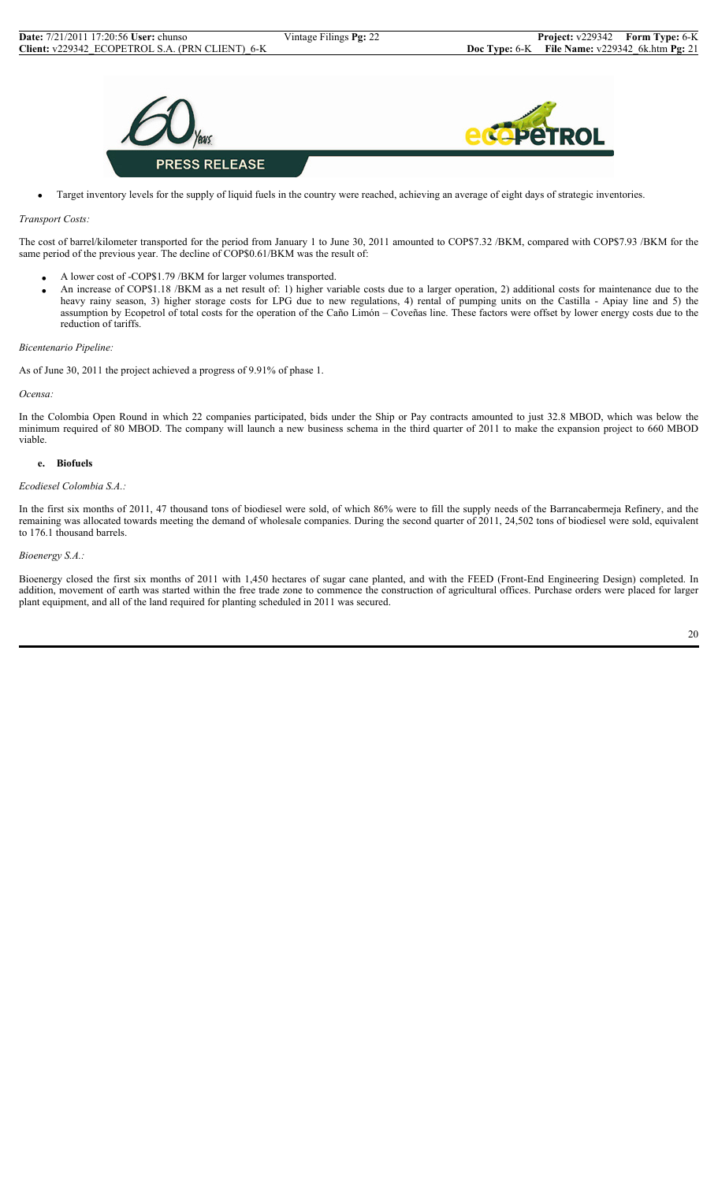

• Target inventory levels for the supply of liquid fuels in the country were reached, achieving an average of eight days of strategic inventories.

#### *Transport Costs:*

The cost of barrel/kilometer transported for the period from January 1 to June 30, 2011 amounted to COP\$7.32 /BKM, compared with COP\$7.93 /BKM for the same period of the previous year. The decline of COP\$0.61/BKM was the result of:

- A lower cost of -COP\$1.79 /BKM for larger volumes transported.
- An increase of COP\$1.18 /BKM as a net result of: 1) higher variable costs due to a larger operation, 2) additional costs for maintenance due to the heavy rainy season, 3) higher storage costs for LPG due to new regulations, 4) rental of pumping units on the Castilla - Apiay line and 5) the assumption by Ecopetrol of total costs for the operation of the Caño Limón – Coveñas line. These factors were offset by lower energy costs due to the reduction of tariffs.

#### *Bicentenario Pipeline:*

As of June 30, 2011 the project achieved a progress of 9.91% of phase 1.

*Ocensa:*

In the Colombia Open Round in which 22 companies participated, bids under the Ship or Pay contracts amounted to just 32.8 MBOD, which was below the minimum required of 80 MBOD. The company will launch a new business schema in the third quarter of 2011 to make the expansion project to 660 MBOD viable.

#### **e. Biofuels**

#### *Ecodiesel Colombia S.A.:*

In the first six months of 2011, 47 thousand tons of biodiesel were sold, of which 86% were to fill the supply needs of the Barrancabermeja Refinery, and the remaining was allocated towards meeting the demand of wholesale companies. During the second quarter of 2011, 24,502 tons of biodiesel were sold, equivalent to 176.1 thousand barrels.

#### *Bioenergy S.A.:*

Bioenergy closed the first six months of 2011 with 1,450 hectares of sugar cane planted, and with the FEED (Front-End Engineering Design) completed. In addition, movement of earth was started within the free trade zone to commence the construction of agricultural offices. Purchase orders were placed for larger plant equipment, and all of the land required for planting scheduled in 2011 was secured.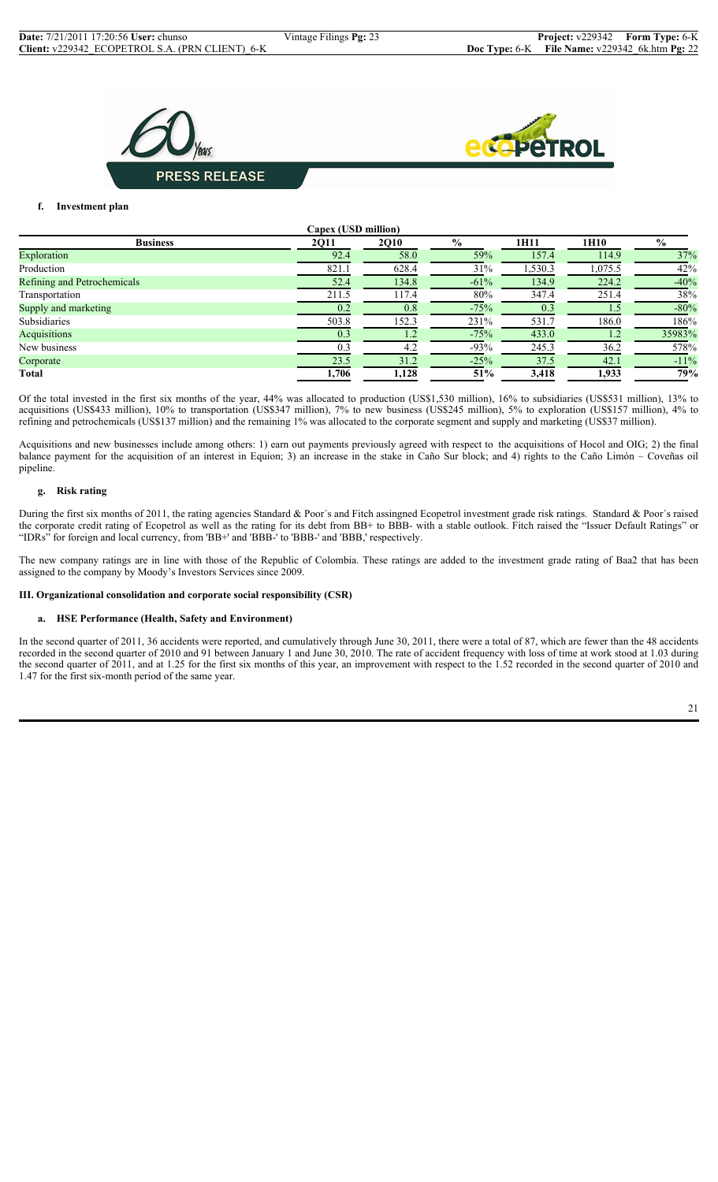



#### **f. Investment plan**

| Capex (USD million)         |       |             |               |         |                  |               |
|-----------------------------|-------|-------------|---------------|---------|------------------|---------------|
| <b>Business</b>             | 2Q11  | <b>2Q10</b> | $\frac{0}{0}$ | 1H11    | 1H <sub>10</sub> | $\frac{0}{0}$ |
| Exploration                 | 92.4  | 58.0        | 59%           | 157.4   | 114.9            | 37%           |
| Production                  | 821.1 | 628.4       | 31%           | 1,530.3 | 1,075.5          | 42%           |
| Refining and Petrochemicals | 52.4  | 134.8       | $-61%$        | 134.9   | 224.2            | $-40%$        |
| Transportation              | 211.5 | 117.4       | 80%           | 347.4   | 251.4            | 38%           |
| Supply and marketing        | 0.2   | 0.8         | $-75%$        | 0.3     |                  | $-80%$        |
| Subsidiaries                | 503.8 | 152.3       | 231%          | 531.7   | 186.0            | 186%          |
| Acquisitions                | 0.3   |             | $-75%$        | 433.0   |                  | 35983%        |
| New business                | 0.3   | 4.2         | $-93%$        | 245.3   | 36.2             | 578%          |
| Corporate                   | 23.5  | 31.2        | $-25%$        | 37.5    | 42.1             | $-11%$        |
| <b>Total</b>                | 1,706 | 1.128       | 51%           | 3.418   | 1,933            | 79%           |

Of the total invested in the first six months of the year, 44% was allocated to production (US\$1,530 million), 16% to subsidiaries (US\$531 million), 13% to acquisitions (US\$433 million), 10% to transportation (US\$347 million), 7% to new business (US\$245 million), 5% to exploration (US\$157 million), 4% to refining and petrochemicals (US\$137 million) and the remaining 1% was allocated to the corporate segment and supply and marketing (US\$37 million).

Acquisitions and new businesses include among others: 1) earn out payments previously agreed with respect to the acquisitions of Hocol and OIG; 2) the final balance payment for the acquisition of an interest in Equion; 3) an increase in the stake in Caño Sur block; and 4) rights to the Caño Limón – Coveñas oil pipeline.

#### **g. Risk rating**

During the first six months of 2011, the rating agencies Standard & Poor's and Fitch assingned Ecopetrol investment grade risk ratings. Standard & Poor's raised the corporate credit rating of Ecopetrol as well as the rating for its debt from BB+ to BBB- with a stable outlook. Fitch raised the "Issuer Default Ratings" or "IDRs" for foreign and local currency, from 'BB+' and 'BBB-' to 'BBB-' and 'BBB,' respectively.

The new company ratings are in line with those of the Republic of Colombia. These ratings are added to the investment grade rating of Baa2 that has been assigned to the company by Moody's Investors Services since 2009.

**III. Organizational consolidation and corporate social responsibility (CSR)**

#### **a. HSE Performance (Health, Safety and Environment)**

In the second quarter of 2011, 36 accidents were reported, and cumulatively through June 30, 2011, there were a total of 87, which are fewer than the 48 accidents recorded in the second quarter of 2010 and 91 between January 1 and June 30, 2010. The rate of accident frequency with loss of time at work stood at 1.03 during the second quarter of 2011, and at 1.25 for the first six months of this year, an improvement with respect to the 1.52 recorded in the second quarter of 2010 and 1.47 for the first six-month period of the same year.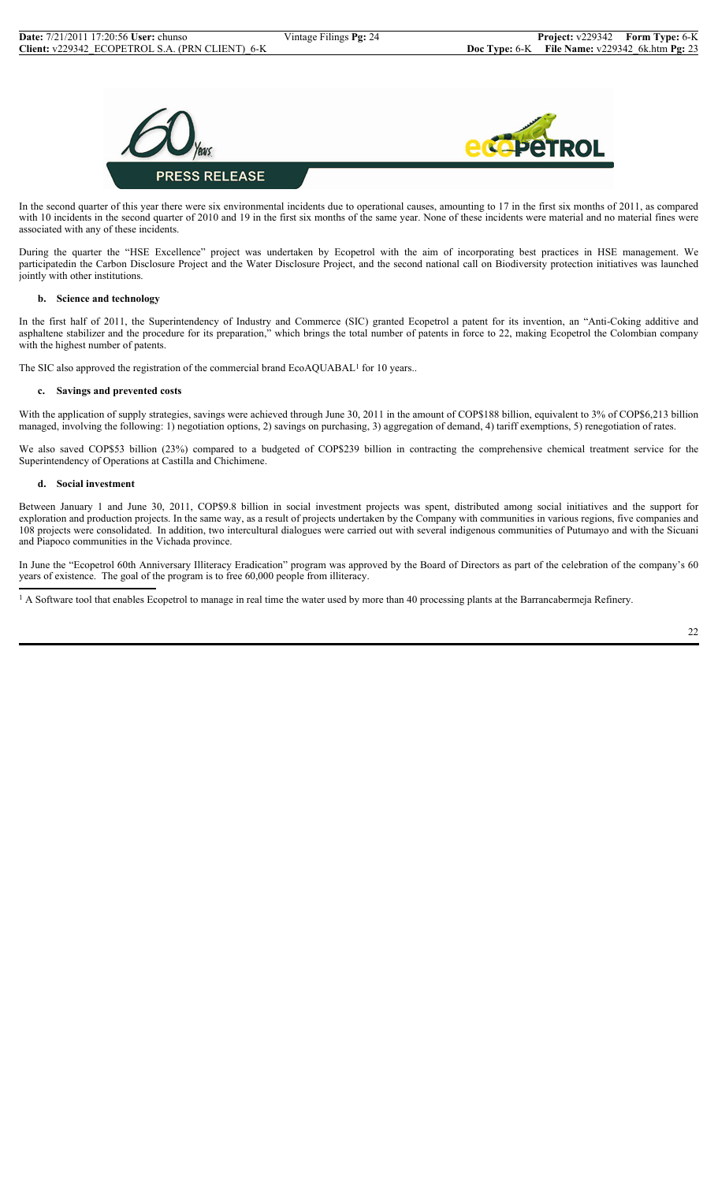

In the second quarter of this year there were six environmental incidents due to operational causes, amounting to 17 in the first six months of 2011, as compared with 10 incidents in the second quarter of 2010 and 19 in the first six months of the same year. None of these incidents were material and no material fines were associated with any of these incidents.

During the quarter the "HSE Excellence" project was undertaken by Ecopetrol with the aim of incorporating best practices in HSE management. We participatedin the Carbon Disclosure Project and the Water Disclosure Project, and the second national call on Biodiversity protection initiatives was launched jointly with other institutions.

## **b. Science and technology**

In the first half of 2011, the Superintendency of Industry and Commerce (SIC) granted Ecopetrol a patent for its invention, an "Anti-Coking additive and asphaltene stabilizer and the procedure for its preparation," which brings the total number of patents in force to 22, making Ecopetrol the Colombian company with the highest number of patents.

The SIC also approved the registration of the commercial brand EcoAQUABAL<sup>1</sup> for 10 years..

## **c. Savings and prevented costs**

With the application of supply strategies, savings were achieved through June 30, 2011 in the amount of COP\$188 billion, equivalent to 3% of COP\$6,213 billion managed, involving the following: 1) negotiation options, 2) savings on purchasing, 3) aggregation of demand, 4) tariff exemptions, 5) renegotiation of rates.

We also saved COP\$53 billion (23%) compared to a budgeted of COP\$239 billion in contracting the comprehensive chemical treatment service for the Superintendency of Operations at Castilla and Chichimene.

#### **d. Social investment**

Between January 1 and June 30, 2011, COP\$9.8 billion in social investment projects was spent, distributed among social initiatives and the support for exploration and production projects. In the same way, as a result of projects undertaken by the Company with communities in various regions, five companies and 108 projects were consolidated. In addition, two intercultural dialogues were carried out with several indigenous communities of Putumayo and with the Sicuani and Piapoco communities in the Vichada province.

In June the "Ecopetrol 60th Anniversary Illiteracy Eradication" program was approved by the Board of Directors as part of the celebration of the company's 60 years of existence. The goal of the program is to free 60,000 people from illiteracy.

<sup>1</sup> A Software tool that enables Ecopetrol to manage in real time the water used by more than 40 processing plants at the Barrancabermeja Refinery.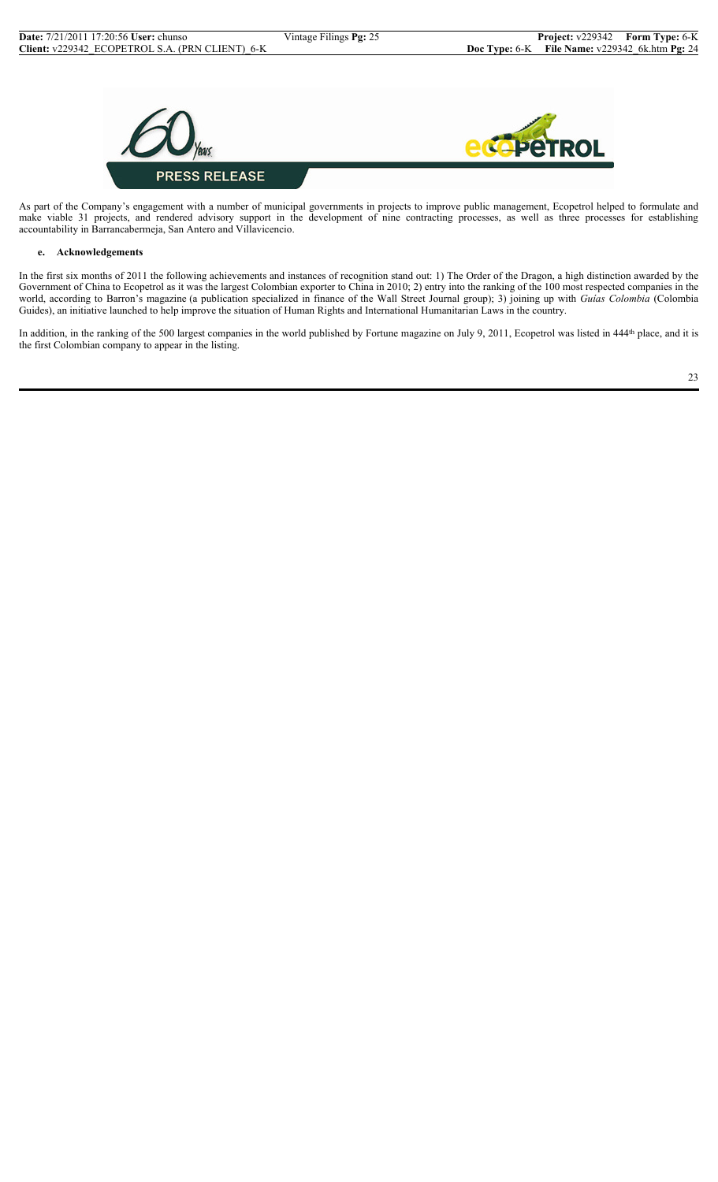

As part of the Company's engagement with a number of municipal governments in projects to improve public management, Ecopetrol helped to formulate and make viable 31 projects, and rendered advisory support in the development of nine contracting processes, as well as three processes for establishing accountability in Barrancabermeja, San Antero and Villavicencio.

## **e. Acknowledgements**

In the first six months of 2011 the following achievements and instances of recognition stand out: 1) The Order of the Dragon, a high distinction awarded by the Government of China to Ecopetrol as it was the largest Colombian exporter to China in 2010; 2) entry into the ranking of the 100 most respected companies in the world, according to Barron's magazine (a publication specialized in finance of the Wall Street Journal group); 3) joining up with *Guías Colombia* (Colombia Guides), an initiative launched to help improve the situation of Human Rights and International Humanitarian Laws in the country.

In addition, in the ranking of the 500 largest companies in the world published by Fortune magazine on July 9, 2011, Ecopetrol was listed in 444<sup>th</sup> place, and it is the first Colombian company to appear in the listing.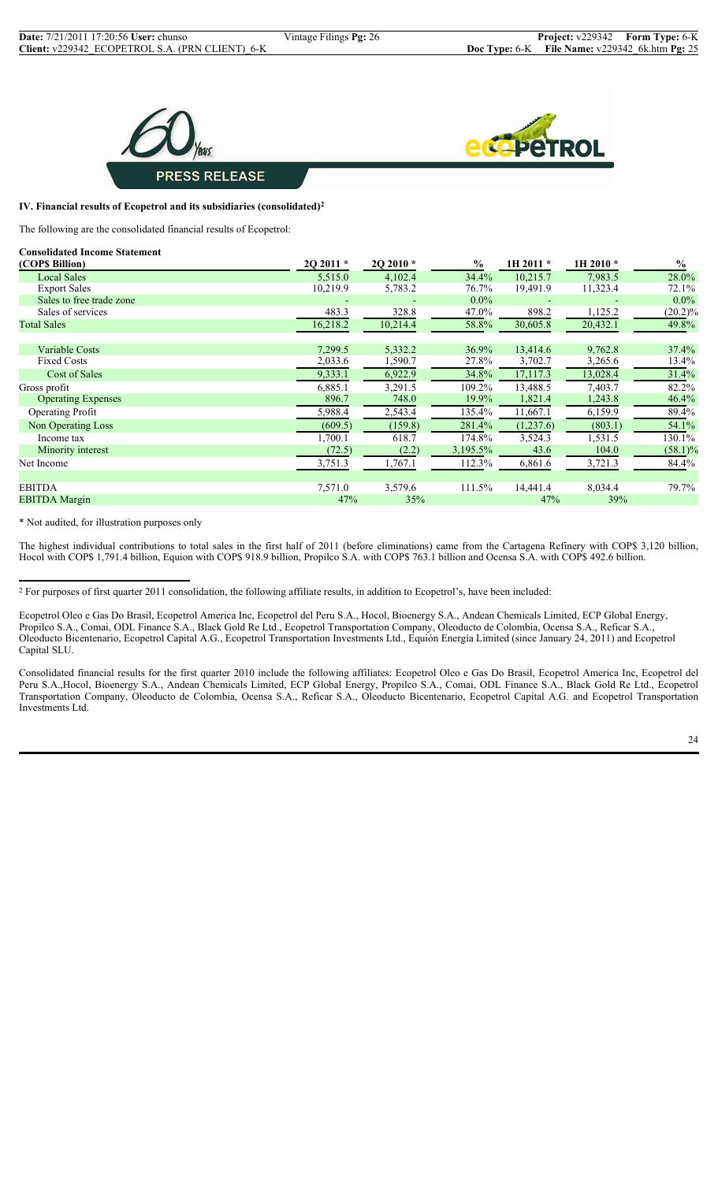



## **IV. Financial results of Ecopetrol and its subsidiaries (consolidated)2**

The following are the consolidated financial results of Ecopetrol:

| 2Q 2011 * | 2Q 2010 * | $\frac{0}{0}$ | 1H 2011 * | 1H 2010 * | $\frac{0}{0}$ |
|-----------|-----------|---------------|-----------|-----------|---------------|
| 5,515.0   | 4,102.4   | 34.4%         | 10,215.7  | 7.983.5   | 28.0%         |
| 10,219.9  | 5,783.2   | 76.7%         | 19,491.9  | 11,323.4  | 72.1%         |
|           |           | $0.0\%$       |           |           | $0.0\%$       |
| 483.3     | 328.8     | 47.0%         | 898.2     | 1,125.2   | $(20.2)\%$    |
| 16,218.2  | 10,214.4  | 58.8%         | 30,605.8  | 20,432.1  | 49.8%         |
|           |           |               |           |           |               |
| 7,299.5   | 5,332.2   | 36.9%         | 13,414.6  | 9,762.8   | 37.4%         |
| 2,033.6   | 1,590.7   | 27.8%         | 3,702.7   | 3,265.6   | 13.4%         |
| 9,333.1   | 6,922.9   | 34.8%         | 17,117.3  | 13,028.4  | 31.4%         |
| 6,885.1   | 3,291.5   | 109.2%        | 13,488.5  | 7,403.7   | 82.2%         |
| 896.7     | 748.0     | 19.9%         | 1,821.4   | 1,243.8   | 46.4%         |
| 5,988.4   | 2,543.4   | 135.4%        | 11,667.1  | 6,159.9   | 89.4%         |
| (609.5)   | (159.8)   | 281.4%        | (1,237.6) | (803.1)   | 54.1%         |
| 1,700.1   | 618.7     | 174.8%        | 3,524.3   | 1,531.5   | 130.1%        |
| (72.5)    | (2.2)     | 3,195.5%      | 43.6      | 104.0     | $(58.1)\%$    |
| 3,751.3   | 1,767.1   | 112.3%        | 6,861.6   | 3,721.3   | 84.4%         |
|           |           |               |           |           |               |
| 7,571.0   | 3,579.6   | 111.5%        | 14,441.4  | 8,034.4   | 79.7%         |
| 47%       | 35%       |               | 47%       | 39%       |               |
|           |           |               |           |           |               |

\* Not audited, for illustration purposes only

The highest individual contributions to total sales in the first half of 2011 (before eliminations) came from the Cartagena Refinery with COP\$ 3,120 billion, Hocol with COP\$ 1,791.4 billion, Equion with COP\$ 918.9 billion, Propilco S.A. with COP\$ 763.1 billion and Ocensa S.A. with COP\$ 492.6 billion.

<sup>2</sup> For purposes of first quarter 2011 consolidation, the following affiliate results, in addition to Ecopetrol's, have been included:

Ecopetrol Oleo e Gas Do Brasil, Ecopetrol America Inc, Ecopetrol del Peru S.A., Hocol, Bioenergy S.A., Andean Chemicals Limited, ECP Global Energy, Propilco S.A., Comai, ODL Finance S.A., Black Gold Re Ltd., Ecopetrol Transportation Company, Oleoducto de Colombia, Ocensa S.A., Reficar S.A., Oleoducto Bicentenario, Ecopetrol Capital A.G., Ecopetrol Transportation Investments Ltd., Equión Energía Limited (since January 24, 2011) and Ecopetrol Capital SLU.

Consolidated financial results for the first quarter 2010 include the following affiliates: Ecopetrol Oleo e Gas Do Brasil, Ecopetrol America Inc, Ecopetrol del Peru S.A.,Hocol, Bioenergy S.A., Andean Chemicals Limited, ECP Global Energy, Propilco S.A., Comai, ODL Finance S.A., Black Gold Re Ltd., Ecopetrol Transportation Company, Oleoducto de Colombia, Ocensa S.A., Reficar S.A., Oleoducto Bicentenario, Ecopetrol Capital A.G. and Ecopetrol Transportation Investments Ltd.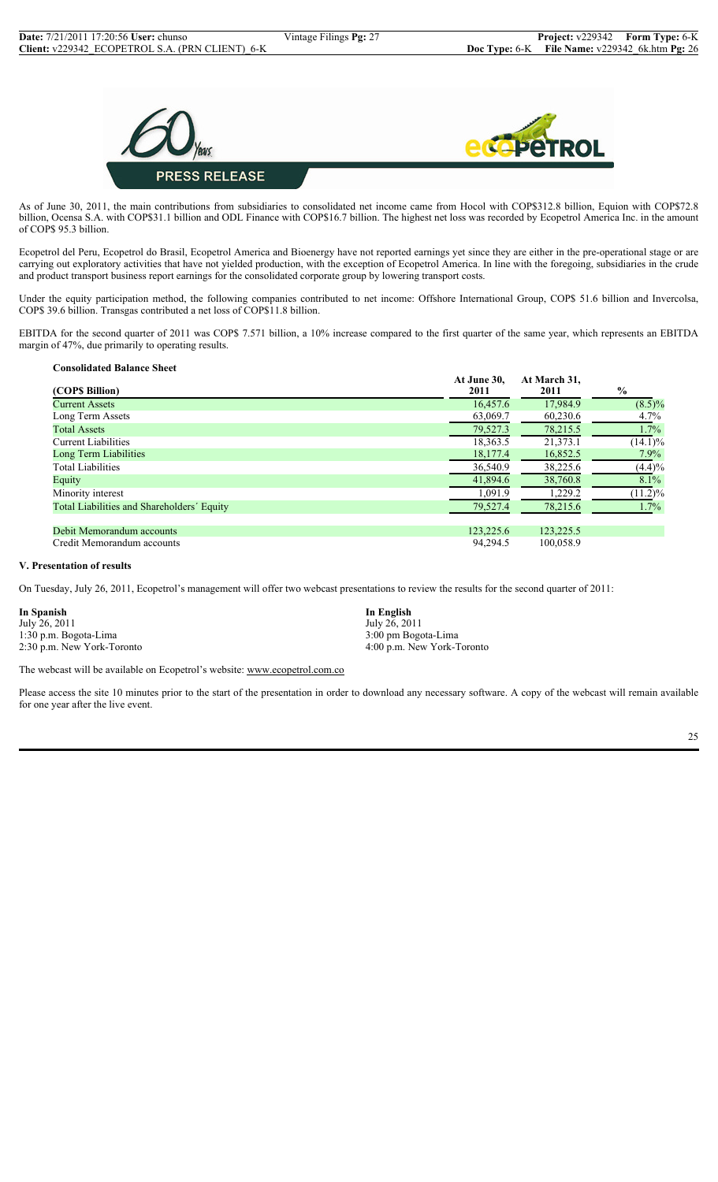

As of June 30, 2011, the main contributions from subsidiaries to consolidated net income came from Hocol with COP\$312.8 billion, Equion with COP\$72.8 billion, Ocensa S.A. with COP\$31.1 billion and ODL Finance with COP\$16.7 billion. The highest net loss was recorded by Ecopetrol America Inc. in the amount of COP\$ 95.3 billion.

Ecopetrol del Peru, Ecopetrol do Brasil, Ecopetrol America and Bioenergy have not reported earnings yet since they are either in the pre-operational stage or are carrying out exploratory activities that have not yielded production, with the exception of Ecopetrol America. In line with the foregoing, subsidiaries in the crude and product transport business report earnings for the consolidated corporate group by lowering transport costs.

Under the equity participation method, the following companies contributed to net income: Offshore International Group, COP\$ 51.6 billion and Invercolsa, COP\$ 39.6 billion. Transgas contributed a net loss of COP\$11.8 billion.

EBITDA for the second quarter of 2011 was COP\$ 7.571 billion, a 10% increase compared to the first quarter of the same year, which represents an EBITDA margin of 47%, due primarily to operating results.

| <b>Consolidated Balance Sheet</b>          |                     |                      |               |
|--------------------------------------------|---------------------|----------------------|---------------|
| (COP\$ Billion)                            | At June 30,<br>2011 | At March 31,<br>2011 | $\frac{6}{9}$ |
| <b>Current Assets</b>                      | 16.457.6            | 17,984.9             | $(8.5)\%$     |
| Long Term Assets                           | 63,069.7            | 60,230.6             | $4.7\%$       |
| <b>Total Assets</b>                        | 79,527.3            | 78,215.5             | $1.7\%$       |
| Current Liabilities                        | 18,363.5            | 21,373.1             | $(14.1)\%$    |
| Long Term Liabilities                      | 18,177.4            | 16,852.5             | $7.9\%$       |
| <b>Total Liabilities</b>                   | 36,540.9            | 38,225.6             | (4.4)%        |
| Equity                                     | 41,894.6            | 38,760.8             | 8.1%          |
| Minority interest                          | 1.091.9             | 1,229.2              | $(11.2)\%$    |
| Total Liabilities and Shareholders' Equity | 79,527.4            | 78,215.6             | $1.7\%$       |
| Debit Memorandum accounts                  | 123,225.6           | 123,225.5            |               |
| Credit Memorandum accounts                 | 94,294.5            | 100,058.9            |               |

## **V. Presentation of results**

On Tuesday, July 26, 2011, Ecopetrol's management will offer two webcast presentations to review the results for the second quarter of 2011:

| In Spanish                |  |
|---------------------------|--|
| July 26, 2011             |  |
| 1:30 p.m. Bogota-Lima     |  |
| 2:30 n m New York-Toronto |  |

**In Spanish In English** July 26, 2011 1:30 p.m. Bogota-Lima 3:00 pm Bogota-Lima 2:30 p.m. New York-Toronto 4:00 p.m. New York-Toronto

The webcast will be available on Ecopetrol's website: www.ecopetrol.com.co

Please access the site 10 minutes prior to the start of the presentation in order to download any necessary software. A copy of the webcast will remain available for one year after the live event.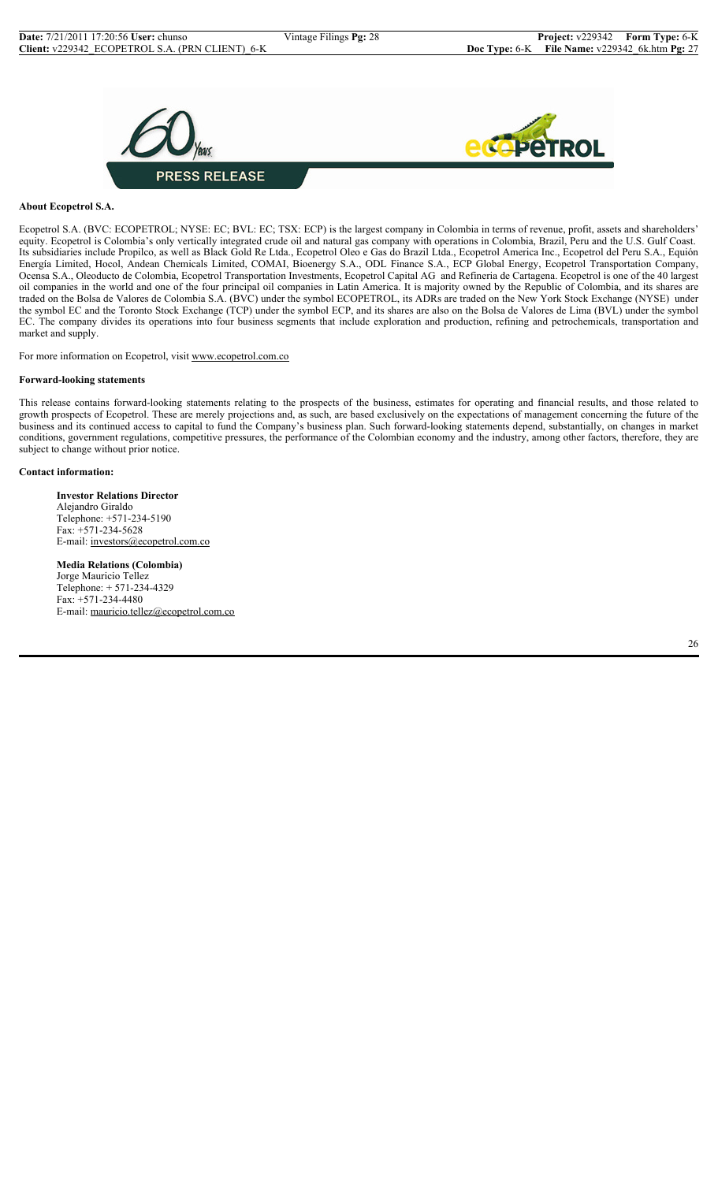

## **About Ecopetrol S.A.**

Ecopetrol S.A. (BVC: ECOPETROL; NYSE: EC; BVL: EC; TSX: ECP) is the largest company in Colombia in terms of revenue, profit, assets and shareholders' equity. Ecopetrol is Colombia's only vertically integrated crude oil and natural gas company with operations in Colombia, Brazil, Peru and the U.S. Gulf Coast. Its subsidiaries include Propilco, as well as Black Gold Re Ltda., Ecopetrol Oleo e Gas do Brazil Ltda., Ecopetrol America Inc., Ecopetrol del Peru S.A., Equión Energía Limited, Hocol, Andean Chemicals Limited, COMAI, Bioenergy S.A., ODL Finance S.A., ECP Global Energy, Ecopetrol Transportation Company, Ocensa S.A., Oleoducto de Colombia, Ecopetrol Transportation Investments, Ecopetrol Capital AG and Refineria de Cartagena. Ecopetrol is one of the 40 largest oil companies in the world and one of the four principal oil companies in Latin America. It is majority owned by the Republic of Colombia, and its shares are traded on the Bolsa de Valores de Colombia S.A. (BVC) under the symbol ECOPETROL, its ADRs are traded on the New York Stock Exchange (NYSE) under the symbol EC and the Toronto Stock Exchange (TCP) under the symbol ECP, and its shares are also on the Bolsa de Valores de Lima (BVL) under the symbol EC. The company divides its operations into four business segments that include exploration and production, refining and petrochemicals, transportation and market and supply.

For more information on Ecopetrol, visit www.ecopetrol.com.co

#### **Forward-looking statements**

This release contains forward-looking statements relating to the prospects of the business, estimates for operating and financial results, and those related to growth prospects of Ecopetrol. These are merely projections and, as such, are based exclusively on the expectations of management concerning the future of the business and its continued access to capital to fund the Company's business plan. Such forward-looking statements depend, substantially, on changes in market conditions, government regulations, competitive pressures, the performance of the Colombian economy and the industry, among other factors, therefore, they are subject to change without prior notice.

#### **Contact information:**

**Investor Relations Director** Alejandro Giraldo Telephone: +571-234-5190 Fax: +571-234-5628 E-mail: investors@ecopetrol.com.co

**Media Relations (Colombia)** Jorge Mauricio Tellez Telephone: + 571-234-4329 Fax: +571-234-4480 E-mail: mauricio.tellez@ecopetrol.com.co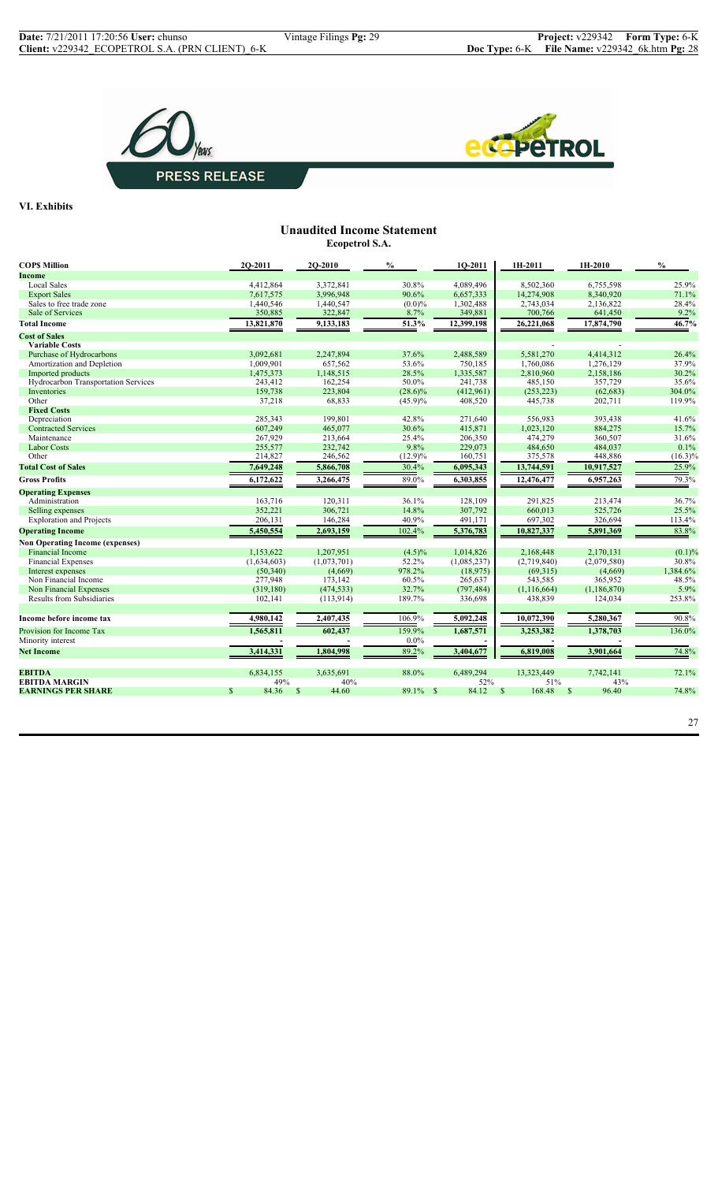



**VI. Exhibits**

## **Unaudited Income Statement Ecopetrol S.A.**

| <b>COPS Million</b>                    | 2O-2011                | 2Q-2010     | $\%$       | 1Q-2011     | 1H-2011                 | 1H-2010               | $\mathcal{V}_0$ |
|----------------------------------------|------------------------|-------------|------------|-------------|-------------------------|-----------------------|-----------------|
| <b>Income</b>                          |                        |             |            |             |                         |                       |                 |
| <b>Local Sales</b>                     | 4,412,864              | 3.372.841   | 30.8%      | 4.089.496   | 8.502.360               | 6.755.598             | 25.9%           |
| <b>Export Sales</b>                    | 7,617,575              | 3.996.948   | 90.6%      | 6,657,333   | 14,274,908              | 8.340.920             | 71.1%           |
| Sales to free trade zone               | 1,440,546              | 1,440,547   | $(0.0)\%$  | 1,302,488   | 2,743,034               | 2,136,822             | 28.4%           |
| Sale of Services                       | 350,885                | 322,847     | 8.7%       | 349,881     | 700,766                 | 641,450               | 9.2%            |
| <b>Total Income</b>                    | 13,821,870             | 9,133,183   | 51.3%      | 12,399,198  | 26,221,068              | 17,874,790            | 46.7%           |
| <b>Cost of Sales</b>                   |                        |             |            |             |                         |                       |                 |
| <b>Variable Costs</b>                  |                        |             |            |             |                         |                       |                 |
| Purchase of Hydrocarbons               | 3,092,681              | 2,247,894   | 37.6%      | 2,488,589   | 5,581,270               | 4.414.312             | 26.4%           |
| Amortization and Depletion             | 1,009,901              | 657,562     | 53.6%      | 750,185     | 1,760,086               | 1,276,129             | 37.9%           |
| Imported products                      | 1,475,373              | 1,148,515   | 28.5%      | 1,335,587   | 2,810,960               | 2,158,186             | 30.2%           |
| Hydrocarbon Transportation Services    | 243,412                | 162,254     | 50.0%      | 241,738     | 485,150                 | 357,729               | 35.6%           |
| Inventories                            | 159,738                | 223,804     | $(28.6)\%$ | (412,961)   | (253, 223)              | (62, 683)             | 304.0%          |
| Other                                  | 37,218                 | 68,833      | $(45.9)\%$ | 408,520     | 445,738                 | 202,711               | 119.9%          |
| <b>Fixed Costs</b>                     |                        |             |            |             |                         |                       |                 |
| Depreciation                           | 285,343                | 199,801     | 42.8%      | 271,640     | 556.983                 | 393,438               | 41.6%           |
| <b>Contracted Services</b>             | 607,249                | 465,077     | 30.6%      | 415,871     | 1,023,120               | 884,275               | 15.7%           |
| Maintenance                            | 267,929                | 213,664     | 25.4%      | 206,350     | 474,279                 | 360,507               | 31.6%           |
| <b>Labor Costs</b>                     | 255,577                | 232,742     | 9.8%       | 229,073     | 484,650                 | 484,037               | 0.1%            |
| Other                                  | 214,827                | 246,562     | $(12.9)\%$ | 160,751     | 375,578                 | 448,886               | $(16.3)\%$      |
| <b>Total Cost of Sales</b>             | 7,649,248              | 5,866,708   | 30.4%      | 6,095,343   | 13,744,591              | 10,917,527            | 25.9%           |
| <b>Gross Profits</b>                   | 6,172,622              | 3,266,475   | 89.0%      | 6,303,855   | 12,476,477              | 6,957,263             | 79.3%           |
| <b>Operating Expenses</b>              |                        |             |            |             |                         |                       |                 |
| Administration                         | 163,716                | 120,311     | 36.1%      | 128,109     | 291,825                 | 213,474               | 36.7%           |
| Selling expenses                       | 352,221                | 306,721     | 14.8%      | 307,792     | 660,013                 | 525,726               | 25.5%           |
| <b>Exploration and Projects</b>        | 206,131                | 146,284     | 40.9%      | 491,171     | 697,302                 | 326,694               | 113.4%          |
| <b>Operating Income</b>                | 5,450,554              | 2,693,159   | 102.4%     | 5,376,783   | 10,827,337              | 5,891,369             | 83.8%           |
| <b>Non Operating Income (expenses)</b> |                        |             |            |             |                         |                       |                 |
| <b>Financial Income</b>                | 1,153,622              | 1,207,951   | $(4.5)\%$  | 1,014,826   | 2,168,448               | 2,170,131             | $(0.1)\%$       |
| <b>Financial Expenses</b>              | (1,634,603)            | (1,073,701) | 52.2%      | (1,085,237) | (2,719,840)             | (2,079,580)           | 30.8%           |
| Interest expenses                      | (50, 340)              | (4,669)     | 978.2%     | (18,975)    | (69,315)                | (4,669)               | 1,384.6%        |
| Non Financial Income                   | 277,948                | 173,142     | 60.5%      | 265,637     | 543,585                 | 365,952               | 48.5%           |
| Non Financial Expenses                 | (319, 180)             | (474, 533)  | 32.7%      | (797, 484)  | (1, 116, 664)           | (1, 186, 870)         | 5.9%            |
| Results from Subsidiaries              | 102,141                | (113,914)   | 189.7%     | 336,698     | 438,839                 | 124,034               | 253.8%          |
|                                        |                        |             |            |             |                         |                       |                 |
| Income before income tax               | 4,980,142              | 2,407,435   | 106.9%     | 5,092,248   | 10,072,390              | 5,280,367             | 90.8%           |
| Provision for Income Tax               | 1,565,811              | 602,437     | 159.9%     | 1,687,571   | 3,253,382               | 1,378,703             | 136.0%          |
| Minority interest                      |                        |             | $0.0\%$    |             |                         |                       |                 |
| <b>Net Income</b>                      | 3,414,331              | 1,804,998   | 89.2%      | 3,404,677   | 6,819,008               | 3,901,664             | 74.8%           |
| <b>EBITDA</b>                          | 6,834,155              | 3,635,691   | 88.0%      | 6,489,294   | 13,323,449              | 7,742,141             | 72.1%           |
| <b>EBITDA MARGIN</b>                   | 49%                    | 40%         |            | 52%         | 51%                     | 43%                   |                 |
| <b>EARNINGS PER SHARE</b>              | $\mathcal{S}$<br>84.36 | 44.60<br>S  | 89.1% \$   | 84.12       | <sup>\$</sup><br>168.48 | <sup>S</sup><br>96.40 | 74.8%           |
|                                        |                        |             |            |             |                         |                       |                 |

27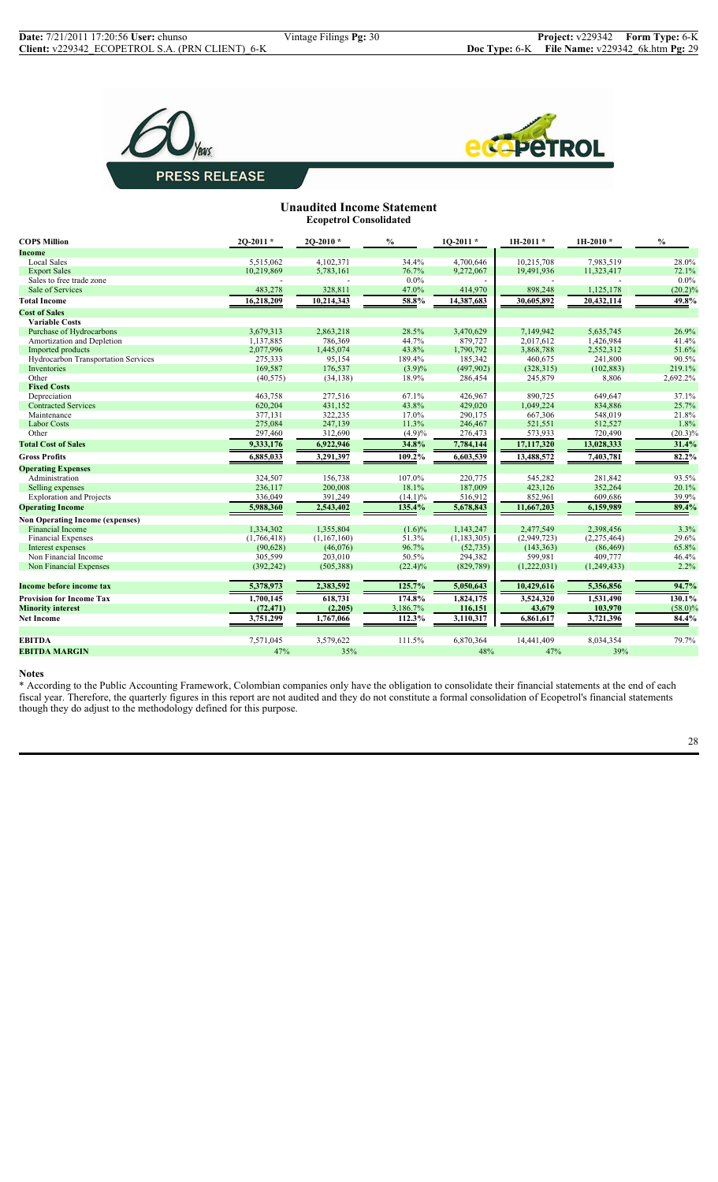



## **Unaudited Income Statement Ecopetrol Consolidated**

| Income<br><b>Local Sales</b><br>4,102,371<br>7,983,519<br>5.515.062<br>34.4%<br>4,700,646<br>10,215,708<br>28.0%<br>5,783,161<br>76.7%<br>9,272,067<br>11,323,417<br>72.1%<br><b>Export Sales</b><br>10,219,869<br>19,491,936<br>Sales to free trade zone<br>0.0%<br>$0.0\%$<br>Sale of Services<br>483,278<br>47.0%<br>898,248<br>$(20.2)\%$<br>328,811<br>414,970<br>1,125,178<br>58.8%<br>10,214,343<br>14,387,683<br>20,432,114<br>49.8%<br><b>Total Income</b><br>16,218,209<br>30,605,892<br><b>Cost of Sales</b><br><b>Variable Costs</b><br>2,863,218<br>28.5%<br>7,149,942<br>5,635,745<br>26.9%<br>Purchase of Hydrocarbons<br>3,679,313<br>3,470,629<br>1,137,885<br>786,369<br>44.7%<br>879,727<br>2,017,612<br>1,426,984<br>41.4%<br>Amortization and Depletion<br>2,077,996<br>1.445.074<br>43.8%<br>1,790,792<br>3,868,788<br>51.6%<br>Imported products<br>2,552,312<br>185,342<br>90.5%<br>Hydrocarbon Transportation Services<br>275,333<br>95,154<br>189.4%<br>460,675<br>241,800<br>169,587<br>176,537<br>(497,902)<br>219.1%<br>$(3.9)\%$<br>(328, 315)<br>(102, 883)<br>Inventories<br>Other<br>(40, 575)<br>(34, 138)<br>18.9%<br>286,454<br>245,879<br>8,806<br>2,692.2%<br><b>Fixed Costs</b><br>463,758<br>67.1%<br>890,725<br>649,647<br>37.1%<br>Depreciation<br>277,516<br>426,967<br>43.8%<br>25.7%<br><b>Contracted Services</b><br>620,204<br>431,152<br>429,020<br>1,049,224<br>834,886<br>21.8%<br>377,131<br>322,235<br>17.0%<br>290,175<br>667,306<br>548,019<br>Maintenance<br>275,084<br>11.3%<br>1.8%<br><b>Labor Costs</b><br>247,139<br>246,467<br>521,551<br>512,527<br>Other<br>297,460<br>312,690<br>$(4.9)\%$<br>276,473<br>573,933<br>$(20.3)\%$<br>720,490<br>34.8%<br>31.4%<br>9,333,176<br>6,922,946<br>7,784,144<br>17,117,320<br>13,028,333<br><b>Total Cost of Sales</b><br>$109.2\%$<br>6,603,539<br>$82.2\%$<br><b>Gross Profits</b><br>6,885,033<br>3,291,397<br>13,488,572<br>7,403,781<br><b>Operating Expenses</b><br>107.0%<br>93.5%<br>Administration<br>324.507<br>156,738<br>220,775<br>545,282<br>281,842<br>200,008<br>18.1%<br>187,009<br>423,126<br>20.1%<br>Selling expenses<br>236,117<br>352,264<br>39.9%<br><b>Exploration and Projects</b><br>336,049<br>391,249<br>516,912<br>852,961<br>609,686<br>$(14.1)\%$<br>2,543,402<br>5,678,843<br>89.4%<br><b>Operating Income</b><br>5,988,360<br>135.4%<br>11,667,203<br>6,159,989<br><b>Non Operating Income (expenses)</b><br><b>Financial Income</b><br>1,334,302<br>3.3%<br>1,355,804<br>$(1.6)\%$<br>1,143,247<br>2,477,549<br>2,398,456<br><b>Financial Expenses</b><br>51.3%<br>(1, 183, 305)<br>(2,949,723)<br>(2,275,464)<br>29.6%<br>(1,766,418)<br>(1,167,160)<br>96.7%<br>65.8%<br>(46,076)<br>(52, 735)<br>Interest expenses<br>(90,628)<br>(143, 363)<br>(86, 469)<br>Non Financial Income<br>305,599<br>203,010<br>50.5%<br>599,981<br>409,777<br>294,382<br>46.4%<br>2.2%<br>Non Financial Expenses<br>(392, 242)<br>(505, 388)<br>$(22.4)\%$<br>(829, 789)<br>(1,222,031)<br>(1,249,433)<br>94.7%<br>125.7%<br>5,378,973<br>2,383,592<br>5,356,856<br>Income before income tax<br>5,050,643<br>10,429,616<br>174.8%<br>1,824,175<br>130.1%<br><b>Provision for Income Tax</b><br>1,700,145<br>618,731<br>3,524,320<br>1,531,490<br>(72, 471)<br>(2,205)<br>3,186.7%<br>116,151<br>43,679<br>103,970<br>$(58.0)\%$<br><b>Minority interest</b><br>112.3%<br>84.4%<br>3,751,299<br>3,110,317<br>3,721,396<br><b>Net Income</b><br>1,767,066<br>6,861,617<br>111.5%<br>6,870,364<br>79.7%<br><b>EBITDA</b><br>7,571,045<br>3,579,622<br>14,441,409<br>8,034,354<br><b>EBITDA MARGIN</b><br>47%<br>35%<br>48%<br>47%<br>39% | <b>COPS Million</b> | $20-2011*$ | $2Q-2010*$ | $\frac{0}{0}$ | $1Q-2011*$ | $1H-2011*$ | $1H-2010*$ | $\frac{0}{0}$ |
|--------------------------------------------------------------------------------------------------------------------------------------------------------------------------------------------------------------------------------------------------------------------------------------------------------------------------------------------------------------------------------------------------------------------------------------------------------------------------------------------------------------------------------------------------------------------------------------------------------------------------------------------------------------------------------------------------------------------------------------------------------------------------------------------------------------------------------------------------------------------------------------------------------------------------------------------------------------------------------------------------------------------------------------------------------------------------------------------------------------------------------------------------------------------------------------------------------------------------------------------------------------------------------------------------------------------------------------------------------------------------------------------------------------------------------------------------------------------------------------------------------------------------------------------------------------------------------------------------------------------------------------------------------------------------------------------------------------------------------------------------------------------------------------------------------------------------------------------------------------------------------------------------------------------------------------------------------------------------------------------------------------------------------------------------------------------------------------------------------------------------------------------------------------------------------------------------------------------------------------------------------------------------------------------------------------------------------------------------------------------------------------------------------------------------------------------------------------------------------------------------------------------------------------------------------------------------------------------------------------------------------------------------------------------------------------------------------------------------------------------------------------------------------------------------------------------------------------------------------------------------------------------------------------------------------------------------------------------------------------------------------------------------------------------------------------------------------------------------------------------------------------------------------------------------------------------------------------------------------------------------------------------------------------------------------------------------------------------------------------------------------------------------------------------------------------------------------------------------------------------------------------------------------------------------------------------------------------------------------------------------------------------------------------|---------------------|------------|------------|---------------|------------|------------|------------|---------------|
|                                                                                                                                                                                                                                                                                                                                                                                                                                                                                                                                                                                                                                                                                                                                                                                                                                                                                                                                                                                                                                                                                                                                                                                                                                                                                                                                                                                                                                                                                                                                                                                                                                                                                                                                                                                                                                                                                                                                                                                                                                                                                                                                                                                                                                                                                                                                                                                                                                                                                                                                                                                                                                                                                                                                                                                                                                                                                                                                                                                                                                                                                                                                                                                                                                                                                                                                                                                                                                                                                                                                                                                                                                                              |                     |            |            |               |            |            |            |               |
|                                                                                                                                                                                                                                                                                                                                                                                                                                                                                                                                                                                                                                                                                                                                                                                                                                                                                                                                                                                                                                                                                                                                                                                                                                                                                                                                                                                                                                                                                                                                                                                                                                                                                                                                                                                                                                                                                                                                                                                                                                                                                                                                                                                                                                                                                                                                                                                                                                                                                                                                                                                                                                                                                                                                                                                                                                                                                                                                                                                                                                                                                                                                                                                                                                                                                                                                                                                                                                                                                                                                                                                                                                                              |                     |            |            |               |            |            |            |               |
|                                                                                                                                                                                                                                                                                                                                                                                                                                                                                                                                                                                                                                                                                                                                                                                                                                                                                                                                                                                                                                                                                                                                                                                                                                                                                                                                                                                                                                                                                                                                                                                                                                                                                                                                                                                                                                                                                                                                                                                                                                                                                                                                                                                                                                                                                                                                                                                                                                                                                                                                                                                                                                                                                                                                                                                                                                                                                                                                                                                                                                                                                                                                                                                                                                                                                                                                                                                                                                                                                                                                                                                                                                                              |                     |            |            |               |            |            |            |               |
|                                                                                                                                                                                                                                                                                                                                                                                                                                                                                                                                                                                                                                                                                                                                                                                                                                                                                                                                                                                                                                                                                                                                                                                                                                                                                                                                                                                                                                                                                                                                                                                                                                                                                                                                                                                                                                                                                                                                                                                                                                                                                                                                                                                                                                                                                                                                                                                                                                                                                                                                                                                                                                                                                                                                                                                                                                                                                                                                                                                                                                                                                                                                                                                                                                                                                                                                                                                                                                                                                                                                                                                                                                                              |                     |            |            |               |            |            |            |               |
|                                                                                                                                                                                                                                                                                                                                                                                                                                                                                                                                                                                                                                                                                                                                                                                                                                                                                                                                                                                                                                                                                                                                                                                                                                                                                                                                                                                                                                                                                                                                                                                                                                                                                                                                                                                                                                                                                                                                                                                                                                                                                                                                                                                                                                                                                                                                                                                                                                                                                                                                                                                                                                                                                                                                                                                                                                                                                                                                                                                                                                                                                                                                                                                                                                                                                                                                                                                                                                                                                                                                                                                                                                                              |                     |            |            |               |            |            |            |               |
|                                                                                                                                                                                                                                                                                                                                                                                                                                                                                                                                                                                                                                                                                                                                                                                                                                                                                                                                                                                                                                                                                                                                                                                                                                                                                                                                                                                                                                                                                                                                                                                                                                                                                                                                                                                                                                                                                                                                                                                                                                                                                                                                                                                                                                                                                                                                                                                                                                                                                                                                                                                                                                                                                                                                                                                                                                                                                                                                                                                                                                                                                                                                                                                                                                                                                                                                                                                                                                                                                                                                                                                                                                                              |                     |            |            |               |            |            |            |               |
|                                                                                                                                                                                                                                                                                                                                                                                                                                                                                                                                                                                                                                                                                                                                                                                                                                                                                                                                                                                                                                                                                                                                                                                                                                                                                                                                                                                                                                                                                                                                                                                                                                                                                                                                                                                                                                                                                                                                                                                                                                                                                                                                                                                                                                                                                                                                                                                                                                                                                                                                                                                                                                                                                                                                                                                                                                                                                                                                                                                                                                                                                                                                                                                                                                                                                                                                                                                                                                                                                                                                                                                                                                                              |                     |            |            |               |            |            |            |               |
|                                                                                                                                                                                                                                                                                                                                                                                                                                                                                                                                                                                                                                                                                                                                                                                                                                                                                                                                                                                                                                                                                                                                                                                                                                                                                                                                                                                                                                                                                                                                                                                                                                                                                                                                                                                                                                                                                                                                                                                                                                                                                                                                                                                                                                                                                                                                                                                                                                                                                                                                                                                                                                                                                                                                                                                                                                                                                                                                                                                                                                                                                                                                                                                                                                                                                                                                                                                                                                                                                                                                                                                                                                                              |                     |            |            |               |            |            |            |               |
|                                                                                                                                                                                                                                                                                                                                                                                                                                                                                                                                                                                                                                                                                                                                                                                                                                                                                                                                                                                                                                                                                                                                                                                                                                                                                                                                                                                                                                                                                                                                                                                                                                                                                                                                                                                                                                                                                                                                                                                                                                                                                                                                                                                                                                                                                                                                                                                                                                                                                                                                                                                                                                                                                                                                                                                                                                                                                                                                                                                                                                                                                                                                                                                                                                                                                                                                                                                                                                                                                                                                                                                                                                                              |                     |            |            |               |            |            |            |               |
|                                                                                                                                                                                                                                                                                                                                                                                                                                                                                                                                                                                                                                                                                                                                                                                                                                                                                                                                                                                                                                                                                                                                                                                                                                                                                                                                                                                                                                                                                                                                                                                                                                                                                                                                                                                                                                                                                                                                                                                                                                                                                                                                                                                                                                                                                                                                                                                                                                                                                                                                                                                                                                                                                                                                                                                                                                                                                                                                                                                                                                                                                                                                                                                                                                                                                                                                                                                                                                                                                                                                                                                                                                                              |                     |            |            |               |            |            |            |               |
|                                                                                                                                                                                                                                                                                                                                                                                                                                                                                                                                                                                                                                                                                                                                                                                                                                                                                                                                                                                                                                                                                                                                                                                                                                                                                                                                                                                                                                                                                                                                                                                                                                                                                                                                                                                                                                                                                                                                                                                                                                                                                                                                                                                                                                                                                                                                                                                                                                                                                                                                                                                                                                                                                                                                                                                                                                                                                                                                                                                                                                                                                                                                                                                                                                                                                                                                                                                                                                                                                                                                                                                                                                                              |                     |            |            |               |            |            |            |               |
|                                                                                                                                                                                                                                                                                                                                                                                                                                                                                                                                                                                                                                                                                                                                                                                                                                                                                                                                                                                                                                                                                                                                                                                                                                                                                                                                                                                                                                                                                                                                                                                                                                                                                                                                                                                                                                                                                                                                                                                                                                                                                                                                                                                                                                                                                                                                                                                                                                                                                                                                                                                                                                                                                                                                                                                                                                                                                                                                                                                                                                                                                                                                                                                                                                                                                                                                                                                                                                                                                                                                                                                                                                                              |                     |            |            |               |            |            |            |               |
|                                                                                                                                                                                                                                                                                                                                                                                                                                                                                                                                                                                                                                                                                                                                                                                                                                                                                                                                                                                                                                                                                                                                                                                                                                                                                                                                                                                                                                                                                                                                                                                                                                                                                                                                                                                                                                                                                                                                                                                                                                                                                                                                                                                                                                                                                                                                                                                                                                                                                                                                                                                                                                                                                                                                                                                                                                                                                                                                                                                                                                                                                                                                                                                                                                                                                                                                                                                                                                                                                                                                                                                                                                                              |                     |            |            |               |            |            |            |               |
|                                                                                                                                                                                                                                                                                                                                                                                                                                                                                                                                                                                                                                                                                                                                                                                                                                                                                                                                                                                                                                                                                                                                                                                                                                                                                                                                                                                                                                                                                                                                                                                                                                                                                                                                                                                                                                                                                                                                                                                                                                                                                                                                                                                                                                                                                                                                                                                                                                                                                                                                                                                                                                                                                                                                                                                                                                                                                                                                                                                                                                                                                                                                                                                                                                                                                                                                                                                                                                                                                                                                                                                                                                                              |                     |            |            |               |            |            |            |               |
|                                                                                                                                                                                                                                                                                                                                                                                                                                                                                                                                                                                                                                                                                                                                                                                                                                                                                                                                                                                                                                                                                                                                                                                                                                                                                                                                                                                                                                                                                                                                                                                                                                                                                                                                                                                                                                                                                                                                                                                                                                                                                                                                                                                                                                                                                                                                                                                                                                                                                                                                                                                                                                                                                                                                                                                                                                                                                                                                                                                                                                                                                                                                                                                                                                                                                                                                                                                                                                                                                                                                                                                                                                                              |                     |            |            |               |            |            |            |               |
|                                                                                                                                                                                                                                                                                                                                                                                                                                                                                                                                                                                                                                                                                                                                                                                                                                                                                                                                                                                                                                                                                                                                                                                                                                                                                                                                                                                                                                                                                                                                                                                                                                                                                                                                                                                                                                                                                                                                                                                                                                                                                                                                                                                                                                                                                                                                                                                                                                                                                                                                                                                                                                                                                                                                                                                                                                                                                                                                                                                                                                                                                                                                                                                                                                                                                                                                                                                                                                                                                                                                                                                                                                                              |                     |            |            |               |            |            |            |               |
|                                                                                                                                                                                                                                                                                                                                                                                                                                                                                                                                                                                                                                                                                                                                                                                                                                                                                                                                                                                                                                                                                                                                                                                                                                                                                                                                                                                                                                                                                                                                                                                                                                                                                                                                                                                                                                                                                                                                                                                                                                                                                                                                                                                                                                                                                                                                                                                                                                                                                                                                                                                                                                                                                                                                                                                                                                                                                                                                                                                                                                                                                                                                                                                                                                                                                                                                                                                                                                                                                                                                                                                                                                                              |                     |            |            |               |            |            |            |               |
|                                                                                                                                                                                                                                                                                                                                                                                                                                                                                                                                                                                                                                                                                                                                                                                                                                                                                                                                                                                                                                                                                                                                                                                                                                                                                                                                                                                                                                                                                                                                                                                                                                                                                                                                                                                                                                                                                                                                                                                                                                                                                                                                                                                                                                                                                                                                                                                                                                                                                                                                                                                                                                                                                                                                                                                                                                                                                                                                                                                                                                                                                                                                                                                                                                                                                                                                                                                                                                                                                                                                                                                                                                                              |                     |            |            |               |            |            |            |               |
|                                                                                                                                                                                                                                                                                                                                                                                                                                                                                                                                                                                                                                                                                                                                                                                                                                                                                                                                                                                                                                                                                                                                                                                                                                                                                                                                                                                                                                                                                                                                                                                                                                                                                                                                                                                                                                                                                                                                                                                                                                                                                                                                                                                                                                                                                                                                                                                                                                                                                                                                                                                                                                                                                                                                                                                                                                                                                                                                                                                                                                                                                                                                                                                                                                                                                                                                                                                                                                                                                                                                                                                                                                                              |                     |            |            |               |            |            |            |               |
|                                                                                                                                                                                                                                                                                                                                                                                                                                                                                                                                                                                                                                                                                                                                                                                                                                                                                                                                                                                                                                                                                                                                                                                                                                                                                                                                                                                                                                                                                                                                                                                                                                                                                                                                                                                                                                                                                                                                                                                                                                                                                                                                                                                                                                                                                                                                                                                                                                                                                                                                                                                                                                                                                                                                                                                                                                                                                                                                                                                                                                                                                                                                                                                                                                                                                                                                                                                                                                                                                                                                                                                                                                                              |                     |            |            |               |            |            |            |               |
|                                                                                                                                                                                                                                                                                                                                                                                                                                                                                                                                                                                                                                                                                                                                                                                                                                                                                                                                                                                                                                                                                                                                                                                                                                                                                                                                                                                                                                                                                                                                                                                                                                                                                                                                                                                                                                                                                                                                                                                                                                                                                                                                                                                                                                                                                                                                                                                                                                                                                                                                                                                                                                                                                                                                                                                                                                                                                                                                                                                                                                                                                                                                                                                                                                                                                                                                                                                                                                                                                                                                                                                                                                                              |                     |            |            |               |            |            |            |               |
|                                                                                                                                                                                                                                                                                                                                                                                                                                                                                                                                                                                                                                                                                                                                                                                                                                                                                                                                                                                                                                                                                                                                                                                                                                                                                                                                                                                                                                                                                                                                                                                                                                                                                                                                                                                                                                                                                                                                                                                                                                                                                                                                                                                                                                                                                                                                                                                                                                                                                                                                                                                                                                                                                                                                                                                                                                                                                                                                                                                                                                                                                                                                                                                                                                                                                                                                                                                                                                                                                                                                                                                                                                                              |                     |            |            |               |            |            |            |               |
|                                                                                                                                                                                                                                                                                                                                                                                                                                                                                                                                                                                                                                                                                                                                                                                                                                                                                                                                                                                                                                                                                                                                                                                                                                                                                                                                                                                                                                                                                                                                                                                                                                                                                                                                                                                                                                                                                                                                                                                                                                                                                                                                                                                                                                                                                                                                                                                                                                                                                                                                                                                                                                                                                                                                                                                                                                                                                                                                                                                                                                                                                                                                                                                                                                                                                                                                                                                                                                                                                                                                                                                                                                                              |                     |            |            |               |            |            |            |               |
|                                                                                                                                                                                                                                                                                                                                                                                                                                                                                                                                                                                                                                                                                                                                                                                                                                                                                                                                                                                                                                                                                                                                                                                                                                                                                                                                                                                                                                                                                                                                                                                                                                                                                                                                                                                                                                                                                                                                                                                                                                                                                                                                                                                                                                                                                                                                                                                                                                                                                                                                                                                                                                                                                                                                                                                                                                                                                                                                                                                                                                                                                                                                                                                                                                                                                                                                                                                                                                                                                                                                                                                                                                                              |                     |            |            |               |            |            |            |               |
|                                                                                                                                                                                                                                                                                                                                                                                                                                                                                                                                                                                                                                                                                                                                                                                                                                                                                                                                                                                                                                                                                                                                                                                                                                                                                                                                                                                                                                                                                                                                                                                                                                                                                                                                                                                                                                                                                                                                                                                                                                                                                                                                                                                                                                                                                                                                                                                                                                                                                                                                                                                                                                                                                                                                                                                                                                                                                                                                                                                                                                                                                                                                                                                                                                                                                                                                                                                                                                                                                                                                                                                                                                                              |                     |            |            |               |            |            |            |               |
|                                                                                                                                                                                                                                                                                                                                                                                                                                                                                                                                                                                                                                                                                                                                                                                                                                                                                                                                                                                                                                                                                                                                                                                                                                                                                                                                                                                                                                                                                                                                                                                                                                                                                                                                                                                                                                                                                                                                                                                                                                                                                                                                                                                                                                                                                                                                                                                                                                                                                                                                                                                                                                                                                                                                                                                                                                                                                                                                                                                                                                                                                                                                                                                                                                                                                                                                                                                                                                                                                                                                                                                                                                                              |                     |            |            |               |            |            |            |               |
|                                                                                                                                                                                                                                                                                                                                                                                                                                                                                                                                                                                                                                                                                                                                                                                                                                                                                                                                                                                                                                                                                                                                                                                                                                                                                                                                                                                                                                                                                                                                                                                                                                                                                                                                                                                                                                                                                                                                                                                                                                                                                                                                                                                                                                                                                                                                                                                                                                                                                                                                                                                                                                                                                                                                                                                                                                                                                                                                                                                                                                                                                                                                                                                                                                                                                                                                                                                                                                                                                                                                                                                                                                                              |                     |            |            |               |            |            |            |               |
|                                                                                                                                                                                                                                                                                                                                                                                                                                                                                                                                                                                                                                                                                                                                                                                                                                                                                                                                                                                                                                                                                                                                                                                                                                                                                                                                                                                                                                                                                                                                                                                                                                                                                                                                                                                                                                                                                                                                                                                                                                                                                                                                                                                                                                                                                                                                                                                                                                                                                                                                                                                                                                                                                                                                                                                                                                                                                                                                                                                                                                                                                                                                                                                                                                                                                                                                                                                                                                                                                                                                                                                                                                                              |                     |            |            |               |            |            |            |               |
|                                                                                                                                                                                                                                                                                                                                                                                                                                                                                                                                                                                                                                                                                                                                                                                                                                                                                                                                                                                                                                                                                                                                                                                                                                                                                                                                                                                                                                                                                                                                                                                                                                                                                                                                                                                                                                                                                                                                                                                                                                                                                                                                                                                                                                                                                                                                                                                                                                                                                                                                                                                                                                                                                                                                                                                                                                                                                                                                                                                                                                                                                                                                                                                                                                                                                                                                                                                                                                                                                                                                                                                                                                                              |                     |            |            |               |            |            |            |               |
|                                                                                                                                                                                                                                                                                                                                                                                                                                                                                                                                                                                                                                                                                                                                                                                                                                                                                                                                                                                                                                                                                                                                                                                                                                                                                                                                                                                                                                                                                                                                                                                                                                                                                                                                                                                                                                                                                                                                                                                                                                                                                                                                                                                                                                                                                                                                                                                                                                                                                                                                                                                                                                                                                                                                                                                                                                                                                                                                                                                                                                                                                                                                                                                                                                                                                                                                                                                                                                                                                                                                                                                                                                                              |                     |            |            |               |            |            |            |               |
|                                                                                                                                                                                                                                                                                                                                                                                                                                                                                                                                                                                                                                                                                                                                                                                                                                                                                                                                                                                                                                                                                                                                                                                                                                                                                                                                                                                                                                                                                                                                                                                                                                                                                                                                                                                                                                                                                                                                                                                                                                                                                                                                                                                                                                                                                                                                                                                                                                                                                                                                                                                                                                                                                                                                                                                                                                                                                                                                                                                                                                                                                                                                                                                                                                                                                                                                                                                                                                                                                                                                                                                                                                                              |                     |            |            |               |            |            |            |               |
|                                                                                                                                                                                                                                                                                                                                                                                                                                                                                                                                                                                                                                                                                                                                                                                                                                                                                                                                                                                                                                                                                                                                                                                                                                                                                                                                                                                                                                                                                                                                                                                                                                                                                                                                                                                                                                                                                                                                                                                                                                                                                                                                                                                                                                                                                                                                                                                                                                                                                                                                                                                                                                                                                                                                                                                                                                                                                                                                                                                                                                                                                                                                                                                                                                                                                                                                                                                                                                                                                                                                                                                                                                                              |                     |            |            |               |            |            |            |               |
|                                                                                                                                                                                                                                                                                                                                                                                                                                                                                                                                                                                                                                                                                                                                                                                                                                                                                                                                                                                                                                                                                                                                                                                                                                                                                                                                                                                                                                                                                                                                                                                                                                                                                                                                                                                                                                                                                                                                                                                                                                                                                                                                                                                                                                                                                                                                                                                                                                                                                                                                                                                                                                                                                                                                                                                                                                                                                                                                                                                                                                                                                                                                                                                                                                                                                                                                                                                                                                                                                                                                                                                                                                                              |                     |            |            |               |            |            |            |               |
|                                                                                                                                                                                                                                                                                                                                                                                                                                                                                                                                                                                                                                                                                                                                                                                                                                                                                                                                                                                                                                                                                                                                                                                                                                                                                                                                                                                                                                                                                                                                                                                                                                                                                                                                                                                                                                                                                                                                                                                                                                                                                                                                                                                                                                                                                                                                                                                                                                                                                                                                                                                                                                                                                                                                                                                                                                                                                                                                                                                                                                                                                                                                                                                                                                                                                                                                                                                                                                                                                                                                                                                                                                                              |                     |            |            |               |            |            |            |               |
|                                                                                                                                                                                                                                                                                                                                                                                                                                                                                                                                                                                                                                                                                                                                                                                                                                                                                                                                                                                                                                                                                                                                                                                                                                                                                                                                                                                                                                                                                                                                                                                                                                                                                                                                                                                                                                                                                                                                                                                                                                                                                                                                                                                                                                                                                                                                                                                                                                                                                                                                                                                                                                                                                                                                                                                                                                                                                                                                                                                                                                                                                                                                                                                                                                                                                                                                                                                                                                                                                                                                                                                                                                                              |                     |            |            |               |            |            |            |               |
|                                                                                                                                                                                                                                                                                                                                                                                                                                                                                                                                                                                                                                                                                                                                                                                                                                                                                                                                                                                                                                                                                                                                                                                                                                                                                                                                                                                                                                                                                                                                                                                                                                                                                                                                                                                                                                                                                                                                                                                                                                                                                                                                                                                                                                                                                                                                                                                                                                                                                                                                                                                                                                                                                                                                                                                                                                                                                                                                                                                                                                                                                                                                                                                                                                                                                                                                                                                                                                                                                                                                                                                                                                                              |                     |            |            |               |            |            |            |               |
|                                                                                                                                                                                                                                                                                                                                                                                                                                                                                                                                                                                                                                                                                                                                                                                                                                                                                                                                                                                                                                                                                                                                                                                                                                                                                                                                                                                                                                                                                                                                                                                                                                                                                                                                                                                                                                                                                                                                                                                                                                                                                                                                                                                                                                                                                                                                                                                                                                                                                                                                                                                                                                                                                                                                                                                                                                                                                                                                                                                                                                                                                                                                                                                                                                                                                                                                                                                                                                                                                                                                                                                                                                                              |                     |            |            |               |            |            |            |               |
|                                                                                                                                                                                                                                                                                                                                                                                                                                                                                                                                                                                                                                                                                                                                                                                                                                                                                                                                                                                                                                                                                                                                                                                                                                                                                                                                                                                                                                                                                                                                                                                                                                                                                                                                                                                                                                                                                                                                                                                                                                                                                                                                                                                                                                                                                                                                                                                                                                                                                                                                                                                                                                                                                                                                                                                                                                                                                                                                                                                                                                                                                                                                                                                                                                                                                                                                                                                                                                                                                                                                                                                                                                                              |                     |            |            |               |            |            |            |               |
|                                                                                                                                                                                                                                                                                                                                                                                                                                                                                                                                                                                                                                                                                                                                                                                                                                                                                                                                                                                                                                                                                                                                                                                                                                                                                                                                                                                                                                                                                                                                                                                                                                                                                                                                                                                                                                                                                                                                                                                                                                                                                                                                                                                                                                                                                                                                                                                                                                                                                                                                                                                                                                                                                                                                                                                                                                                                                                                                                                                                                                                                                                                                                                                                                                                                                                                                                                                                                                                                                                                                                                                                                                                              |                     |            |            |               |            |            |            |               |
|                                                                                                                                                                                                                                                                                                                                                                                                                                                                                                                                                                                                                                                                                                                                                                                                                                                                                                                                                                                                                                                                                                                                                                                                                                                                                                                                                                                                                                                                                                                                                                                                                                                                                                                                                                                                                                                                                                                                                                                                                                                                                                                                                                                                                                                                                                                                                                                                                                                                                                                                                                                                                                                                                                                                                                                                                                                                                                                                                                                                                                                                                                                                                                                                                                                                                                                                                                                                                                                                                                                                                                                                                                                              |                     |            |            |               |            |            |            |               |

#### **Notes**

\* According to the Public Accounting Framework, Colombian companies only have the obligation to consolidate their financial statements at the end of each fiscal year. Therefore, the quarterly figures in this report are not audited and they do not constitute a formal consolidation of Ecopetrol's financial statements though they do adjust to the methodology defined for this purpose.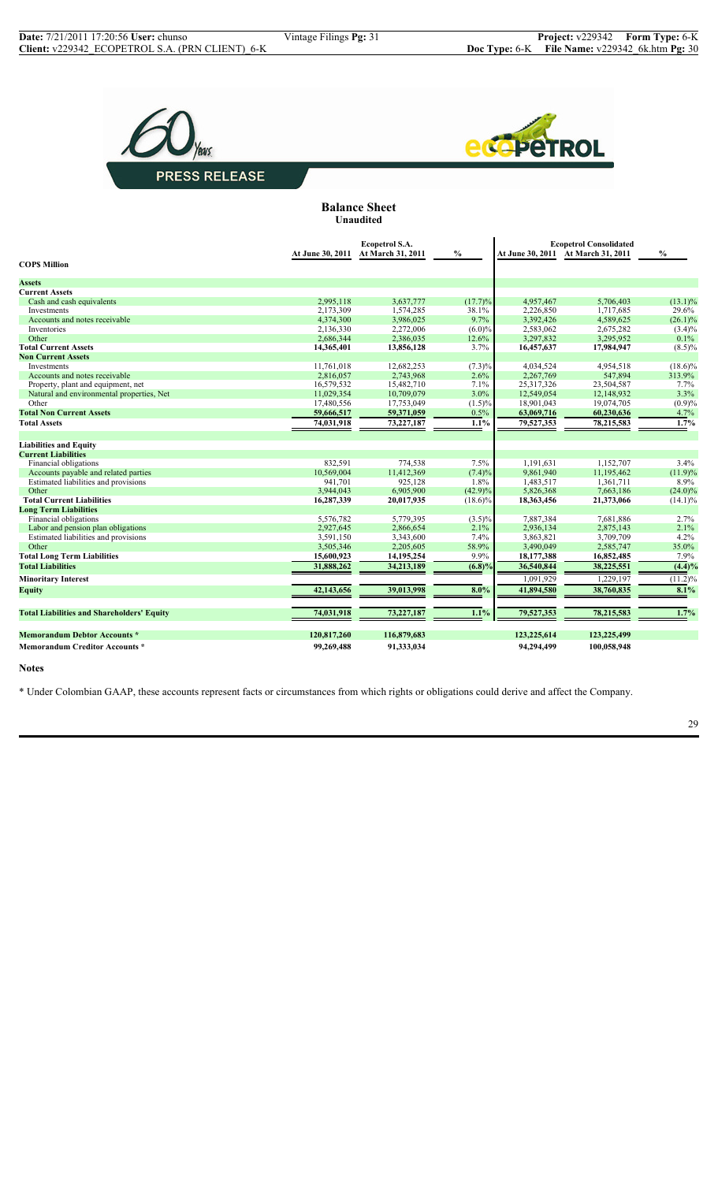



**Balance Sheet Unaudited**

|                                                   |                  | Ecopetrol S.A.    |            | <b>Ecopetrol Consolidated</b> |                                    |               |
|---------------------------------------------------|------------------|-------------------|------------|-------------------------------|------------------------------------|---------------|
|                                                   | At June 30, 2011 | At March 31, 2011 | $\%$       |                               | At June 30, 2011 At March 31, 2011 | $\frac{0}{0}$ |
| <b>COPS Million</b>                               |                  |                   |            |                               |                                    |               |
| <b>Assets</b>                                     |                  |                   |            |                               |                                    |               |
| <b>Current Assets</b>                             |                  |                   |            |                               |                                    |               |
| Cash and cash equivalents                         | 2,995,118        | 3,637,777         | (17.7)%    | 4,957,467                     | 5,706,403                          | $(13.1)\%$    |
| Investments                                       | 2,173,309        | 1,574,285         | 38.1%      | 2,226,850                     | 1,717,685                          | 29.6%         |
| Accounts and notes receivable                     | 4.374.300        | 3,986,025         | 9.7%       | 3,392,426                     | 4,589,625                          | $(26.1)\%$    |
| Inventories                                       | 2,136,330        | 2,272,006         | $(6.0)\%$  | 2,583,062                     | 2,675,282                          | $(3.4)\%$     |
| Other                                             | 2,686,344        | 2,386,035         | 12.6%      | 3,297,832                     | 3,295,952                          | 0.1%          |
| <b>Total Current Assets</b>                       | 14,365,401       | 13,856,128        | 3.7%       | 16,457,637                    | 17,984,947                         | $(8.5)\%$     |
| <b>Non Current Assets</b>                         |                  |                   |            |                               |                                    |               |
| Investments                                       | 11,761,018       | 12,682,253        | $(7.3)\%$  | 4,034,524                     | 4,954,518                          | $(18.6)\%$    |
| Accounts and notes receivable                     | 2,816,057        | 2,743,968         | 2.6%       | 2,267,769                     | 547,894                            | 313.9%        |
| Property, plant and equipment, net                | 16,579,532       | 15,482,710        | 7.1%       | 25,317,326                    | 23,504,587                         | 7.7%          |
| Natural and environmental properties, Net         | 11,029,354       | 10,709,079        | 3.0%       | 12,549,054                    | 12,148,932                         | 3.3%          |
| Other                                             | 17,480,556       | 17,753,049        | $(1.5)\%$  | 18,901,043                    | 19,074,705                         | (0.9)%        |
| <b>Total Non Current Assets</b>                   | 59,666,517       | 59,371,059        | 0.5%       | 63,069,716                    | 60,230,636                         | 4.7%          |
| <b>Total Assets</b>                               | 74,031,918       | 73,227,187        | 1.1%       | 79,527,353                    | 78,215,583                         | 1.7%          |
| <b>Liabilities and Equity</b>                     |                  |                   |            |                               |                                    |               |
| <b>Current Liabilities</b>                        |                  |                   |            |                               |                                    |               |
| Financial obligations                             | 832,591          | 774,538           | 7.5%       | 1,191,631                     | 1,152,707                          | 3.4%          |
| Accounts payable and related parties              | 10,569,004       | 11,412,369        | (7.4)%     | 9,861,940                     | 11,195,462                         | (11.9)%       |
| Estimated liabilities and provisions              | 941,701          | 925,128           | 1.8%       | 1,483,517                     | 1,361,711                          | 8.9%          |
| Other                                             | 3.944.043        | 6,905,900         | $(42.9)\%$ | 5,826,368                     | 7,663,186                          | $(24.0)\%$    |
| <b>Total Current Liabilities</b>                  | 16,287,339       | 20,017,935        | $(18.6)\%$ | 18,363,456                    | 21,373,066                         | $(14.1)\%$    |
| <b>Long Term Liabilities</b>                      |                  |                   |            |                               |                                    |               |
| Financial obligations                             | 5.576.782        | 5,779,395         | $(3.5)\%$  | 7,887,384                     | 7,681,886                          | 2.7%          |
| Labor and pension plan obligations                | 2,927,645        | 2,866,654         | 2.1%       | 2,936,134                     | 2,875,143                          | 2.1%          |
| Estimated liabilities and provisions              | 3,591,150        | 3,343,600         | 7.4%       | 3,863,821                     | 3,709,709                          | 4.2%          |
| Other                                             | 3,505,346        | 2,205,605         | 58.9%      | 3,490,049                     | 2,585,747                          | 35.0%         |
| <b>Total Long Term Liabilities</b>                | 15,600,923       | 14,195,254        | 9.9%       | 18,177,388                    | 16,852,485                         | 7.9%          |
| <b>Total Liabilities</b>                          | 31,888,262       | 34,213,189        | $(6.8)\%$  | 36,540,844                    | 38,225,551                         | (4.4)%        |
| <b>Minoritary Interest</b>                        |                  |                   |            | 1,091,929                     | 1,229,197                          | $(11.2)\%$    |
| <b>Equity</b>                                     | 42,143,656       | 39,013,998        | 8.0%       | 41,894,580                    | 38,760,835                         | 8.1%          |
| <b>Total Liabilities and Shareholders' Equity</b> | 74,031,918       | 73,227,187        | 1.1%       | 79,527,353                    | 78,215,583                         | 1.7%          |
|                                                   |                  |                   |            |                               |                                    |               |
| <b>Memorandum Debtor Accounts*</b>                | 120,817,260      | 116,879,683       |            | 123,225,614                   | 123,225,499                        |               |
| <b>Memorandum Creditor Accounts *</b>             | 99,269,488       | 91,333,034        |            | 94,294,499                    | 100,058,948                        |               |

## **Notes**

\* Under Colombian GAAP, these accounts represent facts or circumstances from which rights or obligations could derive and affect the Company.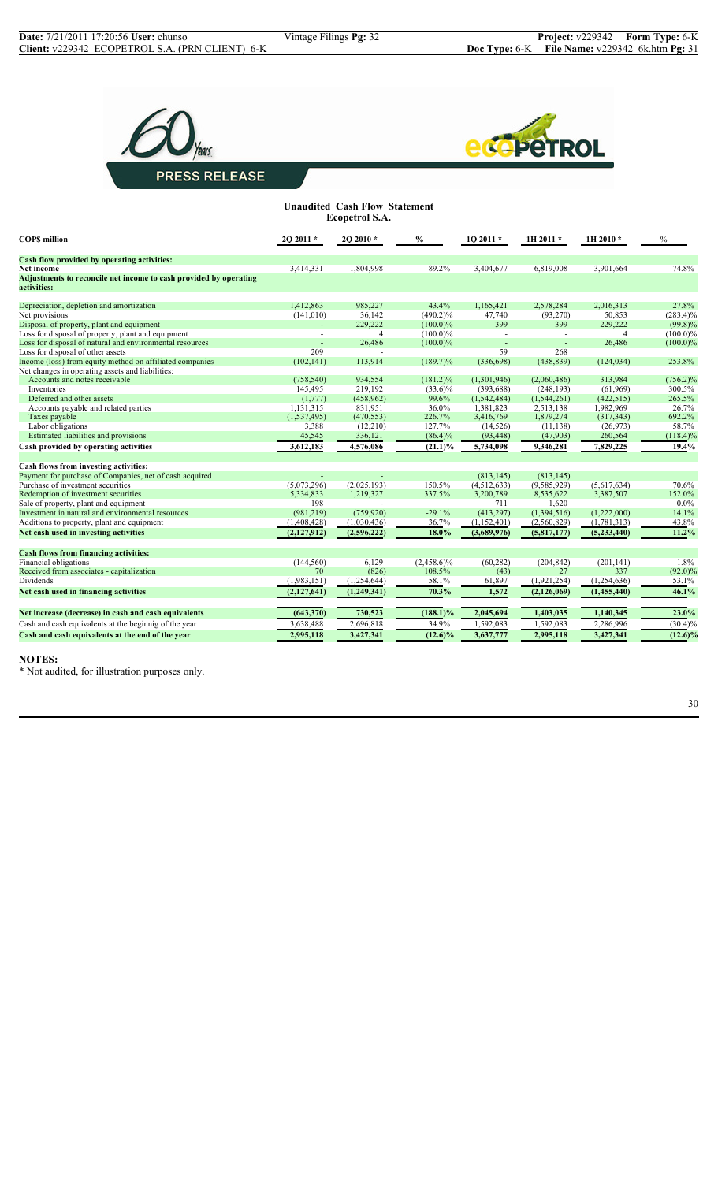



| <b>Unaudited Cash Flow Statement</b><br><b>Ecopetrol S.A.</b>                    |                |                |               |               |             |                |             |
|----------------------------------------------------------------------------------|----------------|----------------|---------------|---------------|-------------|----------------|-------------|
| <b>COPS</b> million                                                              | 2Q 2011 *      | 2Q 2010 *      | $\%$          | $1Q$ 2011 $*$ | 1H 2011*    | 1H 2010 *      | $\%$        |
| Cash flow provided by operating activities:                                      |                |                |               |               |             |                |             |
| Net income                                                                       | 3,414,331      | 1,804,998      | 89.2%         | 3,404,677     | 6,819,008   | 3,901,664      | 74.8%       |
| Adjustments to reconcile net income to cash provided by operating<br>activities: |                |                |               |               |             |                |             |
| Depreciation, depletion and amortization                                         | 1,412,863      | 985.227        | 43.4%         | 1,165,421     | 2,578,284   | 2,016,313      | 27.8%       |
| Net provisions                                                                   | (141, 010)     | 36,142         | $(490.2)\%$   | 47,740        | (93, 270)   | 50,853         | $(283.4)\%$ |
| Disposal of property, plant and equipment                                        |                | 229,222        | $(100.0)\%$   | 399           | 399         | 229,222        | $(99.8)\%$  |
| Loss for disposal of property, plant and equipment                               | ÷.             | $\overline{4}$ | $(100.0)\%$   | $\sim$        | $\sim$      | $\overline{4}$ | $(100.0)\%$ |
| Loss for disposal of natural and environmental resources                         |                | 26.486         | $(100.0)\%$   |               |             | 26,486         | $(100.0)\%$ |
| Loss for disposal of other assets                                                | 209            |                |               | 59            | 268         |                |             |
| Income (loss) from equity method on affiliated companies                         | (102, 141)     | 113,914        | $(189.7)\%$   | (336,698)     | (438, 839)  | (124, 034)     | 253.8%      |
| Net changes in operating assets and liabilities:                                 |                |                |               |               |             |                |             |
| Accounts and notes receivable                                                    | (758, 540)     | 934,554        | $(181.2)\%$   | (1,301,946)   | (2,060,486) | 313,984        | $(756.2)\%$ |
| Inventories                                                                      | 145,495        | 219,192        | $(33.6)\%$    | (393, 688)    | (248, 193)  | (61,969)       | 300.5%      |
| Deferred and other assets                                                        | (1,777)        | (458, 962)     | 99.6%         | (1,542,484)   | (1,544,261) | (422, 515)     | 265.5%      |
| Accounts payable and related parties                                             | 1,131,315      | 831,951        | 36.0%         | 1,381,823     | 2,513,138   | 1,982,969      | 26.7%       |
| Taxes payable                                                                    | (1,537,495)    | (470, 553)     | 226.7%        | 3,416,769     | 1,879,274   | (317, 343)     | 692.2%      |
| Labor obligations                                                                | 3,388          | (12, 210)      | 127.7%        | (14, 526)     | (11, 138)   | (26,973)       | 58.7%       |
| Estimated liabilities and provisions                                             | 45,545         | 336,121        | $(86.4)\%$    | (93, 448)     | (47,903)    | 260,564        | $(118.4)\%$ |
| Cash provided by operating activities                                            | 3,612,183      | 4,576,086      | $(21.1)\%$    | 5,734,098     | 9,346,281   | 7,829,225      | 19.4%       |
| Cash flows from investing activities:                                            |                |                |               |               |             |                |             |
| Payment for purchase of Companies, net of cash acquired                          | $\overline{a}$ |                |               | (813, 145)    | (813, 145)  |                |             |
| Purchase of investment securities                                                | (5,073,296)    | (2,025,193)    | 150.5%        | (4,512,633)   | (9,585,929) | (5,617,634)    | 70.6%       |
| Redemption of investment securities                                              | 5,334,833      | 1,219,327      | 337.5%        | 3,200,789     | 8,535,622   | 3,387,507      | 152.0%      |
| Sale of property, plant and equipment                                            | 198            |                |               | 711           | 1,620       |                | $0.0\%$     |
| Investment in natural and environmental resources                                | (981, 219)     | (759, 920)     | $-29.1%$      | (413, 297)    | (1,394,516) | (1,222,000)    | 14.1%       |
| Additions to property, plant and equipment                                       | (1,408,428)    | (1,030,436)    | 36.7%         | (1,152,401)   | (2,560,829) | (1,781,313)    | 43.8%       |
| Net cash used in investing activities                                            | (2,127,912)    | (2,596,222)    | 18.0%         | (3,689,976)   | (5,817,177) | (5,233,440)    | $11.2\%$    |
| <b>Cash flows from financing activities:</b>                                     |                |                |               |               |             |                |             |
| Financial obligations                                                            | (144, 560)     | 6,129          | $(2,458.6)\%$ | (60, 282)     | (204, 842)  | (201, 141)     | 1.8%        |
| Received from associates - capitalization                                        | 70             | (826)          | 108.5%        | (43)          | 27          | 337            | $(92.0)\%$  |
| Dividends                                                                        | (1,983,151)    | (1,254,644)    | 58.1%         | 61,897        | (1,921,254) | (1,254,636)    | 53.1%       |
| Net cash used in financing activities                                            | (2,127,641)    | (1,249,341)    | 70.3%         | 1,572         | (2,126,069) | (1,455,440)    | 46.1%       |
| Net increase (decrease) in cash and cash equivalents                             | (643, 370)     | 730,523        | $(188.1)\%$   | 2,045,694     | 1,403,035   |                | 23.0%       |
|                                                                                  |                |                |               |               |             | 1,140,345      |             |
| Cash and cash equivalents at the beginnig of the year                            | 3,638,488      | 2,696,818      | 34.9%         | 1,592,083     | 1,592,083   | 2,286,996      | $(30.4)\%$  |
| Cash and cash equivalents at the end of the year                                 | 2,995,118      | 3,427,341      | $(12.6)\%$    | 3,637,777     | 2,995,118   | 3,427,341      | $(12.6)\%$  |

#### **NOTES:**

\* Not audited, for illustration purposes only.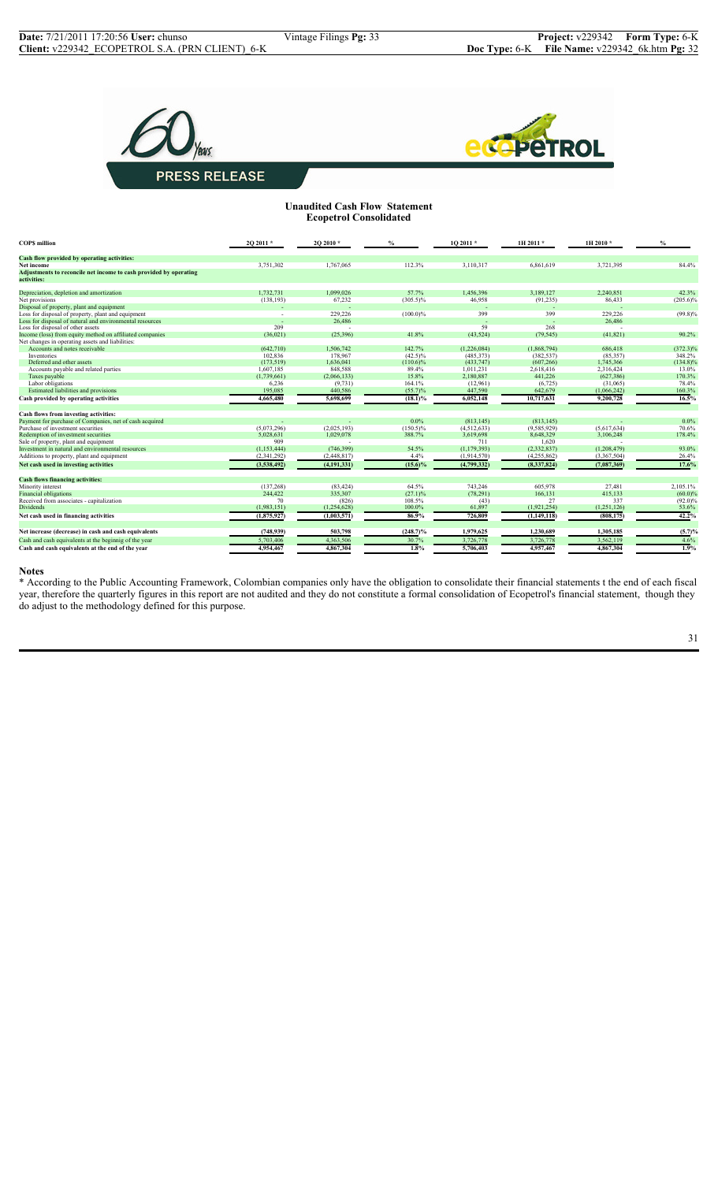



## **Unaudited Cash Flow Statement Ecopetrol Consolidated**

| Cash flow provided by operating activities:<br>112.3%                                                                                      | 84.4%       |
|--------------------------------------------------------------------------------------------------------------------------------------------|-------------|
|                                                                                                                                            |             |
| 3,751,302<br>1,767,065<br>3,110,317<br>6,861,619<br>3,721,395<br>Net income                                                                |             |
| Adjustments to reconcile net income to cash provided by operating<br>activities:                                                           |             |
| 1.732.731<br>1.099.026<br>57.7%<br>3.189.127<br>Depreciation, depletion and amortization<br>1,456,396<br>2.240.851                         | 42.3%       |
| 67,232<br>(138, 193)<br>$(305.5)\%$<br>46,958<br>(91, 235)<br>86,433<br>Net provisions                                                     | $(205.6)\%$ |
| Disposal of property, plant and equipment                                                                                                  |             |
| 399<br>Loss for disposal of property, plant and equipment<br>229,226<br>$(100.0)\%$<br>399<br>229,226<br>×                                 | $(99.8)\%$  |
| Loss for disposal of natural and environmental resources<br>26,486<br>26,486                                                               |             |
| 59<br>Loss for disposal of other assets<br>209<br>268                                                                                      |             |
| Income (loss) from equity method on affiliated companies<br>41.8%<br>(41, 821)<br>(36,021)<br>(25, 396)<br>(43, 524)<br>(79, 545)          | 90.2%       |
| Net changes in operating assets and liabilities:                                                                                           |             |
| 142.7%<br>Accounts and notes receivable<br>(642.710)<br>1.506.742<br>(1.868.794)<br>686.418<br>(1.226.084)                                 | $(372.3)\%$ |
| 102,836<br>178,967<br>$(42.5)\%$<br>(485, 373)<br>(382, 537)<br>(85,357)<br>Inventories                                                    | 348.2%      |
| (173, 519)<br>1,636,041<br>$(110.6)\%$<br>(433, 747)<br>(607, 266)<br>1,745,366<br>Deferred and other assets                               | $(134.8)\%$ |
| 1,607,185<br>848,588<br>89.4%<br>Accounts payable and related parties<br>1,011,231<br>2,618,416<br>2,316,424                               | 13.0%       |
| 15.8%<br>2.180.887<br>(1,739,661)<br>441.226<br>(627, 386)<br>Taxes payable<br>(2,066,133)                                                 | 170.3%      |
| Labor obligations<br>6,236<br>(9, 731)<br>164.1%<br>(12,961)<br>(6, 725)<br>(31,065)                                                       | 78.4%       |
| Estimated liabilities and provisions<br>195,085<br>440,586<br>$(55.7)\%$<br>447,590<br>642,679<br>(1,066,242)                              | 160.3%      |
| Cash provided by operating activities<br>4,665,480<br>5,698,699<br>$(18.1)\%$<br>6,052,148<br>10,717,631<br>9,200,728                      | 16.5%       |
| Cash flows from investing activities:                                                                                                      |             |
| Payment for purchase of Companies, net of cash acquired<br>0.0%<br>(813.145)<br>(813.145)                                                  | $0.0\%$     |
| Purchase of investment securities<br>(5,073,296)<br>(2,025,193)<br>$(150.5)\%$<br>(9,585,929)<br>(5,617,634)<br>(4,512,633)                | 70.6%       |
| Redemption of investment securities<br>5.028.631<br>1,029,078<br>388.7%<br>3,619,698<br>8,648,329<br>3,106,248                             | 178.4%      |
| 909<br>Sale of property, plant and equipment<br>711<br>1.620                                                                               |             |
| Investment in natural and environmental resources<br>54.5%<br>(746, 399)<br>(1, 179, 393)<br>(2, 332, 837)<br>(1,208,479)<br>(1, 153, 444) | 93.0%       |
| 4.4%<br>Additions to property, plant and equipment<br>(2,341,292)<br>(2,448,817)<br>(1,914,570)<br>(4,255,862)<br>(3,367,504)              | 26.4%       |
| $(15.6)\%$<br>(8,337,824)<br>Net cash used in investing activities<br>(3,538,492)<br>(4, 191, 331)<br>(4,799,332)<br>(7,087,369)           | 17.6%       |
| <b>Cash flows financing activities:</b>                                                                                                    |             |
| 64.5%<br>(137, 268)<br>743,246<br>605,978<br>27,481<br>Minority interest<br>(83, 424)                                                      | 2,105.1%    |
| <b>Financial obligations</b><br>244.422<br>335.307<br>(27.1)%<br>(78, 291)<br>166.131<br>415.133                                           | $(60.0)\%$  |
| 337<br>Received from associates - capitalization<br>70<br>(826)<br>108.5%<br>(43)<br>27                                                    | $(92.0)\%$  |
| (1,254,628)<br>100.0%<br>61,897<br>(1,921,254)<br>Dividends<br>(1,983,151)<br>(1,251,126)                                                  | 53.6%       |
| 86.9%<br>(1,875,927)<br>726,809<br>(808, 175)<br>Net cash used in financing activities<br>(1,003,571)<br>(1,149,118)                       | 42.2%       |
| Net increase (decrease) in cash and cash equivalents<br>(748, 939)<br>503,798<br>$(248.7)\%$<br>1,979,625<br>1,230,689<br>1,305,185        | (5.7)%      |
| 3,726,778<br>Cash and cash equivalents at the beginnig of the year<br>5,703,406<br>4,363,506<br>30.7%<br>3,726,778<br>3,562,119            | 4.6%        |
| 4,954,467<br>1.8%<br>4,957,467<br>Cash and cash equivalents at the end of the year<br>4,867,304<br>5,706,403<br>4,867,304                  | 1.9%        |

#### **Notes**

\* According to the Public Accounting Framework, Colombian companies only have the obligation to consolidate their financial statements t the end of each fiscal year, therefore the quarterly figures in this report are not audited and they do not constitute a formal consolidation of Ecopetrol's financial statement, though they do adjust to the methodology defined for this purpose.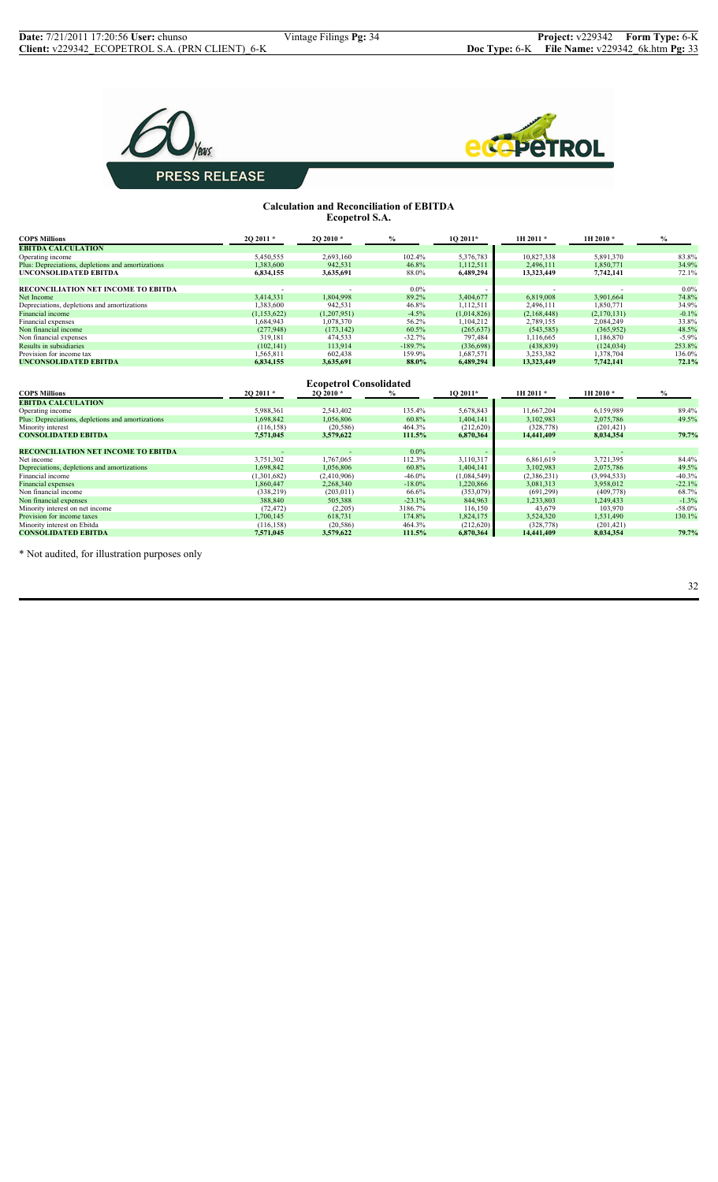



#### **Calculation and Reconciliation of EBITDA Ecopetrol S.A.**

| <b>COPS Millions</b>                                          | 20 2011 *              | 2O 2010*                                  | $\%$              | 1Q 2011*             | 1H 2011 *           | 1H 2010*             | $\%$                |
|---------------------------------------------------------------|------------------------|-------------------------------------------|-------------------|----------------------|---------------------|----------------------|---------------------|
| <b>EBITDA CALCULATION</b>                                     |                        |                                           |                   |                      |                     |                      |                     |
| Operating income                                              | 5,450,555              | 2,693,160                                 | 102.4%            | 5,376,783            | 10,827,338          | 5,891,370            | 83.8%               |
| Plus: Depreciations, depletions and amortizations             | 1,383,600              | 942,531                                   | 46.8%             | 1,112,511            | 2,496,111           | 1,850,771            | 34.9%               |
| <b>UNCONSOLIDATED EBITDA</b>                                  | 6,834,155              | 3,635,691                                 | 88.0%             | 6,489,294            | 13,323,449          | 7,742,141            | 72.1%               |
| RECONCILIATION NET INCOME TO EBITDA                           |                        |                                           | $0.0\%$           |                      |                     |                      | $0.0\%$             |
| Net Income                                                    | 3,414,331              | 1,804,998                                 | 89.2%             | 3,404,677            | 6,819,008           | 3,901,664            | 74.8%               |
| Depreciations, depletions and amortizations                   | 1.383.600              | 942,531                                   | 46.8%             | 1,112,511            | 2,496,111           | 1,850,771            | 34.9%               |
| Financial income                                              | (1,153,622)            | (1,207,951)                               | $-4.5%$           | (1,014,826)          | (2,168,448)         | (2,170,131)          | $-0.1%$             |
| Financial expenses                                            | 1,684,943              | 1,078,370                                 | 56.2%             | 1,104,212            | 2,789,155           | 2,084,249            | 33.8%               |
| Non financial income                                          | (277,948)              | (173, 142)                                | 60.5%             | (265, 637)           | (543, 585)          | (365.952)            | 48.5%               |
| Non financial expenses                                        | 319,181                | 474,533                                   | $-32.7%$          | 797,484              | 1,116,665           | 1,186,870            | $-5.9%$             |
| Results in subsidiaries                                       | (102, 141)             | 113,914                                   | $-189.7%$         | (336, 698)           | (438, 839)          | (124, 034)           | 253.8%              |
| Provision for income tax                                      | 1,565,811              | 602,438                                   | 159.9%            | 1,687,571            | 3,253,382           | 1,378,704            | 136.0%              |
| <b>UNCONSOLIDATED EBITDA</b>                                  | 6,834,155              | 3,635,691                                 | 88.0%             | 6,489,294            | 13,323,449          | 7,742,141            | 72.1%               |
| <b>COPS Millions</b>                                          | 20 2011 *              | <b>Ecopetrol Consolidated</b><br>20 2010* | $\frac{0}{0}$     | 1O 2011*             | 1H 2011*            | 1H 2010*             | $\%$                |
| <b>EBITDA CALCULATION</b>                                     |                        |                                           |                   |                      |                     |                      |                     |
| Operating income                                              | 5,988,361              | 2,543,402                                 | 135.4%            | 5,678,843            | 11,667,204          | 6,159,989            | 89.4%               |
| Plus: Depreciations, depletions and amortizations             | 1,698,842              | 1,056,806                                 | 60.8%             | 1,404,141            | 3,102,983           | 2,075,786            | 49.5%               |
| Minority interest                                             | (116, 158)             | (20, 586)                                 | 464.3%            | (212,620)            | (328, 778)          | (201, 421)           |                     |
| <b>CONSOLIDATED EBITDA</b>                                    | 7,571,045              | 3,579,622                                 | 111.5%            | 6,870,364            | 14,441,409          | 8,034,354            | 79.7%               |
|                                                               |                        |                                           |                   |                      |                     |                      |                     |
| <b>RECONCILIATION NET INCOME TO EBITDA</b><br>Net income      | 3,751,302              | 1.767.065                                 | $0.0\%$<br>112.3% |                      | 6.861.619           |                      | 84.4%               |
|                                                               |                        |                                           |                   | 3,110,317            |                     | 3,721,395            |                     |
| Depreciations, depletions and amortizations                   | 1.698.842              | 1,056,806                                 | 60.8%             | 1,404,141            | 3,102,983           | 2,075,786            | 49.5%               |
| Financial income                                              | (1,301,682)            | (2,410,906)                               | $-46.0%$          | (1,084,549)          | (2,386,231)         | (3,994,533)          | $-40.3%$            |
| Financial expenses<br>Non financial income                    | 1.860.447              | 2,268,340                                 | $-18.0%$<br>66.6% | 1,220,866            | 3,081,313           | 3,958,012            | $-22.1%$<br>68.7%   |
|                                                               | (338, 219)             | (203, 011)                                |                   | (353,079)            | (691, 299)          | (409, 778)           |                     |
| Non financial expenses                                        | 388,840                | 505,388                                   | $-23.1%$          | 844,963              | 1,233,803           | 1,249,433            | $-1.3%$<br>$-58.0%$ |
| Minority interest on net income<br>Provision for income taxes | (72, 472)<br>1,700,145 | (2,205)<br>618,731                        | 3186.7%<br>174.8% | 116,150<br>1,824,175 | 43,679<br>3,524,320 | 103,970<br>1,531,490 | 130.1%              |
| Minority interest on Ebitda                                   | (116, 158)             | (20, 586)                                 | 464.3%            | (212, 620)           | (328, 778)          | (201, 421)           |                     |
| <b>CONSOLIDATED EBITDA</b>                                    | 7,571,045              | 3,579,622                                 | 111.5%            | 6,870,364            | 14,441,409          | 8,034,354            | 79.7%               |

\* Not audited, for illustration purposes only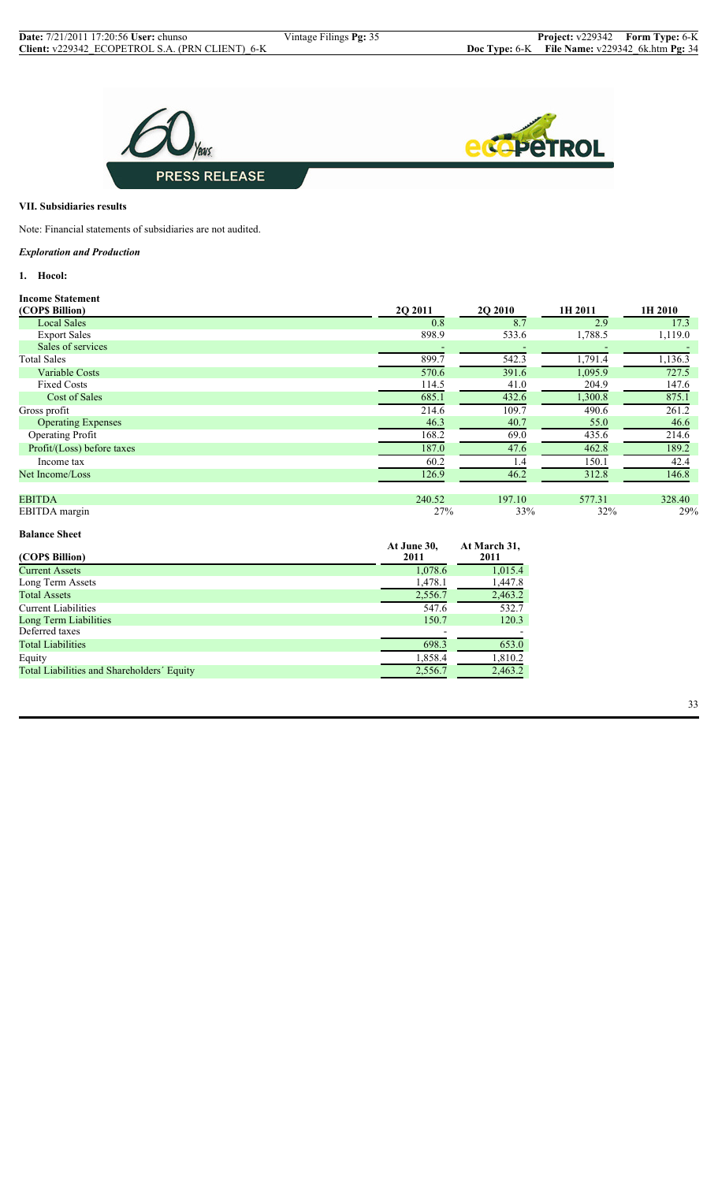

## **VII. Subsidiaries results**

Note: Financial statements of subsidiaries are not audited.

## *Exploration and Production*

**1. Hocol:**

| <b>Income Statement</b>    |                |                |         |         |
|----------------------------|----------------|----------------|---------|---------|
| (COP\$ Billion)            | <b>20 2011</b> | <b>2Q 2010</b> | 1H 2011 | 1H 2010 |
| <b>Local Sales</b>         | 0.8            | 8.7            | 2.9     | 17.3    |
| <b>Export Sales</b>        | 898.9          | 533.6          | 1,788.5 | 1,119.0 |
| Sales of services          |                |                |         |         |
| <b>Total Sales</b>         | 899.7          | 542.3          | 1,791.4 | 1,136.3 |
| <b>Variable Costs</b>      | 570.6          | 391.6          | 1,095.9 | 727.5   |
| <b>Fixed Costs</b>         | 114.5          | 41.0           | 204.9   | 147.6   |
| Cost of Sales              | 685.1          | 432.6          | 1,300.8 | 875.1   |
| Gross profit               | 214.6          | 109.7          | 490.6   | 261.2   |
| <b>Operating Expenses</b>  | 46.3           | 40.7           | 55.0    | 46.6    |
| <b>Operating Profit</b>    | 168.2          | 69.0           | 435.6   | 214.6   |
| Profit/(Loss) before taxes | 187.0          | 47.6           | 462.8   | 189.2   |
| Income tax                 | 60.2           | 1.4            | 150.1   | 42.4    |
| Net Income/Loss            | 126.9          | 46.2           | 312.8   | 146.8   |
| <b>EBITDA</b>              | 240.52         | 197.10         | 577.31  | 328.40  |
| EBITDA margin              | 27%            | 33%            | 32%     | 29%     |

#### **Balance Sheet**

| (COPS Billion)                             | At June 30,<br>2011 | At March 31,<br>2011 |
|--------------------------------------------|---------------------|----------------------|
| <b>Current Assets</b>                      | 1,078.6             | 1,015.4              |
| Long Term Assets                           | 1,478.1             | 1,447.8              |
| <b>Total Assets</b>                        | 2,556.7             | 2,463.2              |
| <b>Current Liabilities</b>                 | 547.6               | 532.7                |
| Long Term Liabilities                      | 150.7               | 120.3                |
| Deferred taxes                             |                     |                      |
| <b>Total Liabilities</b>                   | 698.3               | 653.0                |
| Equity                                     | 1,858.4             | 1,810.2              |
| Total Liabilities and Shareholders' Equity | 2,556.7             | 2,463.2              |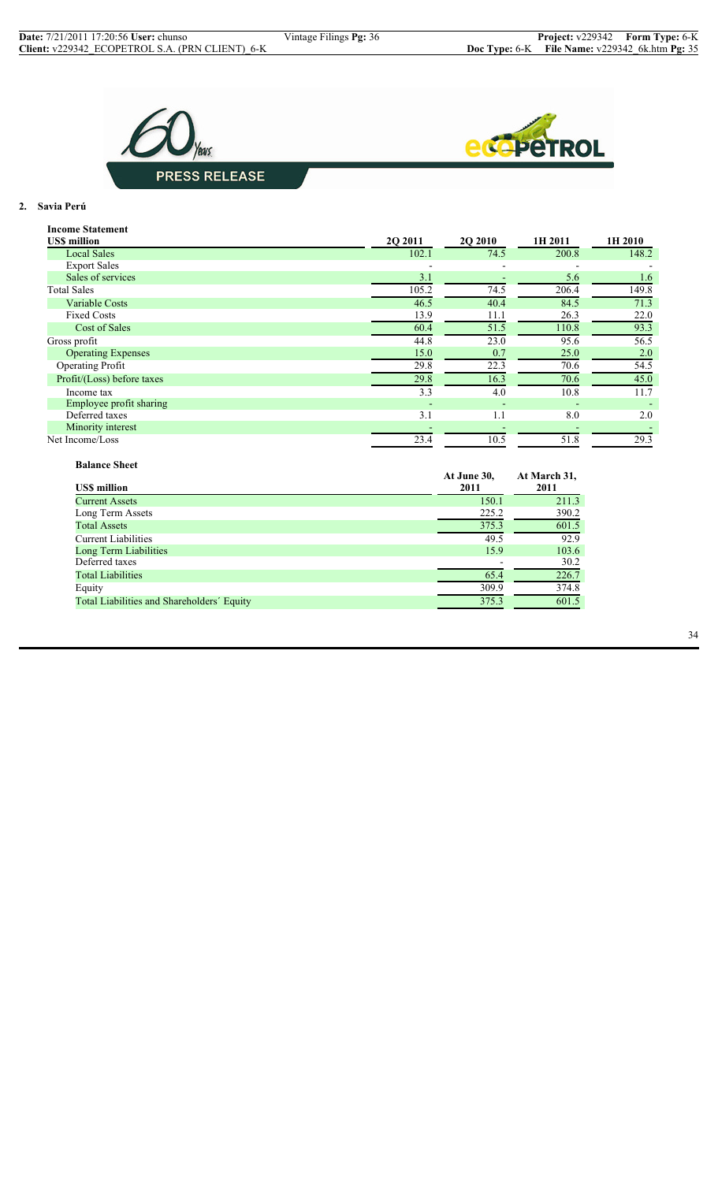



## **2. Savia Perú**

| <b>Income Statement</b>    |         |                |         |         |
|----------------------------|---------|----------------|---------|---------|
| <b>USS million</b>         | 2Q 2011 | <b>2Q 2010</b> | 1H 2011 | 1H 2010 |
| <b>Local Sales</b>         | 102.1   | 74.5           | 200.8   | 148.2   |
| <b>Export Sales</b>        |         |                |         |         |
| Sales of services          | 3.1     |                | 5.6     | 1.6     |
| <b>Total Sales</b>         | 105.2   | 74.5           | 206.4   | 149.8   |
| <b>Variable Costs</b>      | 46.5    | 40.4           | 84.5    | 71.3    |
| <b>Fixed Costs</b>         | 13.9    | 11.1           | 26.3    | 22.0    |
| Cost of Sales              | 60.4    | 51.5           | 110.8   | 93.3    |
| Gross profit               | 44.8    | 23.0           | 95.6    | 56.5    |
| <b>Operating Expenses</b>  | 15.0    | 0.7            | 25.0    | 2.0     |
| <b>Operating Profit</b>    | 29.8    | 22.3           | 70.6    | 54.5    |
| Profit/(Loss) before taxes | 29.8    | 16.3           | 70.6    | 45.0    |
| Income tax                 | 3.3     | 4.0            | 10.8    | 11.7    |
| Employee profit sharing    |         | $\overline{a}$ |         |         |
| Deferred taxes             | 3.1     | 1.1            | 8.0     | 2.0     |
| Minority interest          |         |                |         |         |
| Net Income/Loss            | 23.4    | 10.5           | 51.8    | 29.3    |

| <b>Balance Sheet</b>                       |                     |                      |
|--------------------------------------------|---------------------|----------------------|
| <b>USS</b> million                         | At June 30,<br>2011 | At March 31,<br>2011 |
| <b>Current Assets</b>                      | 150.1               | 211.3                |
| Long Term Assets                           | 225.2               | 390.2                |
| <b>Total Assets</b>                        | 375.3               | 601.5                |
| <b>Current Liabilities</b>                 | 49.5                | 92.9                 |
| Long Term Liabilities                      | 15.9                | 103.6                |
| Deferred taxes                             |                     | 30.2                 |
| <b>Total Liabilities</b>                   | 65.4                | 226.7                |
| Equity                                     | 309.9               | 374.8                |
| Total Liabilities and Shareholders' Equity | 375.3               | 601.5                |

34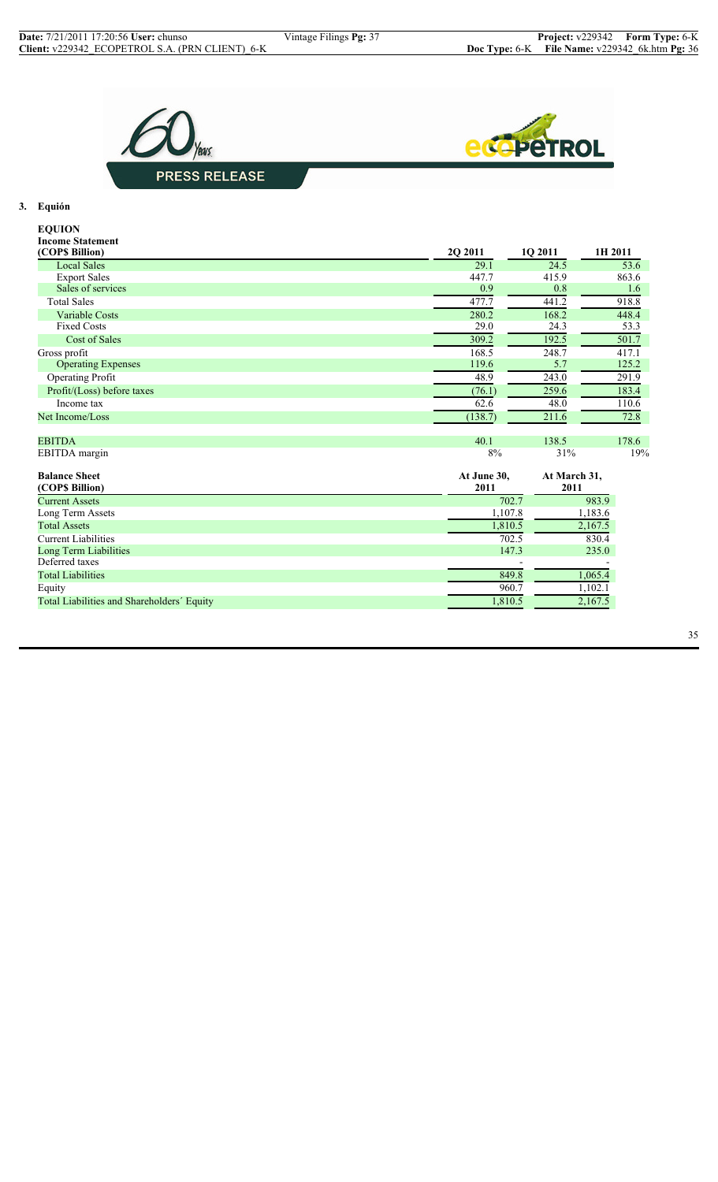



## **3. Equión**

| <b>EQUION</b>                              |                     |                      |         |
|--------------------------------------------|---------------------|----------------------|---------|
| <b>Income Statement</b>                    |                     |                      |         |
| (COP\$ Billion)                            | 2Q 2011             | 1Q 2011              | 1H 2011 |
| <b>Local Sales</b>                         | 29.1                | 24.5                 | 53.6    |
| <b>Export Sales</b>                        | 447.7               | 415.9                | 863.6   |
| Sales of services                          | 0.9                 | 0.8                  | 1.6     |
| <b>Total Sales</b>                         | 477.7               | 441.2                | 918.8   |
| <b>Variable Costs</b>                      | 280.2               | 168.2                | 448.4   |
| <b>Fixed Costs</b>                         | 29.0                | 24.3                 | 53.3    |
| <b>Cost of Sales</b>                       | 309.2               | 192.5                | 501.7   |
| Gross profit                               | 168.5               | 248.7                | 417.1   |
| <b>Operating Expenses</b>                  | 119.6               | 5.7                  | 125.2   |
| Operating Profit                           | 48.9                | 243.0                | 291.9   |
| Profit/(Loss) before taxes                 | (76.1)              | 259.6                | 183.4   |
| Income tax                                 | 62.6                | 48.0                 | 110.6   |
| Net Income/Loss                            | (138.7)             | 211.6                | 72.8    |
| <b>EBITDA</b>                              | 40.1                | 138.5                | 178.6   |
| EBITDA margin                              | 8%                  | 31%                  | 19%     |
| <b>Balance Sheet</b><br>(COP\$ Billion)    | At June 30,<br>2011 | At March 31,<br>2011 |         |
| <b>Current Assets</b>                      |                     | 702.7                | 983.9   |
| Long Term Assets                           |                     | 1,107.8              | 1,183.6 |
| <b>Total Assets</b>                        |                     | 1,810.5              | 2,167.5 |
| <b>Current Liabilities</b>                 |                     | 702.5                | 830.4   |
| Long Term Liabilities                      |                     | 147.3                | 235.0   |
| Deferred taxes                             |                     |                      |         |
| <b>Total Liabilities</b>                   |                     | 849.8                | 1,065.4 |
| Equity                                     |                     | 960.7                | 1,102.1 |
| Total Liabilities and Shareholders' Equity |                     | 1,810.5              | 2,167.5 |
|                                            |                     |                      |         |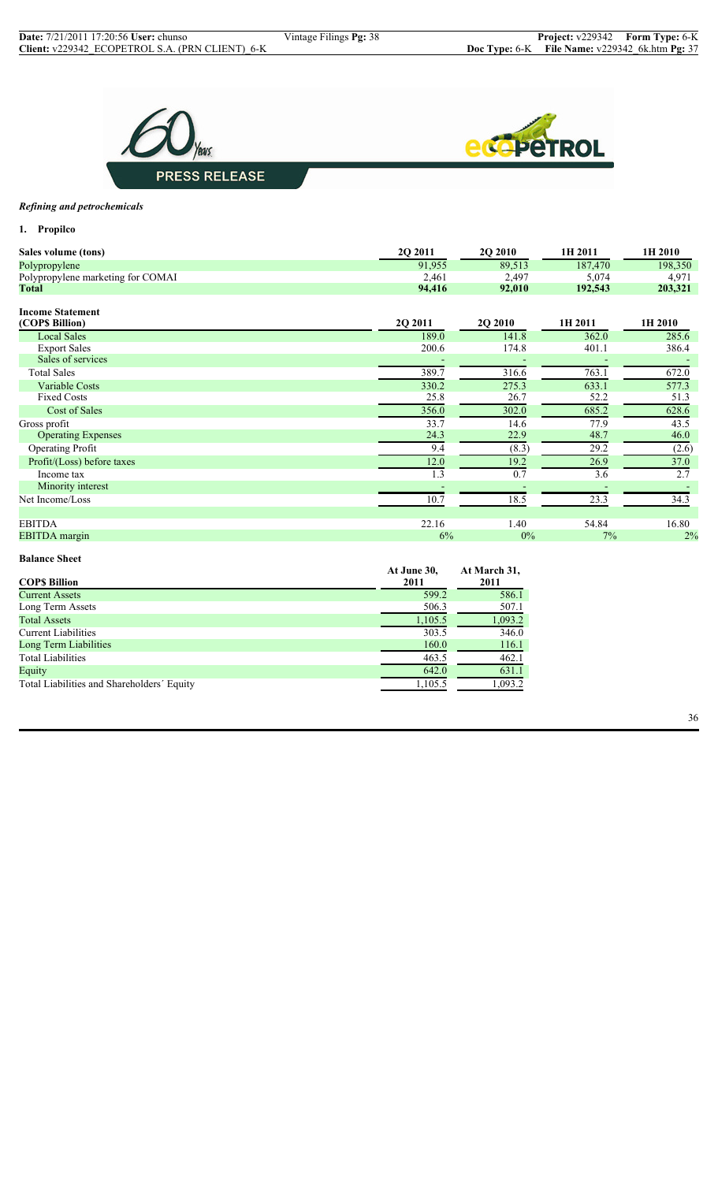



## *Refining and petrochemicals*

**1. Propilco**

| Sales volume (tons)               | 2Q 2011 | <b>2Q 2010</b> | 1H 2011 | 1H 2010 |
|-----------------------------------|---------|----------------|---------|---------|
| Polypropylene                     | 91,955  | 89,513         | 187,470 | 198,350 |
| Polypropylene marketing for COMAI | 2,461   | 2,497          | 5,074   | 4,971   |
| <b>Total</b>                      | 94,416  | 92,010         | 192,543 | 203,321 |
| <b>Income Statement</b>           |         |                |         |         |
| (COP\$ Billion)                   | 2Q 2011 | 2Q 2010        | 1H 2011 | 1H 2010 |
| <b>Local Sales</b>                | 189.0   | 141.8          | 362.0   | 285.6   |
| <b>Export Sales</b>               | 200.6   | 174.8          | 401.1   | 386.4   |
| Sales of services                 |         |                |         |         |
| <b>Total Sales</b>                | 389.7   | 316.6          | 763.1   | 672.0   |
| <b>Variable Costs</b>             | 330.2   | 275.3          | 633.1   | 577.3   |
| <b>Fixed Costs</b>                | 25.8    | 26.7           | 52.2    | 51.3    |
| Cost of Sales                     | 356.0   | 302.0          | 685.2   | 628.6   |
| Gross profit                      | 33.7    | 14.6           | 77.9    | 43.5    |
| <b>Operating Expenses</b>         | 24.3    | 22.9           | 48.7    | 46.0    |
| <b>Operating Profit</b>           | 9.4     | (8.3)          | 29.2    | (2.6)   |
| Profit/(Loss) before taxes        | 12.0    | 19.2           | 26.9    | 37.0    |
| Income tax                        | 1.3     | 0.7            | 3.6     | 2.7     |
| Minority interest                 |         |                |         |         |
| Net Income/Loss                   | 10.7    | 18.5           | 23.3    | 34.3    |
| <b>EBITDA</b>                     | 22.16   | 1.40           | 54.84   | 16.80   |
| <b>EBITDA</b> margin              | 6%      | $0\%$          | $7\%$   | 2%      |

#### **Balance Sheet**

|                                            | At June 30, | At March 31, |
|--------------------------------------------|-------------|--------------|
| <b>COPS Billion</b>                        | 2011        | 2011         |
| <b>Current Assets</b>                      | 599.2       | 586.1        |
| Long Term Assets                           | 506.3       | 507.1        |
| <b>Total Assets</b>                        | 1,105.5     | 1,093.2      |
| <b>Current Liabilities</b>                 | 303.5       | 346.0        |
| Long Term Liabilities                      | 160.0       | 116.1        |
| <b>Total Liabilities</b>                   | 463.5       | 462.1        |
| Equity                                     | 642.0       | 631.1        |
| Total Liabilities and Shareholders' Equity | 1,105.5     | 1,093.2      |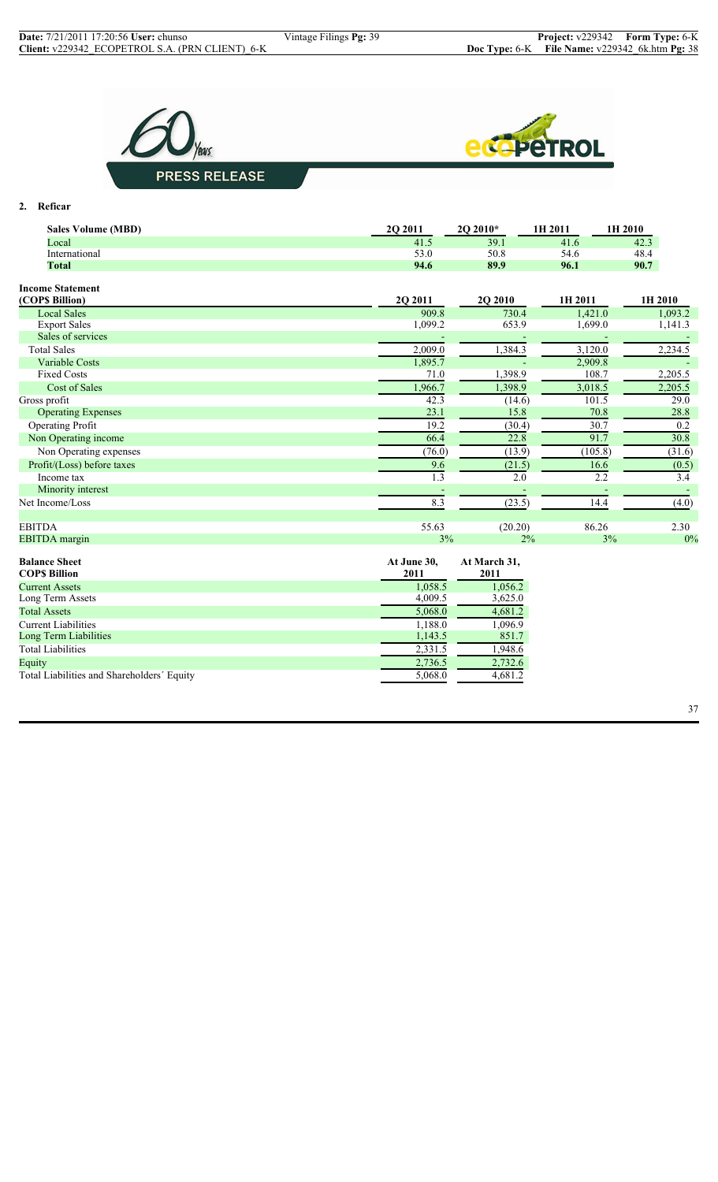



**2. Reficar**

| 39.1<br>41.6<br>42.3<br>Local<br>41.5<br>53.0<br>54.6<br>International<br>50.8<br>48.4<br>90.7<br><b>Total</b><br>94.6<br>89.9<br>96.1<br><b>Income Statement</b><br>(COPS Billion)<br>2Q 2011<br>2Q 2010<br>1H 2011<br>1H 2010<br><b>Local Sales</b><br>909.8<br>730.4<br>1,421.0<br>1,093.2<br><b>Export Sales</b><br>1,099.2<br>653.9<br>1,699.0<br>1,141.3<br>Sales of services<br>1,384.3<br><b>Total Sales</b><br>2,009.0<br>3,120.0<br>2,234.5<br>1,895.7<br><b>Variable Costs</b><br>2,909.8<br>1,398.9<br>108.7<br>2,205.5<br><b>Fixed Costs</b><br>71.0<br>1,966.7<br>1,398.9<br>3,018.5<br><b>Cost of Sales</b><br>2,205.5<br>Gross profit<br>42.3<br>101.5<br>(14.6)<br>29.0<br>23.1<br>15.8<br>70.8<br>28.8<br><b>Operating Expenses</b><br>30.7<br>19.2<br>0.2<br><b>Operating Profit</b><br>(30.4)<br>91.7<br>66.4<br>30.8<br>22.8<br>Non Operating income<br>Non Operating expenses<br>(76.0)<br>(13.9)<br>(105.8)<br>(31.6)<br>Profit/(Loss) before taxes<br>9.6<br>16.6<br>(21.5)<br>(0.5)<br>$\overline{2.2}$<br>1.3<br>2.0<br>3.4<br>Income tax<br>Minority interest<br>8.3<br>(23.5)<br>14.4<br>Net Income/Loss<br>(4.0)<br><b>EBITDA</b><br>55.63<br>(20.20)<br>86.26<br>2.30<br>0%<br><b>EBITDA</b> margin<br>3%<br>$2\%$<br>3%<br><b>Balance Sheet</b><br>At June 30,<br>At March 31,<br><b>COPS Billion</b><br>2011<br>2011<br>1,056.2<br>1,058.5<br><b>Current Assets</b><br>4,009.5<br>3,625.0<br>Long Term Assets<br>4,681.2<br><b>Total Assets</b><br>5,068.0<br><b>Current Liabilities</b><br>1,188.0<br>1,096.9<br>Long Term Liabilities<br>851.7<br>1,143.5<br>2,331.5<br><b>Total Liabilities</b><br>1,948.6<br>2,736.5<br>2,732.6<br>Equity | <b>Sales Volume (MBD)</b>                  | 2Q 2011              | 2O 2010* | 1H 2011 | 1H 2010 |
|-------------------------------------------------------------------------------------------------------------------------------------------------------------------------------------------------------------------------------------------------------------------------------------------------------------------------------------------------------------------------------------------------------------------------------------------------------------------------------------------------------------------------------------------------------------------------------------------------------------------------------------------------------------------------------------------------------------------------------------------------------------------------------------------------------------------------------------------------------------------------------------------------------------------------------------------------------------------------------------------------------------------------------------------------------------------------------------------------------------------------------------------------------------------------------------------------------------------------------------------------------------------------------------------------------------------------------------------------------------------------------------------------------------------------------------------------------------------------------------------------------------------------------------------------------------------------------------------------------------------------------------------------------------------------------|--------------------------------------------|----------------------|----------|---------|---------|
|                                                                                                                                                                                                                                                                                                                                                                                                                                                                                                                                                                                                                                                                                                                                                                                                                                                                                                                                                                                                                                                                                                                                                                                                                                                                                                                                                                                                                                                                                                                                                                                                                                                                               |                                            |                      |          |         |         |
|                                                                                                                                                                                                                                                                                                                                                                                                                                                                                                                                                                                                                                                                                                                                                                                                                                                                                                                                                                                                                                                                                                                                                                                                                                                                                                                                                                                                                                                                                                                                                                                                                                                                               |                                            |                      |          |         |         |
|                                                                                                                                                                                                                                                                                                                                                                                                                                                                                                                                                                                                                                                                                                                                                                                                                                                                                                                                                                                                                                                                                                                                                                                                                                                                                                                                                                                                                                                                                                                                                                                                                                                                               |                                            |                      |          |         |         |
|                                                                                                                                                                                                                                                                                                                                                                                                                                                                                                                                                                                                                                                                                                                                                                                                                                                                                                                                                                                                                                                                                                                                                                                                                                                                                                                                                                                                                                                                                                                                                                                                                                                                               |                                            |                      |          |         |         |
|                                                                                                                                                                                                                                                                                                                                                                                                                                                                                                                                                                                                                                                                                                                                                                                                                                                                                                                                                                                                                                                                                                                                                                                                                                                                                                                                                                                                                                                                                                                                                                                                                                                                               |                                            |                      |          |         |         |
|                                                                                                                                                                                                                                                                                                                                                                                                                                                                                                                                                                                                                                                                                                                                                                                                                                                                                                                                                                                                                                                                                                                                                                                                                                                                                                                                                                                                                                                                                                                                                                                                                                                                               |                                            |                      |          |         |         |
|                                                                                                                                                                                                                                                                                                                                                                                                                                                                                                                                                                                                                                                                                                                                                                                                                                                                                                                                                                                                                                                                                                                                                                                                                                                                                                                                                                                                                                                                                                                                                                                                                                                                               |                                            |                      |          |         |         |
|                                                                                                                                                                                                                                                                                                                                                                                                                                                                                                                                                                                                                                                                                                                                                                                                                                                                                                                                                                                                                                                                                                                                                                                                                                                                                                                                                                                                                                                                                                                                                                                                                                                                               |                                            |                      |          |         |         |
|                                                                                                                                                                                                                                                                                                                                                                                                                                                                                                                                                                                                                                                                                                                                                                                                                                                                                                                                                                                                                                                                                                                                                                                                                                                                                                                                                                                                                                                                                                                                                                                                                                                                               |                                            |                      |          |         |         |
|                                                                                                                                                                                                                                                                                                                                                                                                                                                                                                                                                                                                                                                                                                                                                                                                                                                                                                                                                                                                                                                                                                                                                                                                                                                                                                                                                                                                                                                                                                                                                                                                                                                                               |                                            |                      |          |         |         |
|                                                                                                                                                                                                                                                                                                                                                                                                                                                                                                                                                                                                                                                                                                                                                                                                                                                                                                                                                                                                                                                                                                                                                                                                                                                                                                                                                                                                                                                                                                                                                                                                                                                                               |                                            |                      |          |         |         |
|                                                                                                                                                                                                                                                                                                                                                                                                                                                                                                                                                                                                                                                                                                                                                                                                                                                                                                                                                                                                                                                                                                                                                                                                                                                                                                                                                                                                                                                                                                                                                                                                                                                                               |                                            |                      |          |         |         |
|                                                                                                                                                                                                                                                                                                                                                                                                                                                                                                                                                                                                                                                                                                                                                                                                                                                                                                                                                                                                                                                                                                                                                                                                                                                                                                                                                                                                                                                                                                                                                                                                                                                                               |                                            |                      |          |         |         |
|                                                                                                                                                                                                                                                                                                                                                                                                                                                                                                                                                                                                                                                                                                                                                                                                                                                                                                                                                                                                                                                                                                                                                                                                                                                                                                                                                                                                                                                                                                                                                                                                                                                                               |                                            |                      |          |         |         |
|                                                                                                                                                                                                                                                                                                                                                                                                                                                                                                                                                                                                                                                                                                                                                                                                                                                                                                                                                                                                                                                                                                                                                                                                                                                                                                                                                                                                                                                                                                                                                                                                                                                                               |                                            |                      |          |         |         |
|                                                                                                                                                                                                                                                                                                                                                                                                                                                                                                                                                                                                                                                                                                                                                                                                                                                                                                                                                                                                                                                                                                                                                                                                                                                                                                                                                                                                                                                                                                                                                                                                                                                                               |                                            |                      |          |         |         |
|                                                                                                                                                                                                                                                                                                                                                                                                                                                                                                                                                                                                                                                                                                                                                                                                                                                                                                                                                                                                                                                                                                                                                                                                                                                                                                                                                                                                                                                                                                                                                                                                                                                                               |                                            |                      |          |         |         |
|                                                                                                                                                                                                                                                                                                                                                                                                                                                                                                                                                                                                                                                                                                                                                                                                                                                                                                                                                                                                                                                                                                                                                                                                                                                                                                                                                                                                                                                                                                                                                                                                                                                                               |                                            |                      |          |         |         |
|                                                                                                                                                                                                                                                                                                                                                                                                                                                                                                                                                                                                                                                                                                                                                                                                                                                                                                                                                                                                                                                                                                                                                                                                                                                                                                                                                                                                                                                                                                                                                                                                                                                                               |                                            |                      |          |         |         |
|                                                                                                                                                                                                                                                                                                                                                                                                                                                                                                                                                                                                                                                                                                                                                                                                                                                                                                                                                                                                                                                                                                                                                                                                                                                                                                                                                                                                                                                                                                                                                                                                                                                                               |                                            |                      |          |         |         |
|                                                                                                                                                                                                                                                                                                                                                                                                                                                                                                                                                                                                                                                                                                                                                                                                                                                                                                                                                                                                                                                                                                                                                                                                                                                                                                                                                                                                                                                                                                                                                                                                                                                                               |                                            |                      |          |         |         |
|                                                                                                                                                                                                                                                                                                                                                                                                                                                                                                                                                                                                                                                                                                                                                                                                                                                                                                                                                                                                                                                                                                                                                                                                                                                                                                                                                                                                                                                                                                                                                                                                                                                                               |                                            |                      |          |         |         |
|                                                                                                                                                                                                                                                                                                                                                                                                                                                                                                                                                                                                                                                                                                                                                                                                                                                                                                                                                                                                                                                                                                                                                                                                                                                                                                                                                                                                                                                                                                                                                                                                                                                                               |                                            |                      |          |         |         |
|                                                                                                                                                                                                                                                                                                                                                                                                                                                                                                                                                                                                                                                                                                                                                                                                                                                                                                                                                                                                                                                                                                                                                                                                                                                                                                                                                                                                                                                                                                                                                                                                                                                                               |                                            |                      |          |         |         |
|                                                                                                                                                                                                                                                                                                                                                                                                                                                                                                                                                                                                                                                                                                                                                                                                                                                                                                                                                                                                                                                                                                                                                                                                                                                                                                                                                                                                                                                                                                                                                                                                                                                                               |                                            |                      |          |         |         |
|                                                                                                                                                                                                                                                                                                                                                                                                                                                                                                                                                                                                                                                                                                                                                                                                                                                                                                                                                                                                                                                                                                                                                                                                                                                                                                                                                                                                                                                                                                                                                                                                                                                                               |                                            |                      |          |         |         |
|                                                                                                                                                                                                                                                                                                                                                                                                                                                                                                                                                                                                                                                                                                                                                                                                                                                                                                                                                                                                                                                                                                                                                                                                                                                                                                                                                                                                                                                                                                                                                                                                                                                                               |                                            |                      |          |         |         |
|                                                                                                                                                                                                                                                                                                                                                                                                                                                                                                                                                                                                                                                                                                                                                                                                                                                                                                                                                                                                                                                                                                                                                                                                                                                                                                                                                                                                                                                                                                                                                                                                                                                                               |                                            |                      |          |         |         |
|                                                                                                                                                                                                                                                                                                                                                                                                                                                                                                                                                                                                                                                                                                                                                                                                                                                                                                                                                                                                                                                                                                                                                                                                                                                                                                                                                                                                                                                                                                                                                                                                                                                                               |                                            |                      |          |         |         |
|                                                                                                                                                                                                                                                                                                                                                                                                                                                                                                                                                                                                                                                                                                                                                                                                                                                                                                                                                                                                                                                                                                                                                                                                                                                                                                                                                                                                                                                                                                                                                                                                                                                                               |                                            |                      |          |         |         |
|                                                                                                                                                                                                                                                                                                                                                                                                                                                                                                                                                                                                                                                                                                                                                                                                                                                                                                                                                                                                                                                                                                                                                                                                                                                                                                                                                                                                                                                                                                                                                                                                                                                                               |                                            |                      |          |         |         |
|                                                                                                                                                                                                                                                                                                                                                                                                                                                                                                                                                                                                                                                                                                                                                                                                                                                                                                                                                                                                                                                                                                                                                                                                                                                                                                                                                                                                                                                                                                                                                                                                                                                                               |                                            |                      |          |         |         |
|                                                                                                                                                                                                                                                                                                                                                                                                                                                                                                                                                                                                                                                                                                                                                                                                                                                                                                                                                                                                                                                                                                                                                                                                                                                                                                                                                                                                                                                                                                                                                                                                                                                                               |                                            |                      |          |         |         |
|                                                                                                                                                                                                                                                                                                                                                                                                                                                                                                                                                                                                                                                                                                                                                                                                                                                                                                                                                                                                                                                                                                                                                                                                                                                                                                                                                                                                                                                                                                                                                                                                                                                                               | Total Liabilities and Shareholders' Equity | $5,068.\overline{0}$ | 4,681.2  |         |         |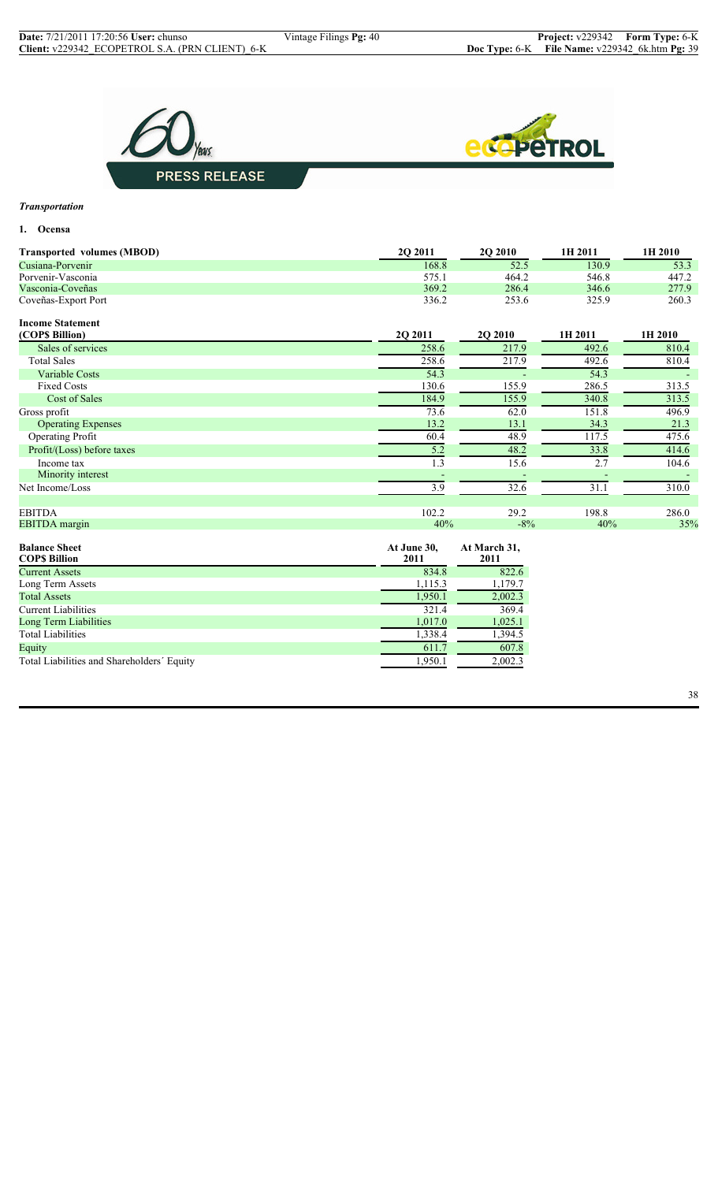

## *Transportation*

## **1. Ocensa**

| <b>Transported volumes (MBOD)</b> | <b>202011</b> | <b>20 2010</b> | 1H 2011 | 1H 2010 |
|-----------------------------------|---------------|----------------|---------|---------|
| Cusiana-Porvenir                  | 168.8         | 52.5           | 130.9   | 53.3    |
| Porvenir-Vasconia                 | 575.1         | 464.2          | 546.8   | 447.2   |
| Vasconia-Coveñas                  | 369.2         | 286.4          | 346.6   | 277.9   |
| Coveñas-Export Port               | 336.2         | 253.6          | 325.9   | 260.3   |
| <b>Income Statement</b>           |               |                |         |         |
| (COP\$ Billion)                   | 2Q 2011       | <b>2Q 2010</b> | 1H 2011 | 1H 2010 |
| Sales of services                 | 258.6         | 217.9          | 492.6   | 810.4   |
| <b>Total Sales</b>                | 258.6         | 217.9          | 492.6   | 810.4   |
| <b>Variable Costs</b>             | 54.3          |                | 54.3    |         |
| <b>Fixed Costs</b>                | 130.6         | 155.9          | 286.5   | 313.5   |
| Cost of Sales                     | 184.9         | 155.9          | 340.8   | 313.5   |
| Gross profit                      | 73.6          | 62.0           | 151.8   | 496.9   |
| <b>Operating Expenses</b>         | 13.2          | 13.1           | 34.3    | 21.3    |
| <b>Operating Profit</b>           | 60.4          | 48.9           | 117.5   | 475.6   |
| Profit/(Loss) before taxes        | 5.2           | 48.2           | 33.8    | 414.6   |
| Income tax                        | 1.3           | 15.6           | 2.7     | 104.6   |

| 3.9                 | 32.6                 | 31.1  | 310.0 |
|---------------------|----------------------|-------|-------|
| 102.2               | 29.2                 | 198.8 | 286.0 |
|                     | $-8\%$               | 40%   | 35%   |
| At June 30,<br>2011 | At March 31,<br>2011 |       |       |
| 834.8               | 822.6                |       |       |
| 1,115.3             | 1,179.7              |       |       |
| 1,950.1             | 2,002.3              |       |       |
| 321.4               | 369.4                |       |       |
| 1,017.0             | 1,025.1              |       |       |
|                     |                      |       |       |
| 1,338.4             | 1,394.5              |       |       |
|                     |                      | 40%   |       |

Equity  $607.8$ Total Liabilities and Shareholders' Equity 1,950.1 2,002.3

38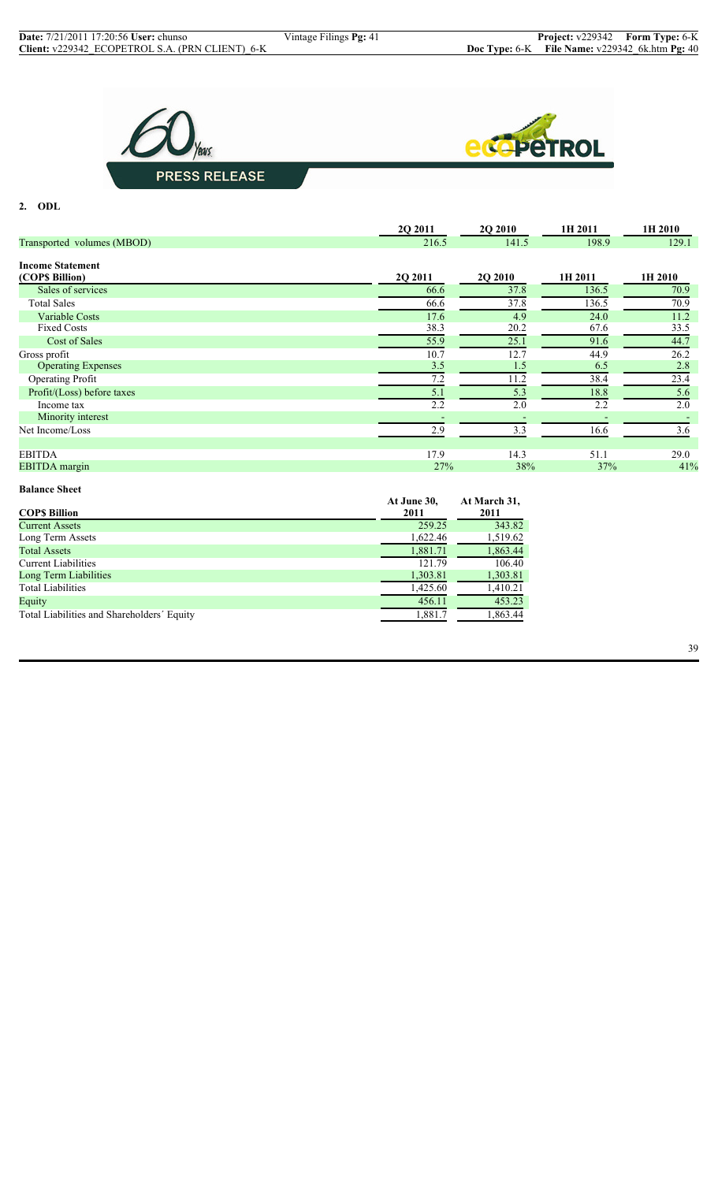



## **2. ODL**

|                            | 2Q 2011 | 2Q 2010        | 1H 2011 | 1H 2010 |
|----------------------------|---------|----------------|---------|---------|
| Transported volumes (MBOD) | 216.5   | 141.5          | 198.9   | 129.1   |
| <b>Income Statement</b>    |         |                |         |         |
| (COPS Billion)             | 2Q 2011 | <b>2Q 2010</b> | 1H 2011 | 1H 2010 |
| Sales of services          | 66.6    | 37.8           | 136.5   | 70.9    |
| <b>Total Sales</b>         | 66.6    | 37.8           | 136.5   | 70.9    |
| <b>Variable Costs</b>      | 17.6    | 4.9            | 24.0    | 11.2    |
| <b>Fixed Costs</b>         | 38.3    | 20.2           | 67.6    | 33.5    |
| Cost of Sales              | 55.9    | 25.1           | 91.6    | 44.7    |
| Gross profit               | 10.7    | 12.7           | 44.9    | 26.2    |
| <b>Operating Expenses</b>  | 3.5     | 1.5            | 6.5     | 2.8     |
| <b>Operating Profit</b>    | 7.2     | 11.2           | 38.4    | 23.4    |
| Profit/(Loss) before taxes | 5.1     | 5.3            | 18.8    | 5.6     |
| Income tax                 | 2.2     | 2.0            | 2.2     | 2.0     |
| Minority interest          |         |                |         |         |
| Net Income/Loss            | 2.9     | 3.3            | 16.6    | 3.6     |
|                            |         |                |         |         |
| <b>EBITDA</b>              | 17.9    | 14.3           | 51.1    | 29.0    |
| <b>EBITDA</b> margin       | 27%     | 38%            | 37%     | 41%     |

| At June 30,<br>2011 | At March 31,<br>2011 |
|---------------------|----------------------|
| 259.25              | 343.82               |
| 1,622.46            | 1,519.62             |
| 1,881.71            | 1,863.44             |
| 121.79              | 106.40               |
| 1,303.81            | 1,303.81             |
| 1,425.60            | 1,410.21             |
| 456.11              | 453.23               |
| 1,881.7             | 1,863.44             |
|                     |                      |

39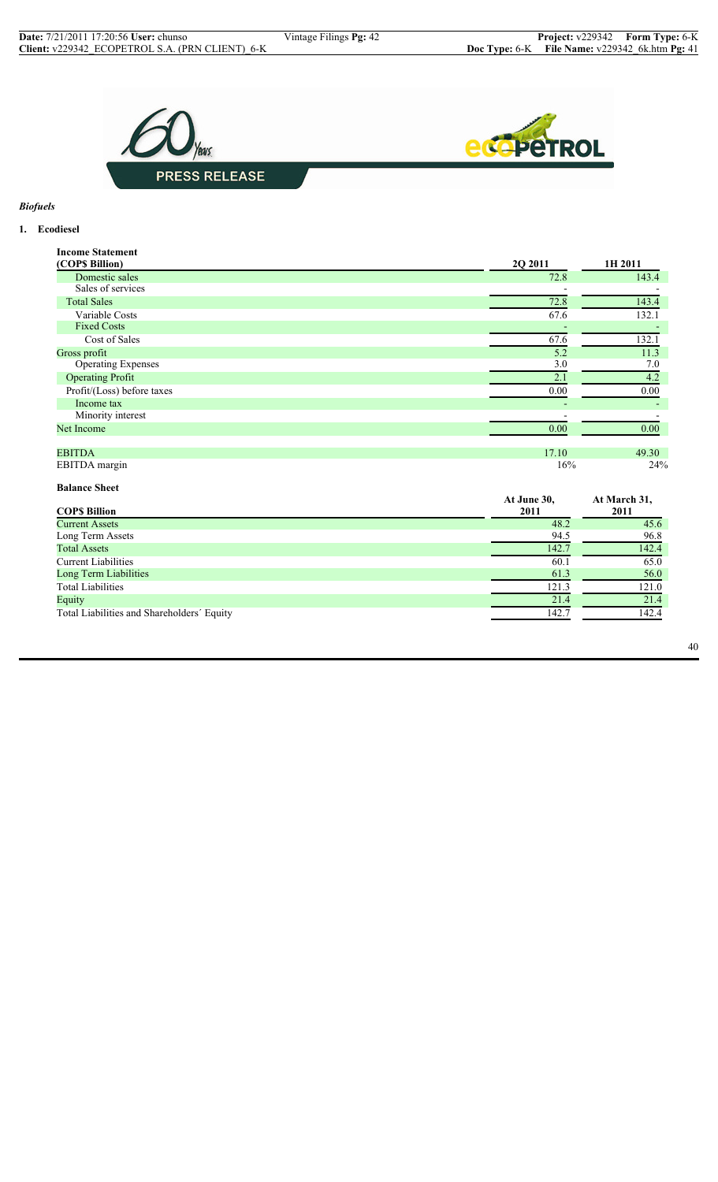

# *Biofuels*

## **1. Ecodiesel**

| <b>Income Statement</b>    |                          |                          |
|----------------------------|--------------------------|--------------------------|
| (COP\$ Billion)            | 2Q 2011                  | 1H 2011                  |
| Domestic sales             | 72.8                     | 143.4                    |
| Sales of services          |                          |                          |
| <b>Total Sales</b>         | 72.8                     | 143.4                    |
| Variable Costs             | 67.6                     | 132.1                    |
| <b>Fixed Costs</b>         |                          |                          |
| Cost of Sales              | 67.6                     | 132.1                    |
| Gross profit               | 5.2                      | 11.3                     |
| <b>Operating Expenses</b>  | 3.0                      | 7.0                      |
| <b>Operating Profit</b>    | 2.1                      | 4.2                      |
| Profit/(Loss) before taxes | 0.00                     | 0.00                     |
| Income tax                 | $\overline{\phantom{a}}$ | $\overline{\phantom{0}}$ |
| Minority interest          |                          |                          |
| Net Income                 | 0.00                     | 0.00                     |
|                            |                          |                          |
| <b>EBITDA</b>              | 17.10                    | 49.30                    |
| EBITDA margin              | 16%                      | 24%                      |

## **Balance Sheet**

| At June 30,<br>2011 | At March 31,<br>2011 |
|---------------------|----------------------|
| 48.2                | 45.6                 |
| 94.5                | 96.8                 |
| 142.7               | 142.4                |
| 60.1                | 65.0                 |
| 61.3                | 56.0                 |
| 121.3               | 121.0                |
| 21.4                | 21.4                 |
| 142.7               | 142.4                |
|                     |                      |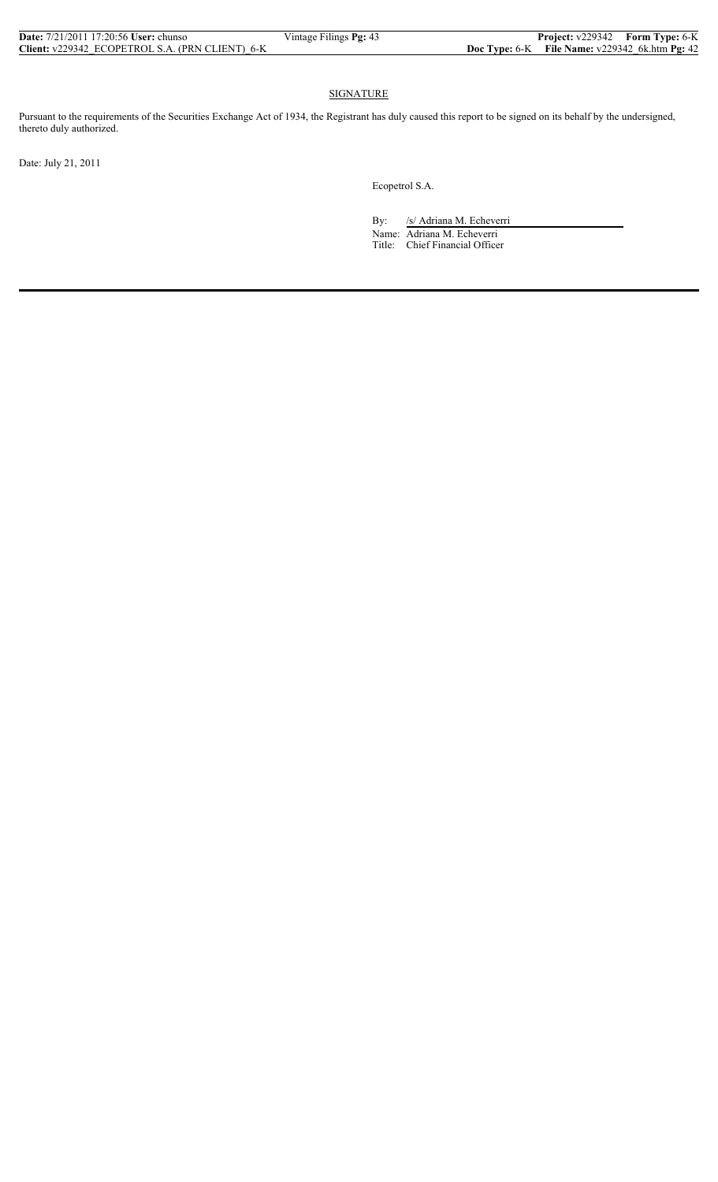| <b>Date:</b> $7/21/2011$ 17:20:56 User: chunso  | Vintage Filings Pg: 43 | <b>Project:</b> v229342 Form Type: 6-K             |  |
|-------------------------------------------------|------------------------|----------------------------------------------------|--|
| Client: v229342 ECOPETROL S.A. (PRN CLIENT) 6-K |                        | Doc Type: $6-K$ File Name: $v229342$ 6k.htm Pg: 42 |  |

#### SIGNATURE

Pursuant to the requirements of the Securities Exchange Act of 1934, the Registrant has duly caused this report to be signed on its behalf by the undersigned, thereto duly authorized.

Date: July 21, 2011

Ecopetrol S.A.

By: /s/ Adriana M. Echeverri Name: Adriana M. Echeverri Title: Chief Financial Officer